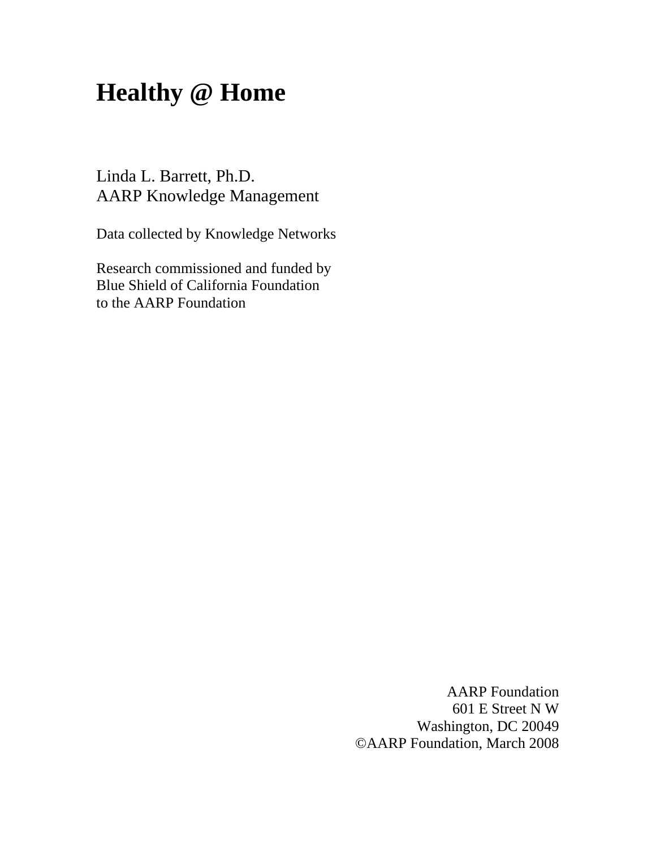# **Healthy @ Home**

Linda L. Barrett, Ph.D. AARP Knowledge Management

Data collected by Knowledge Networks

Research commissioned and funded by Blue Shield of California Foundation to the AARP Foundation

> AARP Foundation 601 E Street N W Washington, DC 20049 ©AARP Foundation, March 2008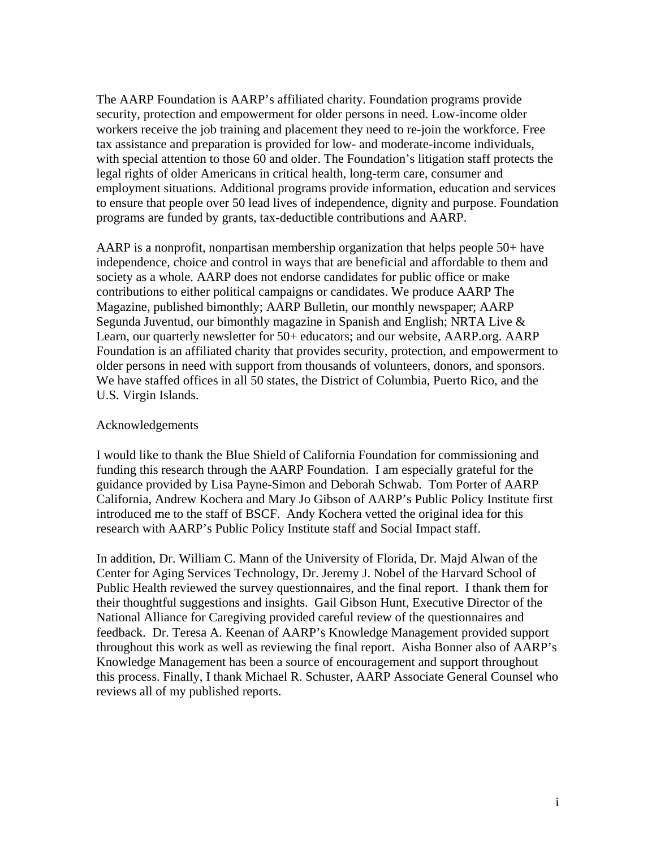The AARP Foundation is AARP's affiliated charity. Foundation programs provide security, protection and empowerment for older persons in need. Low-income older workers receive the job training and placement they need to re-join the workforce. Free tax assistance and preparation is provided for low- and moderate-income individuals, with special attention to those 60 and older. The Foundation's litigation staff protects the legal rights of older Americans in critical health, long-term care, consumer and employment situations. Additional programs provide information, education and services to ensure that people over 50 lead lives of independence, dignity and purpose. Foundation programs are funded by grants, tax-deductible contributions and AARP.

AARP is a nonprofit, nonpartisan membership organization that helps people 50+ have independence, choice and control in ways that are beneficial and affordable to them and society as a whole. AARP does not endorse candidates for public office or make contributions to either political campaigns or candidates. We produce AARP The Magazine, published bimonthly; AARP Bulletin, our monthly newspaper; AARP Segunda Juventud, our bimonthly magazine in Spanish and English; NRTA Live & Learn, our quarterly newsletter for 50+ educators; and our website, AARP.org. AARP Foundation is an affiliated charity that provides security, protection, and empowerment to older persons in need with support from thousands of volunteers, donors, and sponsors. We have staffed offices in all 50 states, the District of Columbia, Puerto Rico, and the U.S. Virgin Islands.

#### Acknowledgements

I would like to thank the Blue Shield of California Foundation for commissioning and funding this research through the AARP Foundation. I am especially grateful for the guidance provided by Lisa Payne-Simon and Deborah Schwab. Tom Porter of AARP California, Andrew Kochera and Mary Jo Gibson of AARP's Public Policy Institute first introduced me to the staff of BSCF. Andy Kochera vetted the original idea for this research with AARP's Public Policy Institute staff and Social Impact staff.

In addition, Dr. William C. Mann of the University of Florida, Dr. Majd Alwan of the Center for Aging Services Technology, Dr. Jeremy J. Nobel of the Harvard School of Public Health reviewed the survey questionnaires, and the final report. I thank them for their thoughtful suggestions and insights. Gail Gibson Hunt, Executive Director of the National Alliance for Caregiving provided careful review of the questionnaires and feedback. Dr. Teresa A. Keenan of AARP's Knowledge Management provided support throughout this work as well as reviewing the final report. Aisha Bonner also of AARP's Knowledge Management has been a source of encouragement and support throughout this process. Finally, I thank Michael R. Schuster, AARP Associate General Counsel who reviews all of my published reports.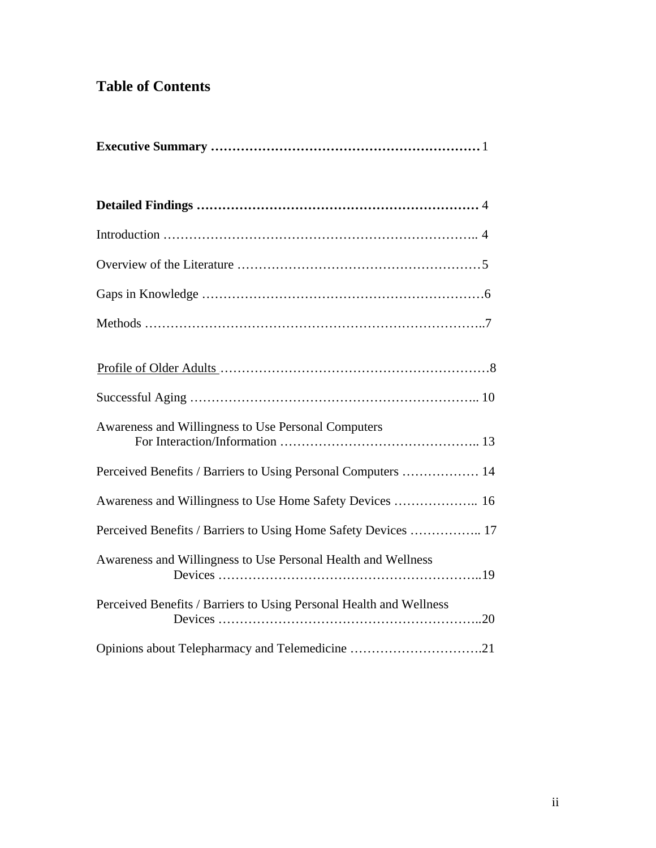# **Table of Contents**

| Awareness and Willingness to Use Personal Computers                 |
|---------------------------------------------------------------------|
| Perceived Benefits / Barriers to Using Personal Computers  14       |
| Awareness and Willingness to Use Home Safety Devices  16            |
| Perceived Benefits / Barriers to Using Home Safety Devices  17      |
| Awareness and Willingness to Use Personal Health and Wellness       |
| Perceived Benefits / Barriers to Using Personal Health and Wellness |
| Opinions about Telepharmacy and Telemedicine 21                     |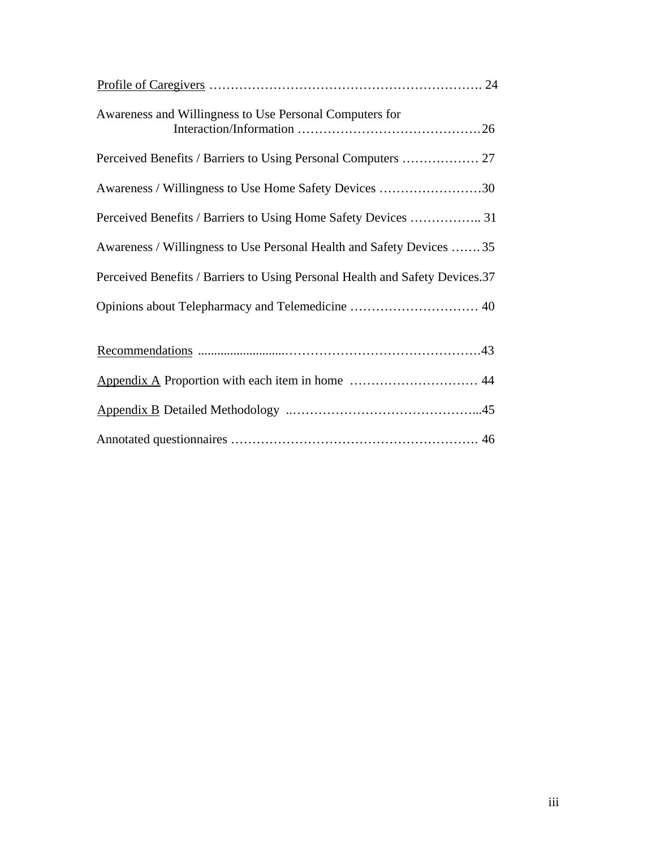| Awareness and Willingness to Use Personal Computers for                      |
|------------------------------------------------------------------------------|
|                                                                              |
| Awareness / Willingness to Use Home Safety Devices 30                        |
| Perceived Benefits / Barriers to Using Home Safety Devices  31               |
| Awareness / Willingness to Use Personal Health and Safety Devices 35         |
| Perceived Benefits / Barriers to Using Personal Health and Safety Devices.37 |
|                                                                              |
|                                                                              |
|                                                                              |
|                                                                              |
|                                                                              |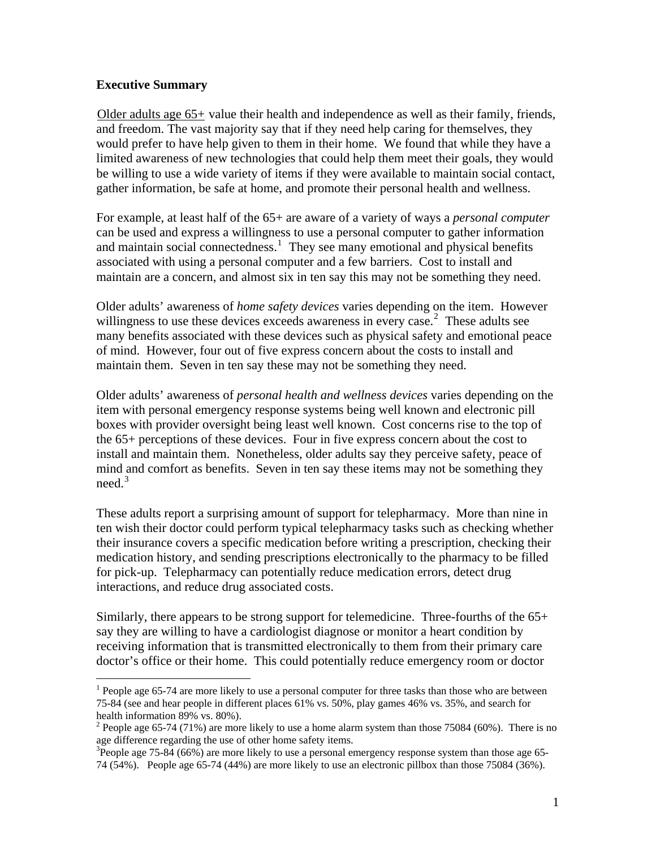#### <span id="page-4-0"></span>**Executive Summary**

 $\overline{a}$ 

Older adults age  $65+$  value their health and independence as well as their family, friends, and freedom. The vast majority say that if they need help caring for themselves, they would prefer to have help given to them in their home. We found that while they have a limited awareness of new technologies that could help them meet their goals, they would be willing to use a wide variety of items if they were available to maintain social contact, gather information, be safe at home, and promote their personal health and wellness.

For example, at least half of the 65+ are aware of a variety of ways a *personal computer* can be used and express a willingness to use a personal computer to gather information and maintain social connectedness.<sup>1</sup> They see many emotional and physical benefits associated with using a personal computer and a few barriers. Cost to install and maintain are a concern, and almost six in ten say this may not be something they need.

Older adults' awareness of *home safety devices* varies depending on the item. However willingness to use these devices exceeds awareness in every case.<sup>2</sup> These adults see many benefits associated with these devices such as physical safety and emotional peace of mind. However, four out of five express concern about the costs to install and maintain them. Seven in ten say these may not be something they need.

Older adults' awareness of *personal health and wellness devices* varies depending on the item with personal emergency response systems being well known and electronic pill boxes with provider oversight being least well known. Cost concerns rise to the top of the 65+ perceptions of these devices. Four in five express concern about the cost to install and maintain them. Nonetheless, older adults say they perceive safety, peace of mind and comfort as benefits. Seven in ten say these items may not be something they  $need.<sup>3</sup>$ 

These adults report a surprising amount of support for telepharmacy. More than nine in ten wish their doctor could perform typical telepharmacy tasks such as checking whether their insurance covers a specific medication before writing a prescription, checking their medication history, and sending prescriptions electronically to the pharmacy to be filled for pick-up. Telepharmacy can potentially reduce medication errors, detect drug interactions, and reduce drug associated costs.

Similarly, there appears to be strong support for telemedicine. Three-fourths of the 65+ say they are willing to have a cardiologist diagnose or monitor a heart condition by receiving information that is transmitted electronically to them from their primary care doctor's office or their home. This could potentially reduce emergency room or doctor

<sup>&</sup>lt;sup>1</sup> People age 65-74 are more likely to use a personal computer for three tasks than those who are between 75-84 (see and hear people in different places 61% vs. 50%, play games 46% vs. 35%, and search for health information 89% vs. 80%).

<sup>&</sup>lt;sup>2</sup> People age 65-74 (71%) are more likely to use a home alarm system than those 75084 (60%). There is no age difference regarding the use of other home safety items.

 $3$ People age 75-84 (66%) are more likely to use a personal emergency response system than those age 65-74 (54%). People age 65-74 (44%) are more likely to use an electronic pillbox than those 75084 (36%).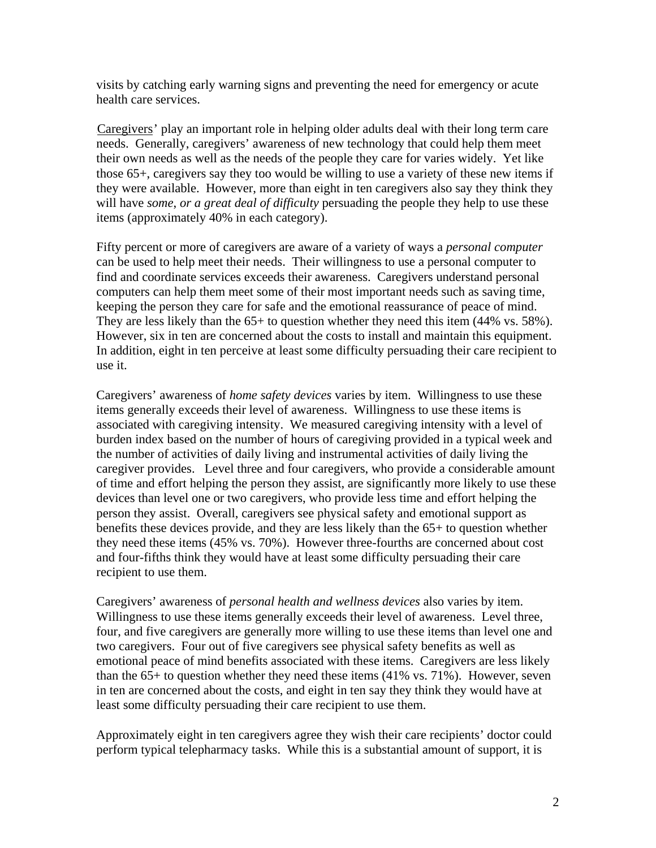visits by catching early warning signs and preventing the need for emergency or acute health care services.

Caregivers' play an important role in helping older adults deal with their long term care needs. Generally, caregivers' awareness of new technology that could help them meet their own needs as well as the needs of the people they care for varies widely. Yet like those 65+, caregivers say they too would be willing to use a variety of these new items if they were available. However, more than eight in ten caregivers also say they think they will have *some*, *or a great deal of difficulty* persuading the people they help to use these items (approximately 40% in each category).

Fifty percent or more of caregivers are aware of a variety of ways a *personal computer*  can be used to help meet their needs. Their willingness to use a personal computer to find and coordinate services exceeds their awareness. Caregivers understand personal computers can help them meet some of their most important needs such as saving time, keeping the person they care for safe and the emotional reassurance of peace of mind. They are less likely than the 65+ to question whether they need this item (44% vs. 58%). However, six in ten are concerned about the costs to install and maintain this equipment. In addition, eight in ten perceive at least some difficulty persuading their care recipient to use it.

Caregivers' awareness of *home safety devices* varies by item. Willingness to use these items generally exceeds their level of awareness. Willingness to use these items is associated with caregiving intensity. We measured caregiving intensity with a level of burden index based on the number of hours of caregiving provided in a typical week and the number of activities of daily living and instrumental activities of daily living the caregiver provides. Level three and four caregivers, who provide a considerable amount of time and effort helping the person they assist, are significantly more likely to use these devices than level one or two caregivers, who provide less time and effort helping the person they assist. Overall, caregivers see physical safety and emotional support as benefits these devices provide, and they are less likely than the 65+ to question whether they need these items (45% vs. 70%). However three-fourths are concerned about cost and four-fifths think they would have at least some difficulty persuading their care recipient to use them.

Caregivers' awareness of *personal health and wellness devices* also varies by item. Willingness to use these items generally exceeds their level of awareness. Level three, four, and five caregivers are generally more willing to use these items than level one and two caregivers. Four out of five caregivers see physical safety benefits as well as emotional peace of mind benefits associated with these items. Caregivers are less likely than the 65+ to question whether they need these items (41% vs. 71%). However, seven in ten are concerned about the costs, and eight in ten say they think they would have at least some difficulty persuading their care recipient to use them.

Approximately eight in ten caregivers agree they wish their care recipients' doctor could perform typical telepharmacy tasks. While this is a substantial amount of support, it is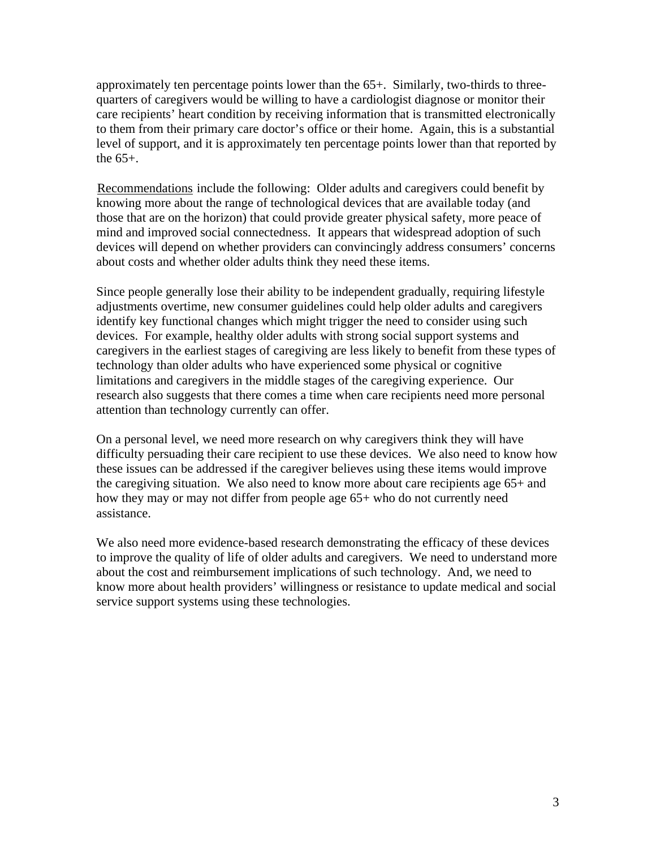approximately ten percentage points lower than the 65+. Similarly, two-thirds to threequarters of caregivers would be willing to have a cardiologist diagnose or monitor their care recipients' heart condition by receiving information that is transmitted electronically to them from their primary care doctor's office or their home. Again, this is a substantial level of support, and it is approximately ten percentage points lower than that reported by the 65+.

Recommendations include the following: Older adults and caregivers could benefit by knowing more about the range of technological devices that are available today (and those that are on the horizon) that could provide greater physical safety, more peace of mind and improved social connectedness. It appears that widespread adoption of such devices will depend on whether providers can convincingly address consumers' concerns about costs and whether older adults think they need these items.

Since people generally lose their ability to be independent gradually, requiring lifestyle adjustments overtime, new consumer guidelines could help older adults and caregivers identify key functional changes which might trigger the need to consider using such devices. For example, healthy older adults with strong social support systems and caregivers in the earliest stages of caregiving are less likely to benefit from these types of technology than older adults who have experienced some physical or cognitive limitations and caregivers in the middle stages of the caregiving experience. Our research also suggests that there comes a time when care recipients need more personal attention than technology currently can offer.

On a personal level, we need more research on why caregivers think they will have difficulty persuading their care recipient to use these devices. We also need to know how these issues can be addressed if the caregiver believes using these items would improve the caregiving situation. We also need to know more about care recipients age 65+ and how they may or may not differ from people age 65+ who do not currently need assistance.

We also need more evidence-based research demonstrating the efficacy of these devices to improve the quality of life of older adults and caregivers. We need to understand more about the cost and reimbursement implications of such technology. And, we need to know more about health providers' willingness or resistance to update medical and social service support systems using these technologies.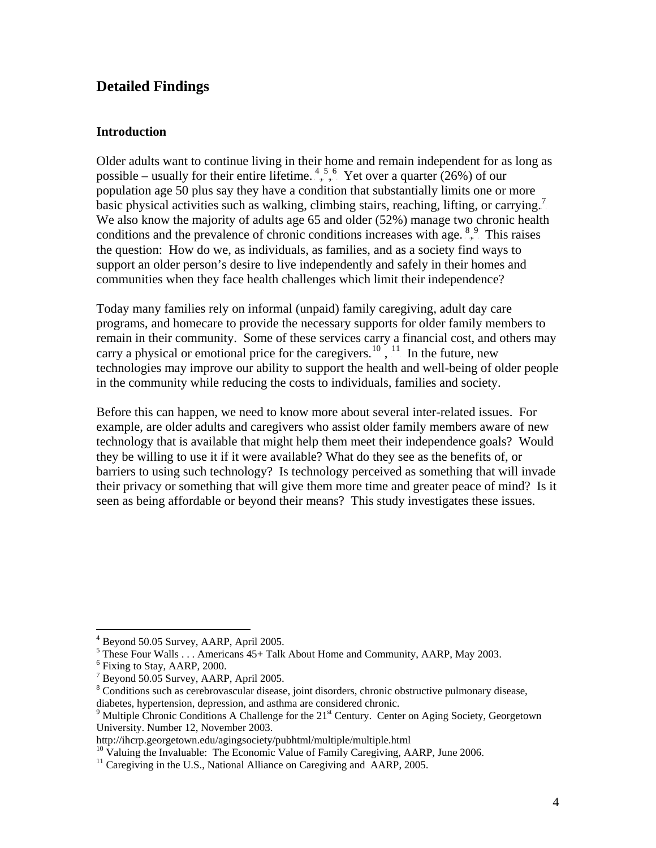# <span id="page-7-0"></span>**Detailed Findings**

#### **Introduction**

Older adults want to continue living in their home and remain independent for as long as possible – usually for their entire lifetime.  $^{4, 5, 6}_{1, 6}$ . Yet over a quarter (26%) of our population age 50 plus say they have a condition that substantially limits one or more basic physical activities such as walking, climbing stairs, reaching, lifting, or carrying.<sup>7</sup> We also know the majority of adults age 65 and older (52%) manage two chronic health conditions and the prevalence of chronic conditions increases with age.  $8,9$  This raises the question: How do we, as individuals, as families, and as a society find ways to support an older person's desire to live independently and safely in their homes and communities when they face health challenges which limit their independence?

Today many families rely on informal (unpaid) family caregiving, adult day care programs, and homecare to provide the necessary supports for older family members to remain in their community. Some of these services carry a financial cost, and others may carry a physical or emotional price for the caregivers.<sup>10</sup>, <sup>11</sup> In the future, new technologies may improve our ability to support the health and well-being of older people in the community while reducing the costs to individuals, families and society.

Before this can happen, we need to know more about several inter-related issues. For example, are older adults and caregivers who assist older family members aware of new technology that is available that might help them meet their independence goals? Would they be willing to use it if it were available? What do they see as the benefits of, or barriers to using such technology? Is technology perceived as something that will invade their privacy or something that will give them more time and greater peace of mind? Is it seen as being affordable or beyond their means? This study investigates these issues.

 $\overline{a}$ 

<sup>4</sup> Beyond 50.05 Survey, AARP, April 2005.

 $<sup>5</sup>$  These Four Walls . . . Americans 45+ Talk About Home and Community, AARP, May 2003.</sup>

<sup>&</sup>lt;sup>6</sup> Fixing to Stay, AARP, 2000.

<sup>&</sup>lt;sup>7</sup> Beyond 50.05 Survey, AARP, April 2005.

<sup>&</sup>lt;sup>8</sup> Conditions such as cerebrovascular disease, joint disorders, chronic obstructive pulmonary disease, diabetes, hypertension, depression, and asthma are considered chronic. 9

<sup>&</sup>lt;sup>9</sup> Multiple Chronic Conditions A Challenge for the  $21<sup>st</sup>$  Century. Center on Aging Society, Georgetown University. Number 12, November 2003.

http://ihcrp.georgetown.edu/agingsociety/pubhtml/multiple/multiple.html

 $10$  Valuing the Invaluable: The Economic Value of Family Caregiving, AARP, June 2006.

 $11$  Caregiving in the U.S., National Alliance on Caregiving and AARP, 2005.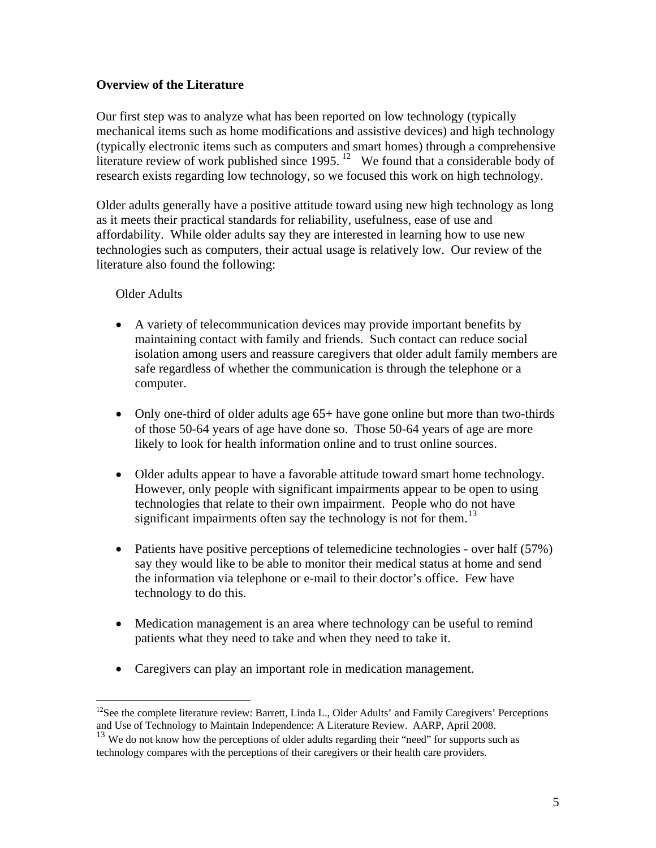### **Overview of the Literature**

Our first step was to analyze what has been reported on low technology (typically mechanical items such as home modifications and assistive devices) and high technology (typically electronic items such as computers and smart homes) through a comprehensive literature review of work published since  $1995$ .<sup>12</sup> We found that a considerable body of research exists regarding low technology, so we focused this work on high technology.

Older adults generally have a positive attitude toward using new high technology as long as it meets their practical standards for reliability, usefulness, ease of use and affordability. While older adults say they are interested in learning how to use new technologies such as computers, their actual usage is relatively low. Our review of the literature also found the following:

#### Older Adults

- A variety of telecommunication devices may provide important benefits by maintaining contact with family and friends. Such contact can reduce social isolation among users and reassure caregivers that older adult family members are safe regardless of whether the communication is through the telephone or a computer.
- Only one-third of older adults age 65+ have gone online but more than two-thirds of those 50-64 years of age have done so. Those 50-64 years of age are more likely to look for health information online and to trust online sources.
- Older adults appear to have a favorable attitude toward smart home technology. However, only people with significant impairments appear to be open to using technologies that relate to their own impairment. People who do not have significant impairments often say the technology is not for them.<sup>13</sup>
- Patients have positive perceptions of telemedicine technologies over half (57%) say they would like to be able to monitor their medical status at home and send the information via telephone or e-mail to their doctor's office. Few have technology to do this.
- Medication management is an area where technology can be useful to remind patients what they need to take and when they need to take it.
- Caregivers can play an important role in medication management.

 $\overline{a}$ <sup>12</sup>See the complete literature review: Barrett, Linda L., Older Adults' and Family Caregivers' Perceptions and Use of Technology to Maintain Independence: A Literature Review. AARP, April 2008.

<sup>&</sup>lt;sup>13</sup> We do not know how the perceptions of older adults regarding their "need" for supports such as technology compares with the perceptions of their caregivers or their health care providers.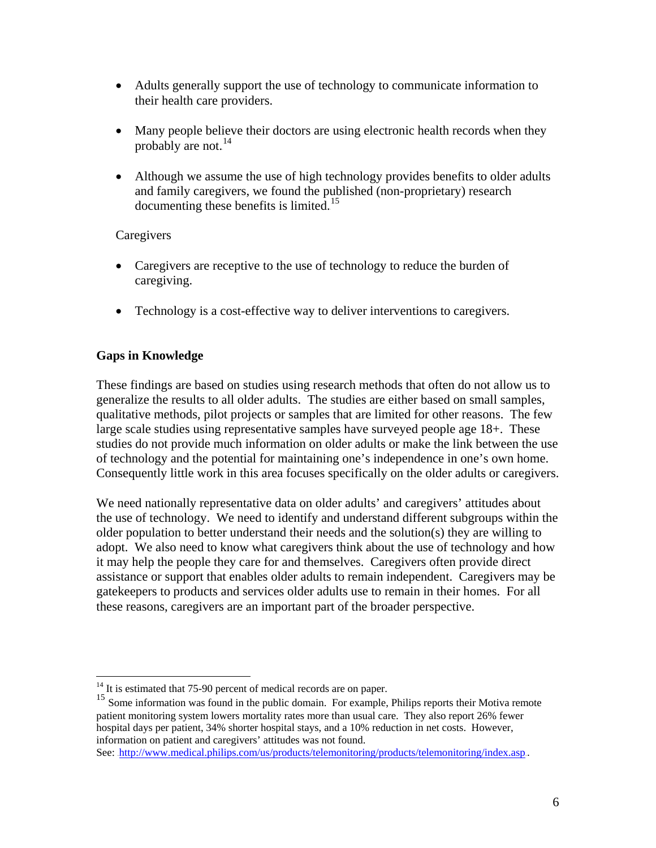- Adults generally support the use of technology to communicate information to their health care providers.
- Many people believe their doctors are using electronic health records when they probably are not. $^{14}$
- Although we assume the use of high technology provides benefits to older adults and family caregivers, we found the published (non-proprietary) research documenting these benefits is limited.<sup>15</sup>

# Caregivers

- Caregivers are receptive to the use of technology to reduce the burden of caregiving.
- Technology is a cost-effective way to deliver interventions to caregivers.

# **Gaps in Knowledge**

 $\overline{a}$ 

These findings are based on studies using research methods that often do not allow us to generalize the results to all older adults. The studies are either based on small samples, qualitative methods, pilot projects or samples that are limited for other reasons. The few large scale studies using representative samples have surveyed people age 18+. These studies do not provide much information on older adults or make the link between the use of technology and the potential for maintaining one's independence in one's own home. Consequently little work in this area focuses specifically on the older adults or caregivers.

We need nationally representative data on older adults' and caregivers' attitudes about the use of technology. We need to identify and understand different subgroups within the older population to better understand their needs and the solution(s) they are willing to adopt. We also need to know what caregivers think about the use of technology and how it may help the people they care for and themselves. Caregivers often provide direct assistance or support that enables older adults to remain independent. Caregivers may be gatekeepers to products and services older adults use to remain in their homes. For all these reasons, caregivers are an important part of the broader perspective.

 $14$  It is estimated that 75-90 percent of medical records are on paper.

<sup>&</sup>lt;sup>15</sup> Some information was found in the public domain. For example, Philips reports their Motiva remote patient monitoring system lowers mortality rates more than usual care. They also report 26% fewer hospital days per patient, 34% shorter hospital stays, and a 10% reduction in net costs. However, information on patient and caregivers' attitudes was not found.

See: http://www.medical.philips.com/us/products/telemonitoring/products/telemonitoring/index.asp.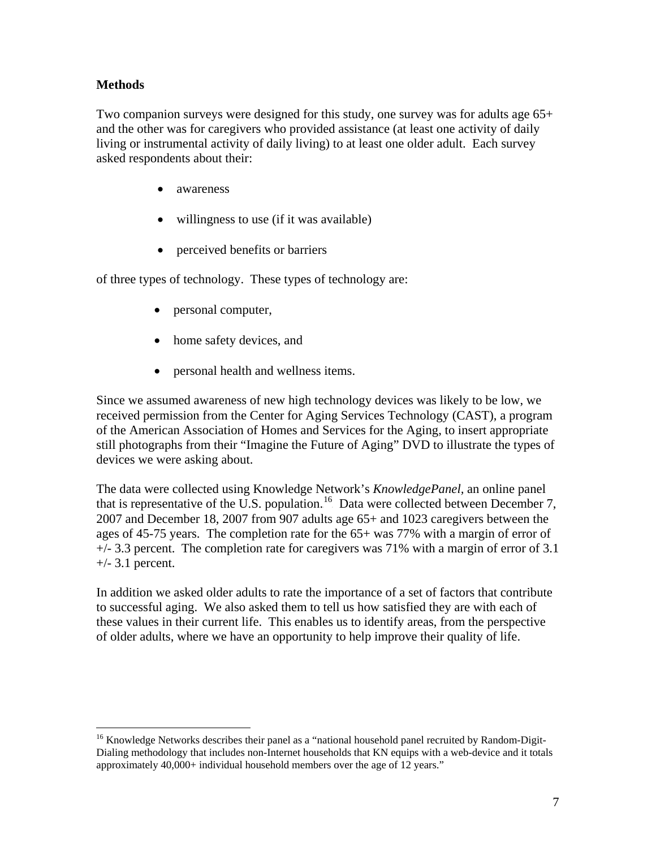# **Methods**

 $\overline{a}$ 

Two companion surveys were designed for this study, one survey was for adults age 65+ and the other was for caregivers who provided assistance (at least one activity of daily living or instrumental activity of daily living) to at least one older adult. Each survey asked respondents about their:

- awareness
- willingness to use (if it was available)
- perceived benefits or barriers

of three types of technology. These types of technology are:

- personal computer,
- home safety devices, and
- personal health and wellness items.

Since we assumed awareness of new high technology devices was likely to be low, we received permission from the Center for Aging Services Technology (CAST), a program of the American Association of Homes and Services for the Aging, to insert appropriate still photographs from their "Imagine the Future of Aging" DVD to illustrate the types of devices we were asking about.

The data were collected using Knowledge Network's *KnowledgePanel,* an online panel that is representative of the U.S. population.<sup>16</sup> Data were collected between December 7, 2007 and December 18, 2007 from 907 adults age 65+ and 1023 caregivers between the ages of 45-75 years. The completion rate for the 65+ was 77% with a margin of error of  $+/-$  3.3 percent. The completion rate for caregivers was 71% with a margin of error of 3.1  $+/-$  3.1 percent.

In addition we asked older adults to rate the importance of a set of factors that contribute to successful aging. We also asked them to tell us how satisfied they are with each of these values in their current life. This enables us to identify areas, from the perspective of older adults, where we have an opportunity to help improve their quality of life.

<sup>&</sup>lt;sup>16</sup> Knowledge Networks describes their panel as a "national household panel recruited by Random-Digit-Dialing methodology that includes non-Internet households that KN equips with a web-device and it totals approximately 40,000+ individual household members over the age of 12 years."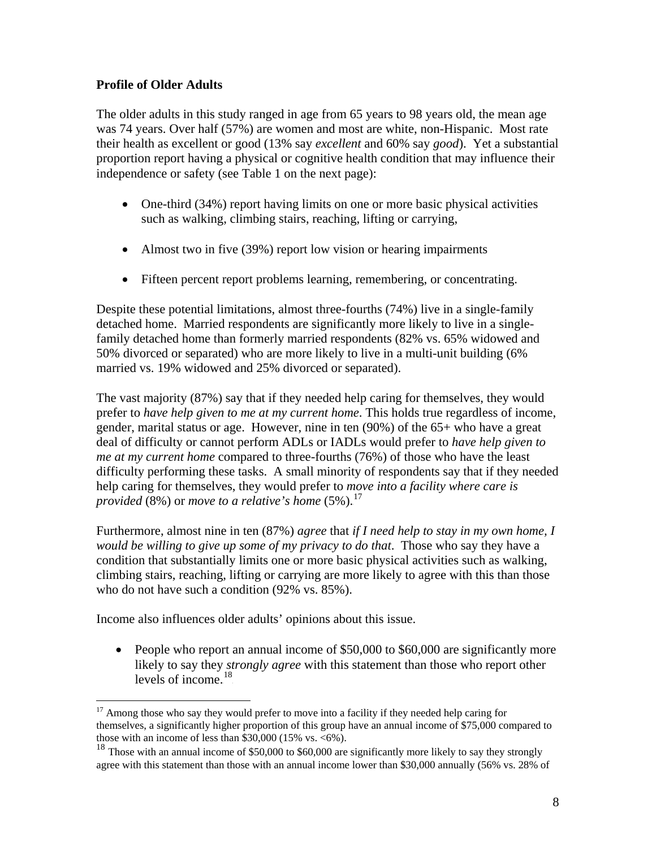# <span id="page-11-0"></span>**Profile of Older Adults**

The older adults in this study ranged in age from 65 years to 98 years old, the mean age was 74 years. Over half (57%) are women and most are white, non-Hispanic. Most rate their health as excellent or good (13% say *excellent* and 60% say *good*). Yet a substantial proportion report having a physical or cognitive health condition that may influence their independence or safety (see Table 1 on the next page):

- One-third (34%) report having limits on one or more basic physical activities such as walking, climbing stairs, reaching, lifting or carrying,
- Almost two in five (39%) report low vision or hearing impairments
- Fifteen percent report problems learning, remembering, or concentrating.

Despite these potential limitations, almost three-fourths (74%) live in a single-family detached home. Married respondents are significantly more likely to live in a singlefamily detached home than formerly married respondents (82% vs. 65% widowed and 50% divorced or separated) who are more likely to live in a multi-unit building (6% married vs. 19% widowed and 25% divorced or separated).

The vast majority (87%) say that if they needed help caring for themselves, they would prefer to *have help given to me at my current home*. This holds true regardless of income, gender, marital status or age. However, nine in ten (90%) of the 65+ who have a great deal of difficulty or cannot perform ADLs or IADLs would prefer to *have help given to me at my current home* compared to three-fourths (76%) of those who have the least difficulty performing these tasks. A small minority of respondents say that if they needed help caring for themselves, they would prefer to *move into a facility where care is provided* (8%) or *move to a relative's home* (5%).<sup>17</sup>

Furthermore, almost nine in ten (87%) *agree* that *if I need help to stay in my own home, I would be willing to give up some of my privacy to do that*. Those who say they have a condition that substantially limits one or more basic physical activities such as walking, climbing stairs, reaching, lifting or carrying are more likely to agree with this than those who do not have such a condition (92% vs. 85%).

Income also influences older adults' opinions about this issue.

1

• People who report an annual income of \$50,000 to \$60,000 are significantly more likely to say they *strongly agree* with this statement than those who report other levels of income. $^{18}$ 

<sup>&</sup>lt;sup>17</sup> Among those who say they would prefer to move into a facility if they needed help caring for themselves, a significantly higher proportion of this group have an annual income of \$75,000 compared to those with an income of less than  $$30,000$  (15% vs. <6%).

<sup>&</sup>lt;sup>18</sup> Those with an annual income of \$50,000 to \$60,000 are significantly more likely to say they strongly agree with this statement than those with an annual income lower than \$30,000 annually (56% vs. 28% of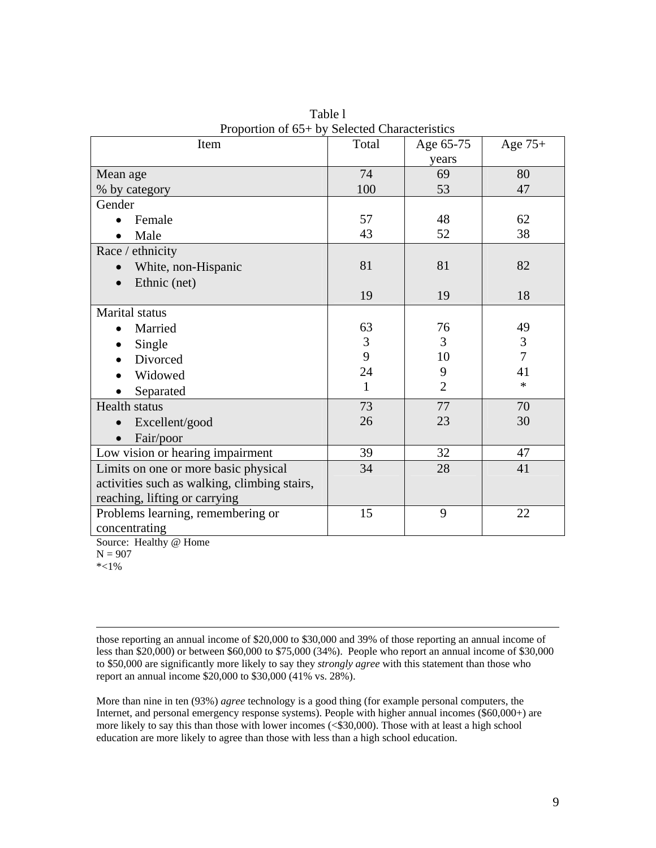| $110$ portion of $00 + 0j$<br>Item           | Delette Characteristics<br>Total | Age 65-75      | Age $75+$      |
|----------------------------------------------|----------------------------------|----------------|----------------|
|                                              |                                  | years          |                |
| Mean age                                     | 74                               | 69             | 80             |
| % by category                                | 100                              | 53             | 47             |
| Gender                                       |                                  |                |                |
| Female                                       | 57                               | 48             | 62             |
| Male                                         | 43                               | 52             | 38             |
| Race / ethnicity                             |                                  |                |                |
| White, non-Hispanic                          | 81                               | 81             | 82             |
| Ethnic (net)                                 |                                  |                |                |
|                                              | 19                               | 19             | 18             |
| Marital status                               |                                  |                |                |
| Married                                      | 63                               | 76             | 49             |
| Single                                       | 3                                | $\overline{3}$ | 3              |
| Divorced                                     | 9                                | 10             | $\overline{7}$ |
| Widowed                                      | 24                               | 9              | 41             |
| Separated                                    | $\mathbf{1}$                     | $\overline{2}$ | $\ast$         |
| Health status                                | 73                               | 77             | 70             |
| Excellent/good                               | 26                               | 23             | 30             |
| Fair/poor                                    |                                  |                |                |
| Low vision or hearing impairment             | 39                               | 32             | 47             |
| Limits on one or more basic physical         | 34                               | 28             | 41             |
| activities such as walking, climbing stairs, |                                  |                |                |
| reaching, lifting or carrying                |                                  |                |                |
| Problems learning, remembering or            | 15                               | 9              | 22             |
| concentrating                                |                                  |                |                |

Table l Proportion of 65+ by Selected Characteristics

Source: Healthy @ Home

 $N = 907$ 

\*<1%

 those reporting an annual income of \$20,000 to \$30,000 and 39% of those reporting an annual income of less than \$20,000) or between \$60,000 to \$75,000 (34%). People who report an annual income of \$30,000 to \$50,000 are significantly more likely to say they *strongly agree* with this statement than those who report an annual income \$20,000 to \$30,000 (41% vs. 28%).

More than nine in ten (93%) *agree* technology is a good thing (for example personal computers, the Internet, and personal emergency response systems). People with higher annual incomes (\$60,000+) are more likely to say this than those with lower incomes (<\$30,000). Those with at least a high school education are more likely to agree than those with less than a high school education.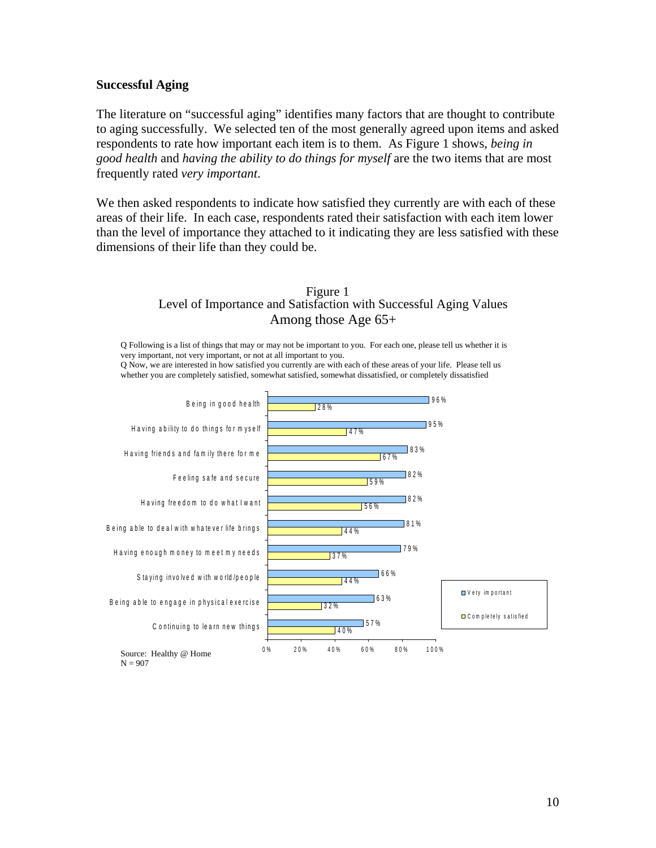#### **Successful Aging**

The literature on "successful aging" identifies many factors that are thought to contribute to aging successfully. We selected ten of the most generally agreed upon items and asked respondents to rate how important each item is to them. As Figure 1 shows, *being in good health* and *having the ability to do things for myself* are the two items that are most frequently rated *very important*.

We then asked respondents to indicate how satisfied they currently are with each of these areas of their life. In each case, respondents rated their satisfaction with each item lower than the level of importance they attached to it indicating they are less satisfied with these dimensions of their life than they could be.



Q Following is a list of things that may or may not be important to you. For each one, please tell us whether it is very important, not very important, or not at all important to you. Q Now, we are interested in how satisfied you currently are with each of these areas of your life. Please tell us whether you are completely satisfied, somewhat satisfied, somewhat dissatisfied, or completely dissatisfied

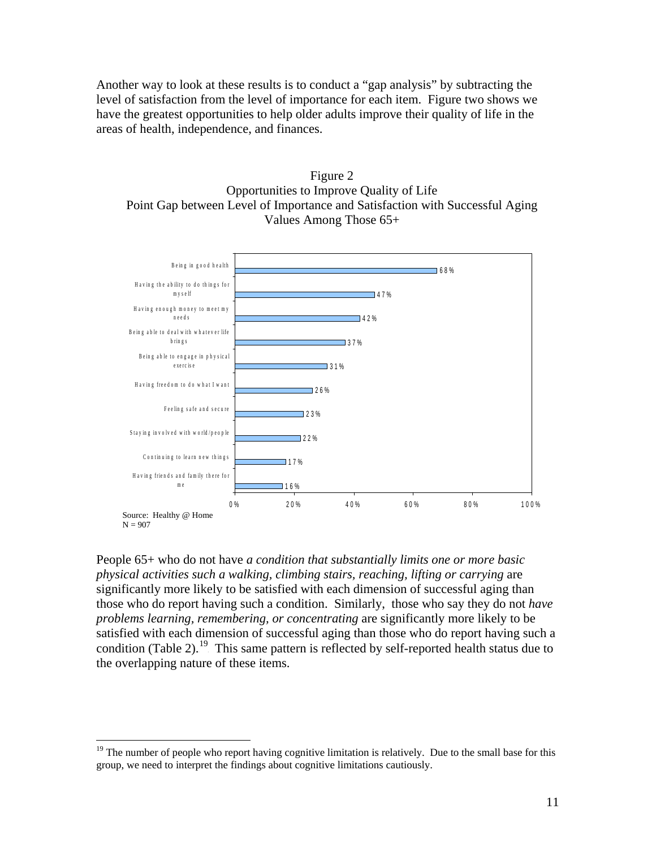Another way to look at these results is to conduct a "gap analysis" by subtracting the level of satisfaction from the level of importance for each item. Figure two shows we have the greatest opportunities to help older adults improve their quality of life in the areas of health, independence, and finances.

Figure 2 Opportunities to Improve Quality of Life Point Gap between Level of Importance and Satisfaction with Successful Aging Values Among Those 65+



People 65+ who do not have *a condition that substantially limits one or more basic physical activities such a walking, climbing stairs, reaching, lifting or carrying* are significantly more likely to be satisfied with each dimension of successful aging than those who do report having such a condition. Similarly, those who say they do not *have problems learning, remembering, or concentrating* are significantly more likely to be satisfied with each dimension of successful aging than those who do report having such a condition (Table 2).<sup>19</sup> This same pattern is reflected by self-reported health status due to the overlapping nature of these items.

 $\overline{a}$ 

<sup>&</sup>lt;sup>19</sup> The number of people who report having cognitive limitation is relatively. Due to the small base for this group, we need to interpret the findings about cognitive limitations cautiously.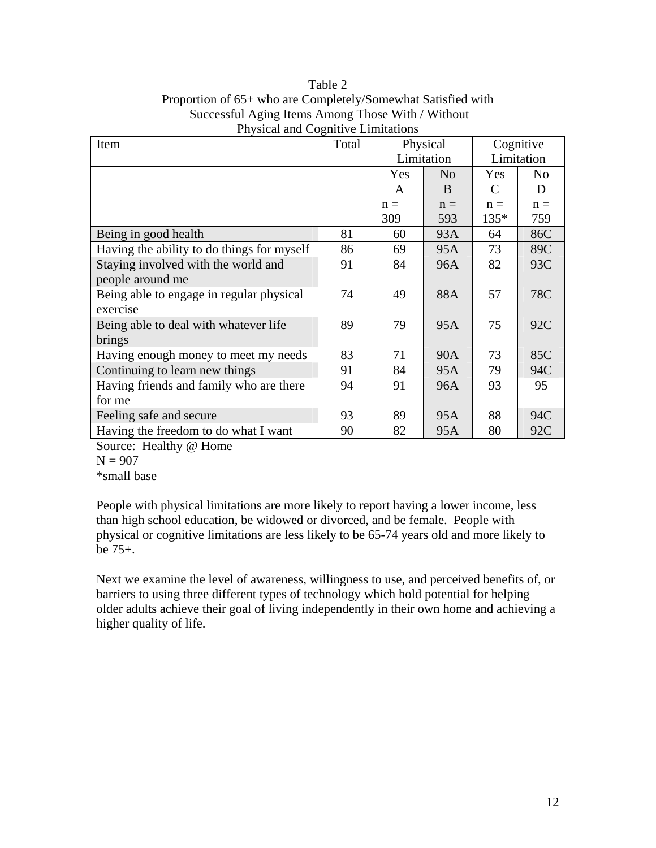Table 2 Proportion of 65+ who are Completely/Somewhat Satisfied with Successful Aging Items Among Those With / Without Physical and Cognitive Limitations

| Item                                       | Total |            | Physical       | Cognitive  |                |
|--------------------------------------------|-------|------------|----------------|------------|----------------|
|                                            |       | Limitation |                | Limitation |                |
|                                            |       | Yes        | N <sub>o</sub> | Yes        | N <sub>o</sub> |
|                                            |       | A          | B              | C          | D              |
|                                            |       | $n =$      | $n =$          | $n =$      | $n =$          |
|                                            |       | 309        | 593            | 135*       | 759            |
| Being in good health                       | 81    | 60         | 93A            | 64         | 86C            |
| Having the ability to do things for myself | 86    | 69         | 95A            | 73         | 89C            |
| Staying involved with the world and        | 91    | 84         | 96A            | 82         | 93C            |
| people around me                           |       |            |                |            |                |
| Being able to engage in regular physical   | 74    | 49         | 88A            | 57         | 78C            |
| exercise                                   |       |            |                |            |                |
| Being able to deal with whatever life      | 89    | 79         | 95A            | 75         | 92C            |
| brings                                     |       |            |                |            |                |
| Having enough money to meet my needs       | 83    | 71         | <b>90A</b>     | 73         | 85C            |
| Continuing to learn new things             | 91    | 84         | 95A            | 79         | 94C            |
| Having friends and family who are there    | 94    | 91         | 96A            | 93         | 95             |
| for me                                     |       |            |                |            |                |
| Feeling safe and secure                    | 93    | 89         | 95A            | 88         | 94C            |
| Having the freedom to do what I want       | 90    | 82         | 95A            | 80         | 92C            |

Source: Healthy @ Home

 $N = 907$ 

\*small base

People with physical limitations are more likely to report having a lower income, less than high school education, be widowed or divorced, and be female. People with physical or cognitive limitations are less likely to be 65-74 years old and more likely to be 75+.

Next we examine the level of awareness, willingness to use, and perceived benefits of, or barriers to using three different types of technology which hold potential for helping older adults achieve their goal of living independently in their own home and achieving a higher quality of life.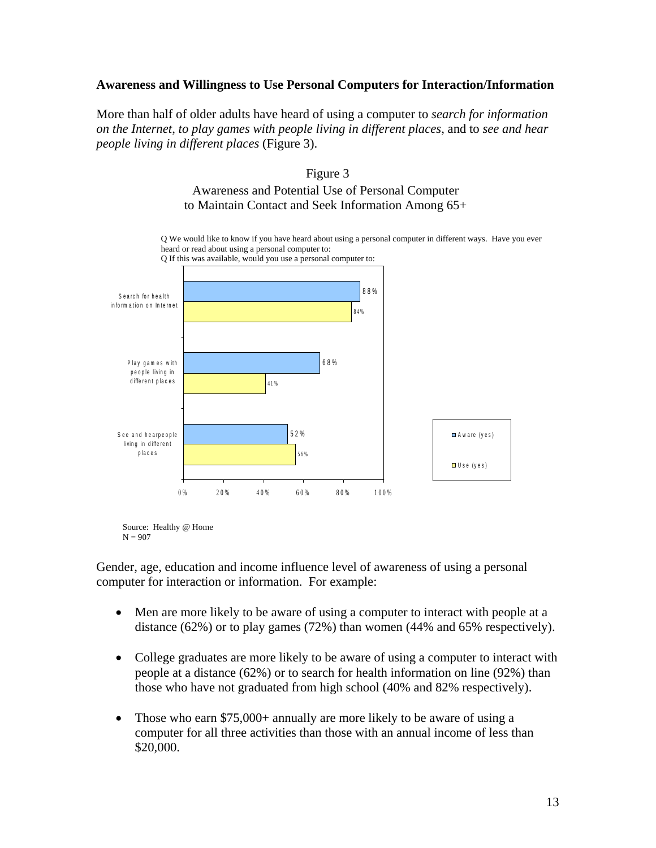#### **Awareness and Willingness to Use Personal Computers for Interaction/Information**

More than half of older adults have heard of using a computer to *search for information on the Internet*, *to play games with people living in different places*, and to *see and hear people living in different places* (Figure 3).

# Figure 3 Awareness and Potential Use of Personal Computer to Maintain Contact and Seek Information Among 65+



Source: Healthy @ Home  $N = 907$ 

Gender, age, education and income influence level of awareness of using a personal computer for interaction or information. For example:

- Men are more likely to be aware of using a computer to interact with people at a distance (62%) or to play games (72%) than women (44% and 65% respectively).
- College graduates are more likely to be aware of using a computer to interact with people at a distance (62%) or to search for health information on line (92%) than those who have not graduated from high school (40% and 82% respectively).
- Those who earn \$75,000+ annually are more likely to be aware of using a computer for all three activities than those with an annual income of less than \$20,000.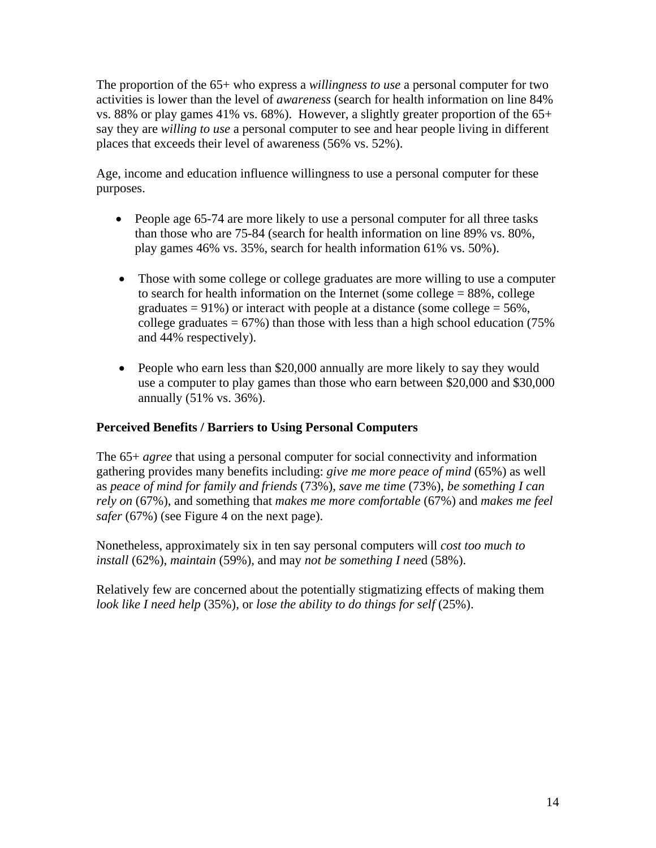The proportion of the 65+ who express a *willingness to use* a personal computer for two activities is lower than the level of *awareness* (search for health information on line 84% vs. 88% or play games 41% vs. 68%). However, a slightly greater proportion of the 65+ say they are *willing to use* a personal computer to see and hear people living in different places that exceeds their level of awareness (56% vs. 52%).

Age, income and education influence willingness to use a personal computer for these purposes.

- People age 65-74 are more likely to use a personal computer for all three tasks than those who are 75-84 (search for health information on line 89% vs. 80%, play games 46% vs. 35%, search for health information 61% vs. 50%).
- Those with some college or college graduates are more willing to use a computer to search for health information on the Internet (some college  $= 88\%$ , college graduates =  $91\%$ ) or interact with people at a distance (some college =  $56\%$ , college graduates  $= 67\%$ ) than those with less than a high school education (75%) and 44% respectively).
- People who earn less than \$20,000 annually are more likely to say they would use a computer to play games than those who earn between \$20,000 and \$30,000 annually (51% vs. 36%).

# **Perceived Benefits / Barriers to Using Personal Computers**

The 65+ *agree* that using a personal computer for social connectivity and information gathering provides many benefits including: *give me more peace of mind* (65%) as well as *peace of mind for family and friends* (73%), *save me time* (73%), *be something I can rely on* (67%), and something that *makes me more comfortable* (67%) and *makes me feel safer* (67%) (see Figure 4 on the next page).

Nonetheless, approximately six in ten say personal computers will *cost too much to install* (62%), *maintain* (59%), and may *not be something I nee*d (58%).

Relatively few are concerned about the potentially stigmatizing effects of making them *look like I need help* (35%), or *lose the ability to do things for self* (25%).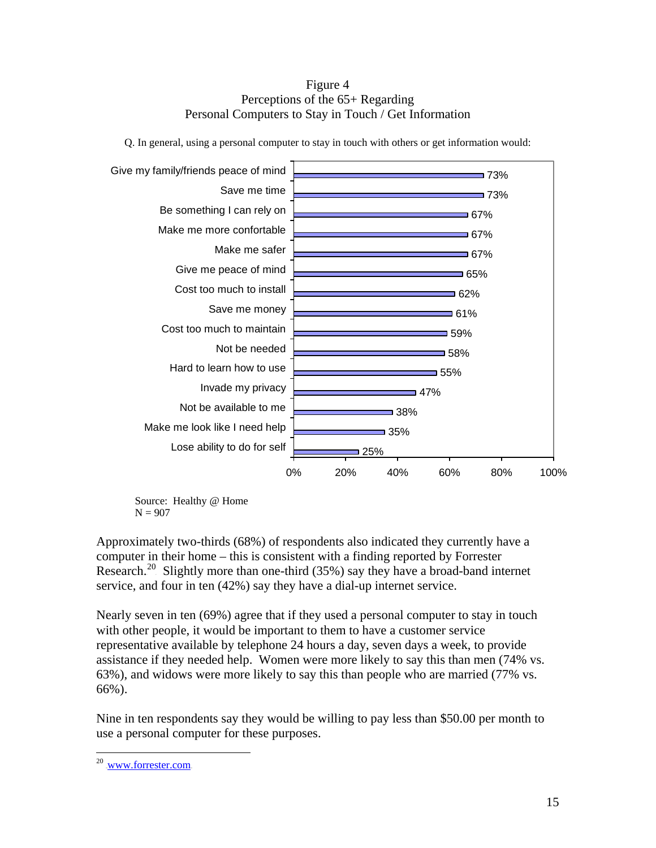#### Figure 4 Perceptions of the 65+ Regarding Personal Computers to Stay in Touch / Get Information



Q. In general, using a personal computer to stay in touch with others or get information would:

 Source: Healthy @ Home  $N = 907$ 

Approximately two-thirds (68%) of respondents also indicated they currently have a computer in their home – this is consistent with a finding reported by Forrester Research.<sup>20</sup> Slightly more than one-third (35%) say they have a broad-band internet service, and four in ten (42%) say they have a dial-up internet service.

Nearly seven in ten (69%) agree that if they used a personal computer to stay in touch with other people, it would be important to them to have a customer service representative available by telephone 24 hours a day, seven days a week, to provide assistance if they needed help. Women were more likely to say this than men (74% vs. 63%), and widows were more likely to say this than people who are married (77% vs. 66%).

Nine in ten respondents say they would be willing to pay less than \$50.00 per month to use a personal computer for these purposes.

<u>.</u>

<sup>&</sup>lt;sup>20</sup> WWW.forrester.com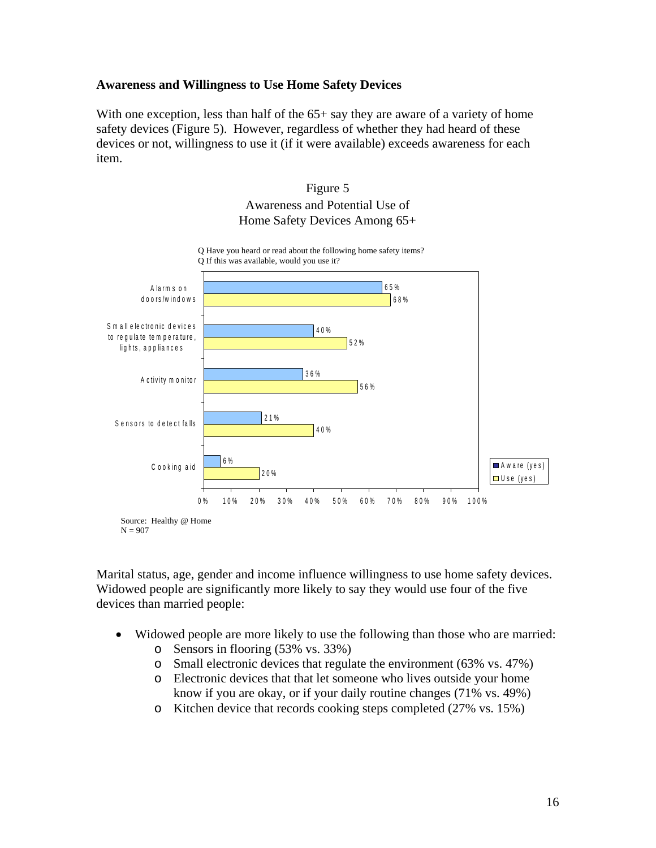#### **Awareness and Willingness to Use Home Safety Devices**

With one exception, less than half of the  $65+$  say they are aware of a variety of home safety devices (Figure 5). However, regardless of whether they had heard of these devices or not, willingness to use it (if it were available) exceeds awareness for each item.



Marital status, age, gender and income influence willingness to use home safety devices. Widowed people are significantly more likely to say they would use four of the five devices than married people:

- Widowed people are more likely to use the following than those who are married:
	- o Sensors in flooring (53% vs. 33%)
	- o Small electronic devices that regulate the environment (63% vs. 47%)
	- o Electronic devices that that let someone who lives outside your home know if you are okay, or if your daily routine changes (71% vs. 49%)
	- o Kitchen device that records cooking steps completed (27% vs. 15%)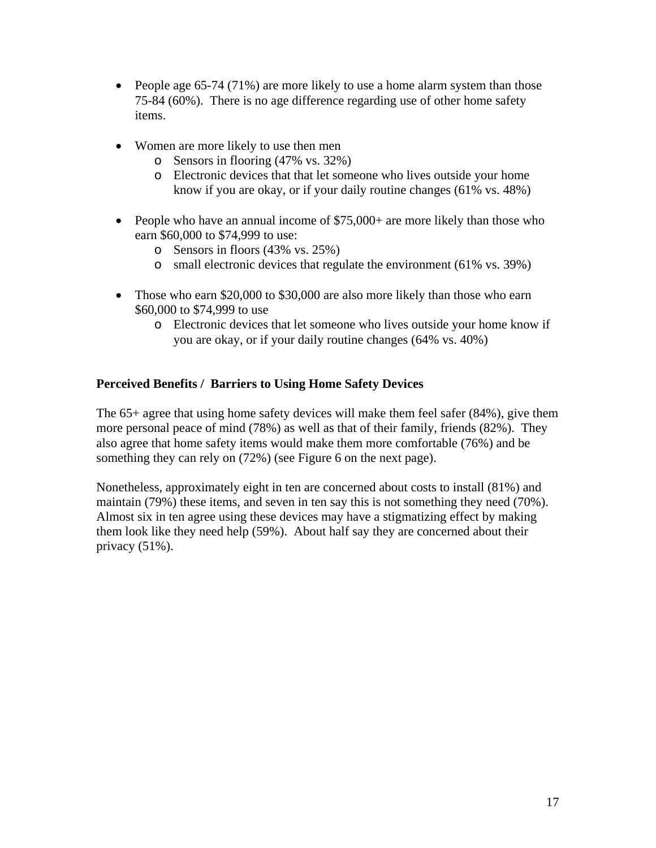- People age 65-74 (71%) are more likely to use a home alarm system than those 75-84 (60%). There is no age difference regarding use of other home safety items.
- Women are more likely to use then men
	- o Sensors in flooring (47% vs. 32%)
	- o Electronic devices that that let someone who lives outside your home know if you are okay, or if your daily routine changes (61% vs. 48%)
- People who have an annual income of \$75,000+ are more likely than those who earn \$60,000 to \$74,999 to use:
	- o Sensors in floors (43% vs. 25%)
	- o small electronic devices that regulate the environment (61% vs. 39%)
- Those who earn \$20,000 to \$30,000 are also more likely than those who earn \$60,000 to \$74,999 to use
	- o Electronic devices that let someone who lives outside your home know if you are okay, or if your daily routine changes (64% vs. 40%)

# **Perceived Benefits / Barriers to Using Home Safety Devices**

The 65+ agree that using home safety devices will make them feel safer (84%), give them more personal peace of mind (78%) as well as that of their family, friends (82%). They also agree that home safety items would make them more comfortable (76%) and be something they can rely on (72%) (see Figure 6 on the next page).

Nonetheless, approximately eight in ten are concerned about costs to install (81%) and maintain (79%) these items, and seven in ten say this is not something they need (70%). Almost six in ten agree using these devices may have a stigmatizing effect by making them look like they need help (59%). About half say they are concerned about their privacy (51%).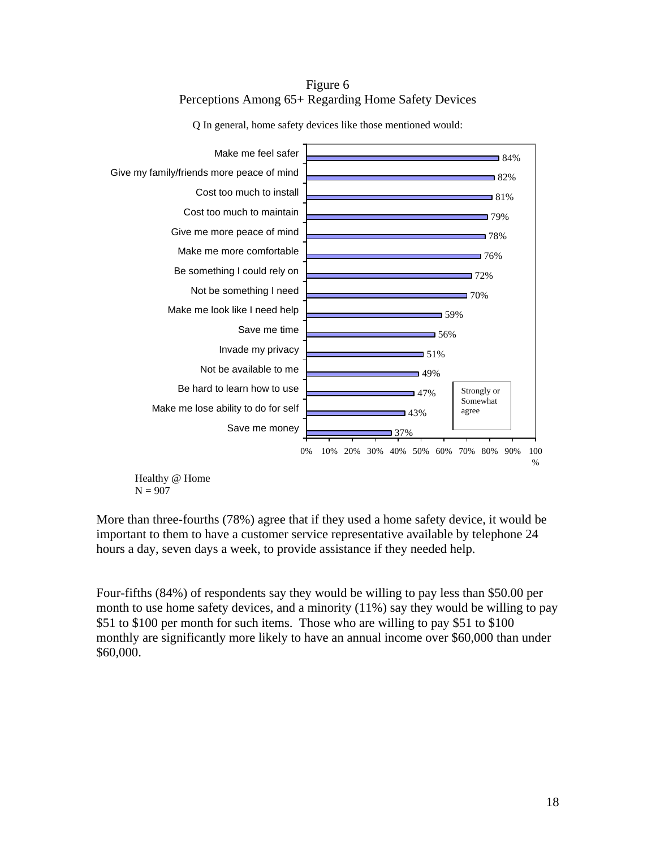### Figure 6 Perceptions Among 65+ Regarding Home Safety Devices



Q In general, home safety devices like those mentioned would:

 $N = 907$ 

More than three-fourths (78%) agree that if they used a home safety device, it would be important to them to have a customer service representative available by telephone 24 hours a day, seven days a week, to provide assistance if they needed help.

Four-fifths (84%) of respondents say they would be willing to pay less than \$50.00 per month to use home safety devices, and a minority (11%) say they would be willing to pay \$51 to \$100 per month for such items. Those who are willing to pay \$51 to \$100 monthly are significantly more likely to have an annual income over \$60,000 than under \$60,000.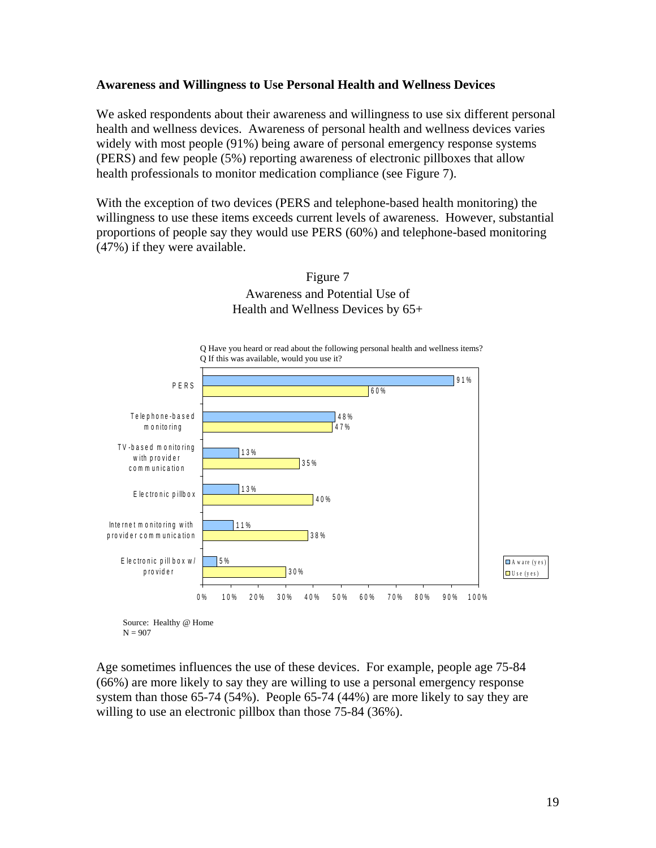#### **Awareness and Willingness to Use Personal Health and Wellness Devices**

We asked respondents about their awareness and willingness to use six different personal health and wellness devices. Awareness of personal health and wellness devices varies widely with most people (91%) being aware of personal emergency response systems (PERS) and few people (5%) reporting awareness of electronic pillboxes that allow health professionals to monitor medication compliance (see Figure 7).

With the exception of two devices (PERS and telephone-based health monitoring) the willingness to use these items exceeds current levels of awareness. However, substantial proportions of people say they would use PERS (60%) and telephone-based monitoring (47%) if they were available.







Age sometimes influences the use of these devices. For example, people age 75-84 (66%) are more likely to say they are willing to use a personal emergency response system than those 65-74 (54%). People 65-74 (44%) are more likely to say they are willing to use an electronic pillbox than those 75-84 (36%).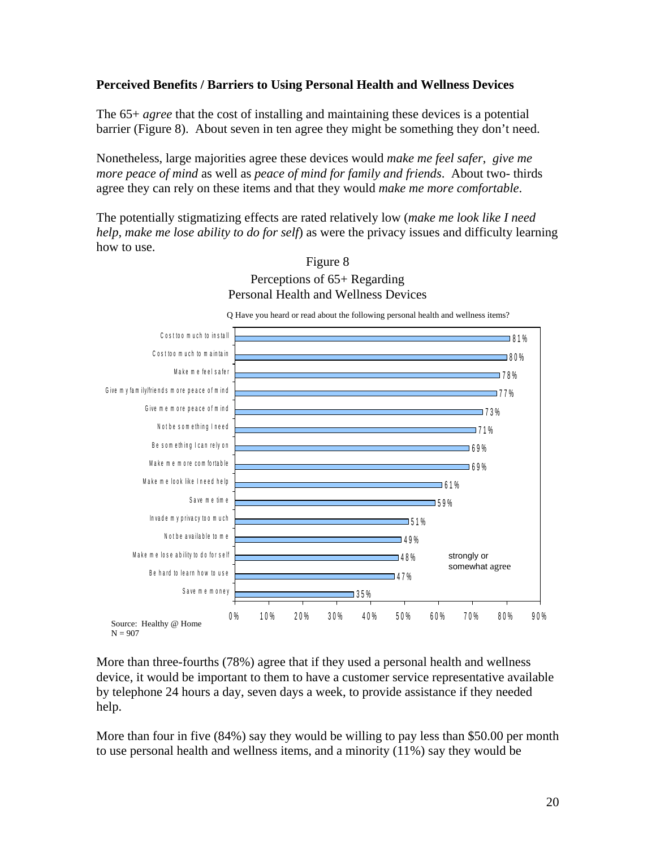#### **Perceived Benefits / Barriers to Using Personal Health and Wellness Devices**

The 65+ *agree* that the cost of installing and maintaining these devices is a potential barrier (Figure 8). About seven in ten agree they might be something they don't need.

Nonetheless, large majorities agree these devices would *make me feel safer*, *give me more peace of mind* as well as *peace of mind for family and friends*. About two- thirds agree they can rely on these items and that they would *make me more comfortable*.

The potentially stigmatizing effects are rated relatively low (*make me look like I need help, make me lose ability to do for self*) as were the privacy issues and difficulty learning how to use.



Figure 8 Perceptions of 65+ Regarding Personal Health and Wellness Devices

More than three-fourths (78%) agree that if they used a personal health and wellness device, it would be important to them to have a customer service representative available by telephone 24 hours a day, seven days a week, to provide assistance if they needed help.

More than four in five (84%) say they would be willing to pay less than \$50.00 per month to use personal health and wellness items, and a minority (11%) say they would be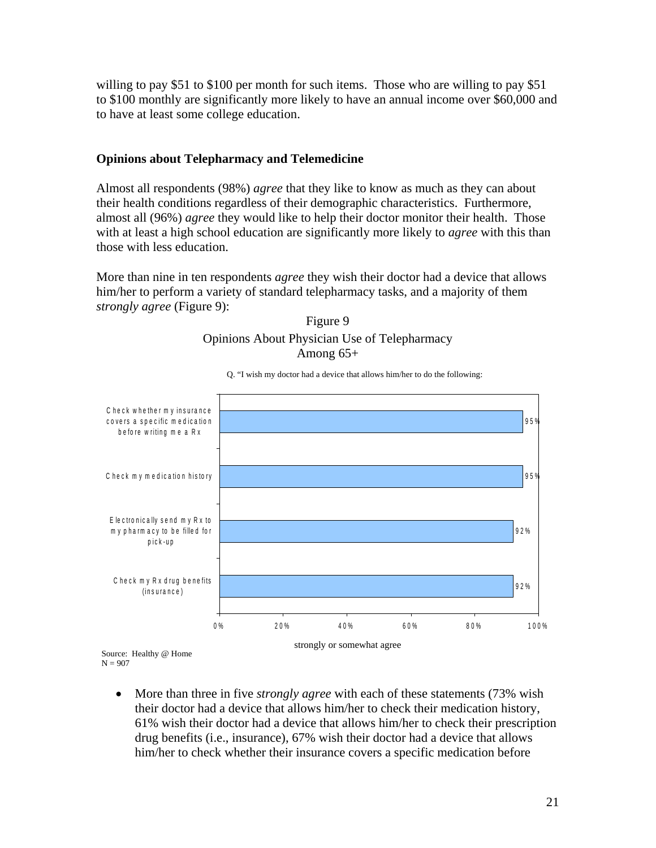willing to pay \$51 to \$100 per month for such items. Those who are willing to pay \$51 to \$100 monthly are significantly more likely to have an annual income over \$60,000 and to have at least some college education.

#### **Opinions about Telepharmacy and Telemedicine**

Almost all respondents (98%) *agree* that they like to know as much as they can about their health conditions regardless of their demographic characteristics. Furthermore, almost all (96%) *agree* they would like to help their doctor monitor their health. Those with at least a high school education are significantly more likely to *agree* with this than those with less education.

More than nine in ten respondents *agree* they wish their doctor had a device that allows him/her to perform a variety of standard telepharmacy tasks, and a majority of them *strongly agree* (Figure 9):







 $N = 907$ 

• More than three in five *strongly agree* with each of these statements (73% wish their doctor had a device that allows him/her to check their medication history, 61% wish their doctor had a device that allows him/her to check their prescription drug benefits (i.e., insurance), 67% wish their doctor had a device that allows him/her to check whether their insurance covers a specific medication before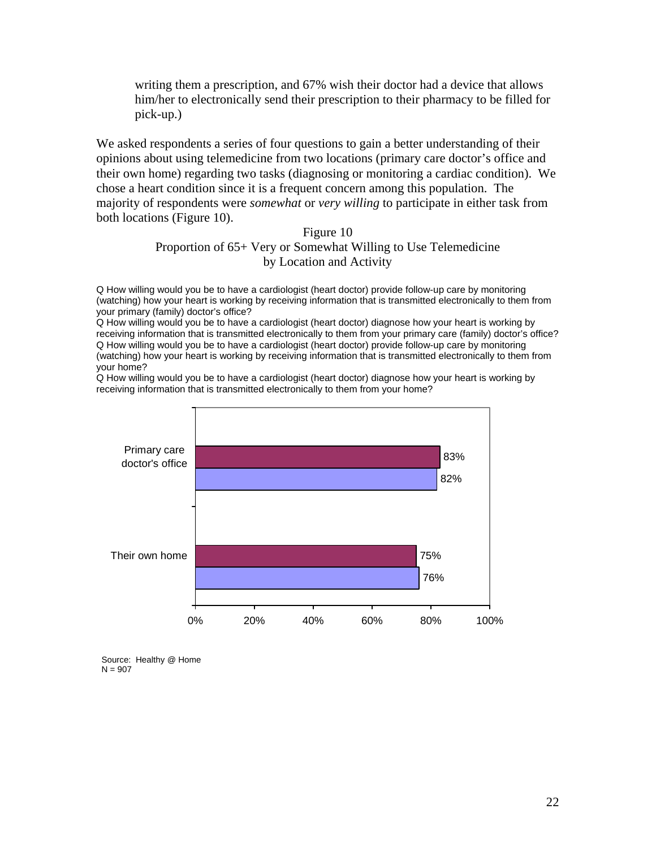writing them a prescription, and 67% wish their doctor had a device that allows him/her to electronically send their prescription to their pharmacy to be filled for pick-up.)

We asked respondents a series of four questions to gain a better understanding of their opinions about using telemedicine from two locations (primary care doctor's office and their own home) regarding two tasks (diagnosing or monitoring a cardiac condition). We chose a heart condition since it is a frequent concern among this population. The majority of respondents were *somewhat* or *very willing* to participate in either task from both locations (Figure 10).

### Figure 10 Proportion of 65+ Very or Somewhat Willing to Use Telemedicine by Location and Activity

Q How willing would you be to have a cardiologist (heart doctor) provide follow-up care by monitoring (watching) how your heart is working by receiving information that is transmitted electronically to them from your primary (family) doctor's office?

Q How willing would you be to have a cardiologist (heart doctor) diagnose how your heart is working by receiving information that is transmitted electronically to them from your primary care (family) doctor's office? Q How willing would you be to have a cardiologist (heart doctor) provide follow-up care by monitoring (watching) how your heart is working by receiving information that is transmitted electronically to them from your home?

Q How willing would you be to have a cardiologist (heart doctor) diagnose how your heart is working by receiving information that is transmitted electronically to them from your home?



Source: Healthy @ Home  $N = 907$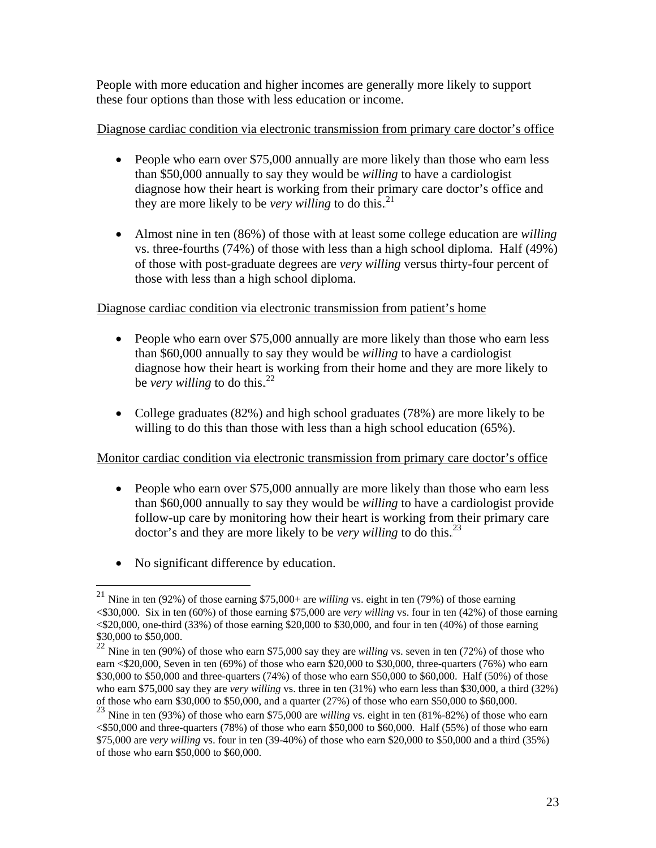People with more education and higher incomes are generally more likely to support these four options than those with less education or income.

# Diagnose cardiac condition via electronic transmission from primary care doctor's office

- People who earn over \$75,000 annually are more likely than those who earn less than \$50,000 annually to say they would be *willing* to have a cardiologist diagnose how their heart is working from their primary care doctor's office and they are more likely to be *very willing* to do this.<sup>21</sup>
- Almost nine in ten (86%) of those with at least some college education are *willing* vs. three-fourths (74%) of those with less than a high school diploma. Half (49%) of those with post-graduate degrees are *very willing* versus thirty-four percent of those with less than a high school diploma.

# Diagnose cardiac condition via electronic transmission from patient's home

- People who earn over \$75,000 annually are more likely than those who earn less than \$60,000 annually to say they would be *willing* to have a cardiologist diagnose how their heart is working from their home and they are more likely to be *very willing* to do this.<sup>22</sup>
- College graduates (82%) and high school graduates (78%) are more likely to be willing to do this than those with less than a high school education (65%).

# UMonitor cardiac condition via electronic transmission from primary care doctor's office

- People who earn over \$75,000 annually are more likely than those who earn less than \$60,000 annually to say they would be *willing* to have a cardiologist provide follow-up care by monitoring how their heart is working from their primary care doctor's and they are more likely to be *very willing* to do this.<sup>23</sup>
- No significant difference by education.

 $\overline{a}$ 

<sup>21</sup> Nine in ten (92%) of those earning \$75,000+ are *willing* vs. eight in ten (79%) of those earning <\$30,000. Six in ten (60%) of those earning \$75,000 are *very willing* vs. four in ten (42%) of those earning <\$20,000, one-third (33%) of those earning \$20,000 to \$30,000, and four in ten (40%) of those earning \$30,000 to \$50,000.

<sup>22</sup> Nine in ten (90%) of those who earn \$75,000 say they are *willing* vs. seven in ten (72%) of those who earn <\$20,000, Seven in ten (69%) of those who earn \$20,000 to \$30,000, three-quarters (76%) who earn \$30,000 to \$50,000 and three-quarters (74%) of those who earn \$50,000 to \$60,000. Half (50%) of those who earn \$75,000 say they are *very willing* vs. three in ten (31%) who earn less than \$30,000, a third (32%) of those who earn \$30,000 to \$50,000, and a quarter (27%) of those who earn \$50,000 to \$60,000.

<sup>23</sup> Nine in ten (93%) of those who earn \$75,000 are *willing* vs. eight in ten (81%-82%) of those who earn  $< $50,000$  and three-quarters (78%) of those who earn \$50,000 to \$60,000. Half (55%) of those who earn \$75,000 are *very willing* vs. four in ten (39-40%) of those who earn \$20,000 to \$50,000 and a third (35%) of those who earn \$50,000 to \$60,000.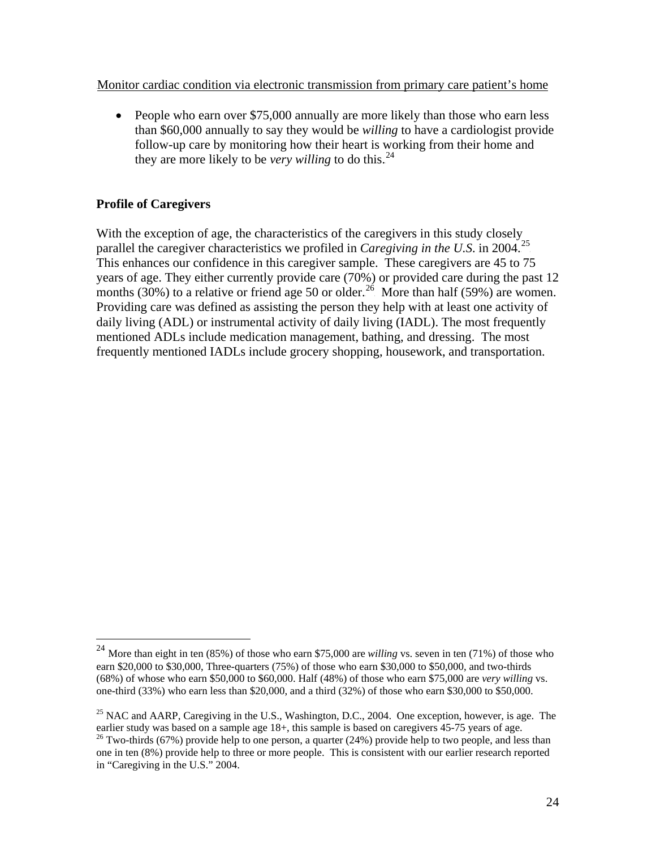<span id="page-27-0"></span>Monitor cardiac condition via electronic transmission from primary care patient's home

• People who earn over \$75,000 annually are more likely than those who earn less than \$60,000 annually to say they would be *willing* to have a cardiologist provide follow-up care by monitoring how their heart is working from their home and they are more likely to be *very willing* to do this.<sup>24</sup>

# **Profile of Caregivers**

 $\overline{a}$ 

With the exception of age, the characteristics of the caregivers in this study closely parallel the caregiver characteristics we profiled in *Caregiving in the U.S.* in 2004.<sup>25</sup> This enhances our confidence in this caregiver sample. These caregivers are 45 to 75 years of age. They either currently provide care (70%) or provided care during the past 12 months (30%) to a relative or friend age 50 or older.<sup>26</sup> More than half (59%) are women. Providing care was defined as assisting the person they help with at least one activity of daily living (ADL) or instrumental activity of daily living (IADL). The most frequently mentioned ADLs include medication management, bathing, and dressing. The most frequently mentioned IADLs include grocery shopping, housework, and transportation.

<sup>24</sup> More than eight in ten (85%) of those who earn \$75,000 are *willing* vs. seven in ten (71%) of those who earn \$20,000 to \$30,000, Three-quarters (75%) of those who earn \$30,000 to \$50,000, and two-thirds (68%) of whose who earn \$50,000 to \$60,000. Half (48%) of those who earn \$75,000 are *very willing* vs. one-third (33%) who earn less than \$20,000, and a third (32%) of those who earn \$30,000 to \$50,000.

<sup>&</sup>lt;sup>25</sup> NAC and AARP, Caregiving in the U.S., Washington, D.C., 2004. One exception, however, is age. The earlier study was based on a sample age  $18+$ , this sample is based on caregivers  $45-75$  years of age.

<sup>&</sup>lt;sup>26</sup> Two-thirds (67%) provide help to one person, a quarter (24%) provide help to two people, and less than one in ten (8%) provide help to three or more people. This is consistent with our earlier research reported in "Caregiving in the U.S." 2004.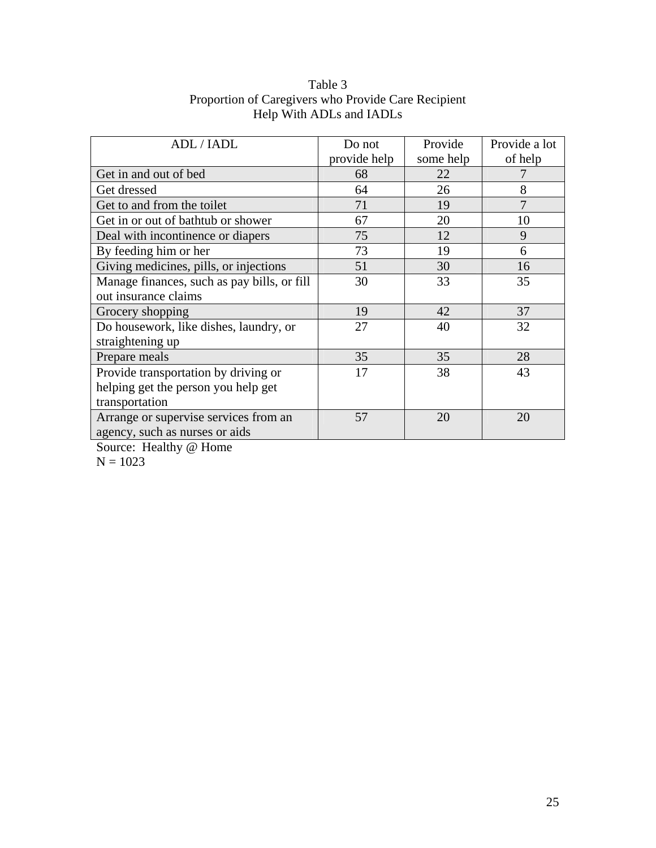| ADL / IADL                                  | Do not<br>provide help | Provide<br>some help | Provide a lot<br>of help |
|---------------------------------------------|------------------------|----------------------|--------------------------|
| Get in and out of bed                       | 68                     | 22                   |                          |
| Get dressed                                 | 64                     | 26                   | 8                        |
| Get to and from the toilet                  | 71                     | 19                   | 7                        |
| Get in or out of bathtub or shower          | 67                     | 20                   | 10                       |
| Deal with incontinence or diapers           | 75                     | 12                   | 9                        |
| By feeding him or her                       | 73                     | 19                   | 6                        |
| Giving medicines, pills, or injections      | 51                     | 30                   | 16                       |
| Manage finances, such as pay bills, or fill | 30                     | 33                   | 35                       |
| out insurance claims                        |                        |                      |                          |
| Grocery shopping                            | 19                     | 42                   | 37                       |
| Do housework, like dishes, laundry, or      | 27                     | 40                   | 32                       |
| straightening up                            |                        |                      |                          |
| Prepare meals                               | 35                     | 35                   | 28                       |
| Provide transportation by driving or        | 17                     | 38                   | 43                       |
| helping get the person you help get         |                        |                      |                          |
| transportation                              |                        |                      |                          |
| Arrange or supervise services from an       | 57                     | 20                   | 20                       |
| agency, such as nurses or aids              |                        |                      |                          |

# Table 3 Proportion of Caregivers who Provide Care Recipient Help With ADLs and IADLs

Source: Healthy @ Home

 $N = 1023$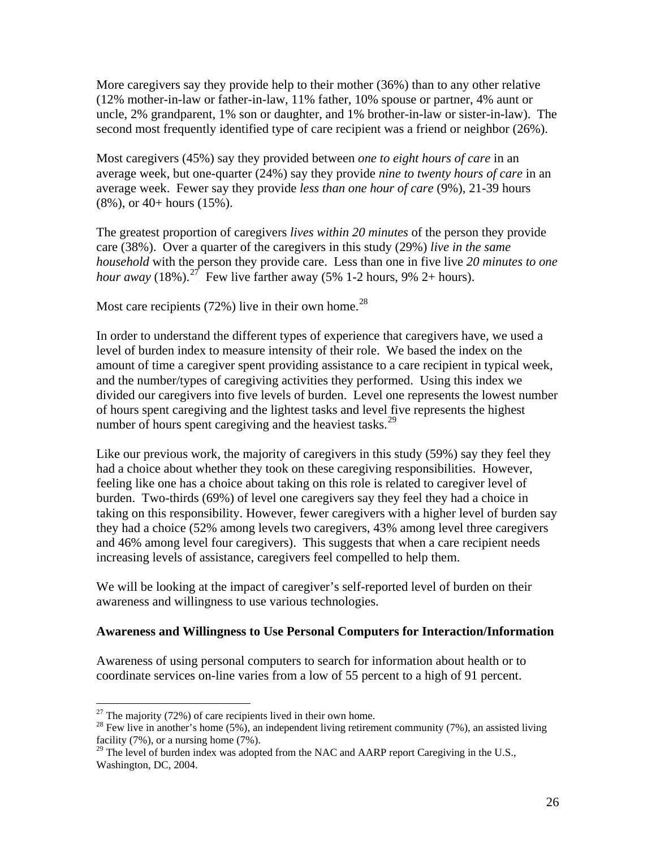More caregivers say they provide help to their mother (36%) than to any other relative (12% mother-in-law or father-in-law, 11% father, 10% spouse or partner, 4% aunt or uncle, 2% grandparent, 1% son or daughter, and 1% brother-in-law or sister-in-law). The second most frequently identified type of care recipient was a friend or neighbor (26%).

Most caregivers (45%) say they provided between *one to eight hours of care* in an average week, but one-quarter (24%) say they provide *nine to twenty hours of care* in an average week. Fewer say they provide *less than one hour of care* (9%), 21-39 hours (8%), or 40+ hours (15%).

The greatest proportion of caregivers *lives within 20 minutes* of the person they provide care (38%). Over a quarter of the caregivers in this study (29%) *live in the same household* with the person they provide care. Less than one in five live *20 minutes to one hour away* (18%).<sup>27</sup> Few live farther away (5% 1-2 hours, 9% 2+ hours).

Most care recipients (72%) live in their own home.<sup>28</sup>

In order to understand the different types of experience that caregivers have, we used a level of burden index to measure intensity of their role. We based the index on the amount of time a caregiver spent providing assistance to a care recipient in typical week, and the number/types of caregiving activities they performed. Using this index we divided our caregivers into five levels of burden. Level one represents the lowest number of hours spent caregiving and the lightest tasks and level five represents the highest number of hours spent caregiving and the heaviest tasks. $29$ 

Like our previous work, the majority of caregivers in this study (59%) say they feel they had a choice about whether they took on these caregiving responsibilities. However, feeling like one has a choice about taking on this role is related to caregiver level of burden. Two-thirds (69%) of level one caregivers say they feel they had a choice in taking on this responsibility. However, fewer caregivers with a higher level of burden say they had a choice (52% among levels two caregivers, 43% among level three caregivers and 46% among level four caregivers). This suggests that when a care recipient needs increasing levels of assistance, caregivers feel compelled to help them.

We will be looking at the impact of caregiver's self-reported level of burden on their awareness and willingness to use various technologies.

#### **Awareness and Willingness to Use Personal Computers for Interaction/Information**

Awareness of using personal computers to search for information about health or to coordinate services on-line varies from a low of 55 percent to a high of 91 percent.

 $\overline{a}$ 

<sup>&</sup>lt;sup>27</sup> The majority (72%) of care recipients lived in their own home.

<sup>&</sup>lt;sup>28</sup> Few live in another's home (5%), an independent living retirement community (7%), an assisted living facility (7%), or a nursing home (7%).

<sup>&</sup>lt;sup>29</sup> The level of burden index was adopted from the NAC and AARP report Caregiving in the U.S., Washington, DC, 2004.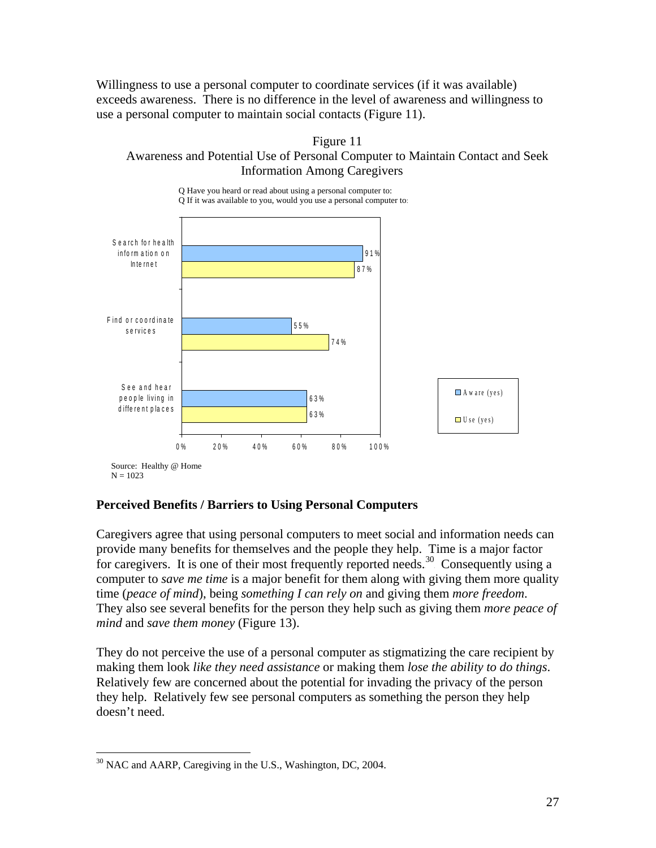Willingness to use a personal computer to coordinate services (if it was available) exceeds awareness. There is no difference in the level of awareness and willingness to use a personal computer to maintain social contacts (Figure 11).





# **Perceived Benefits / Barriers to Using Personal Computers**

Caregivers agree that using personal computers to meet social and information needs can provide many benefits for themselves and the people they help. Time is a major factor for caregivers. It is one of their most frequently reported needs.<sup>30</sup> Consequently using a computer to *save me time* is a major benefit for them along with giving them more quality time (*peace of mind*), being *something I can rely on* and giving them *more freedom*. They also see several benefits for the person they help such as giving them *more peace of mind* and *save them money* (Figure 13).

They do not perceive the use of a personal computer as stigmatizing the care recipient by making them look *like they need assistance* or making them *lose the ability to do things*. Relatively few are concerned about the potential for invading the privacy of the person they help. Relatively few see personal computers as something the person they help doesn't need.

<sup>&</sup>lt;u>.</u> <sup>30</sup> NAC and AARP, Caregiving in the U.S., Washington, DC, 2004.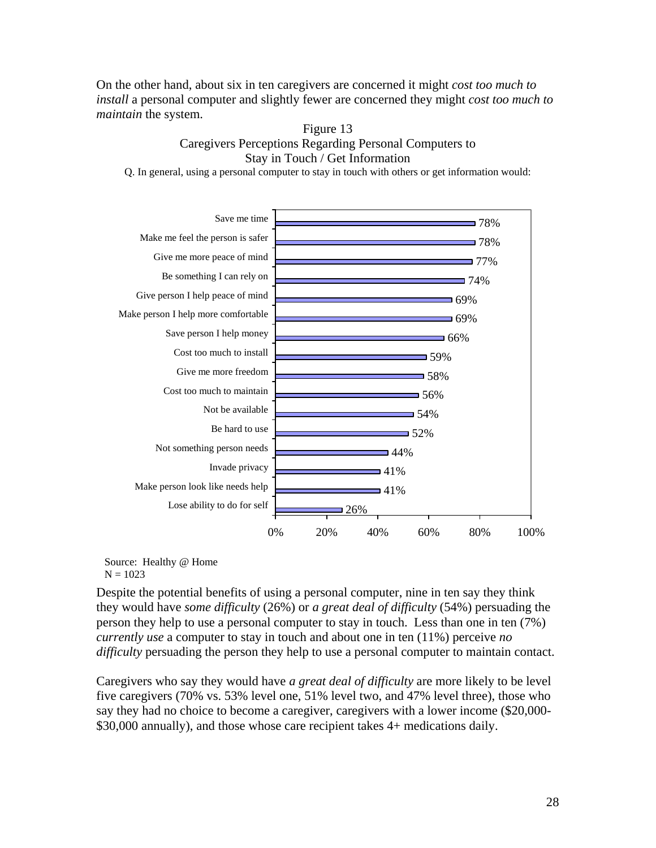On the other hand, about six in ten caregivers are concerned it might *cost too much to install* a personal computer and slightly fewer are concerned they might *cost too much to maintain* the system.

Figure 13



Source: Healthy @ Home  $N = 1023$ 

Despite the potential benefits of using a personal computer, nine in ten say they think they would have *some difficulty* (26%) or *a great deal of difficulty* (54%) persuading the person they help to use a personal computer to stay in touch. Less than one in ten (7%) *currently use* a computer to stay in touch and about one in ten (11%) perceive *no difficulty* persuading the person they help to use a personal computer to maintain contact.

Caregivers who say they would have *a great deal of difficulty* are more likely to be level five caregivers (70% vs. 53% level one, 51% level two, and 47% level three), those who say they had no choice to become a caregiver, caregivers with a lower income (\$20,000- \$30,000 annually), and those whose care recipient takes 4+ medications daily.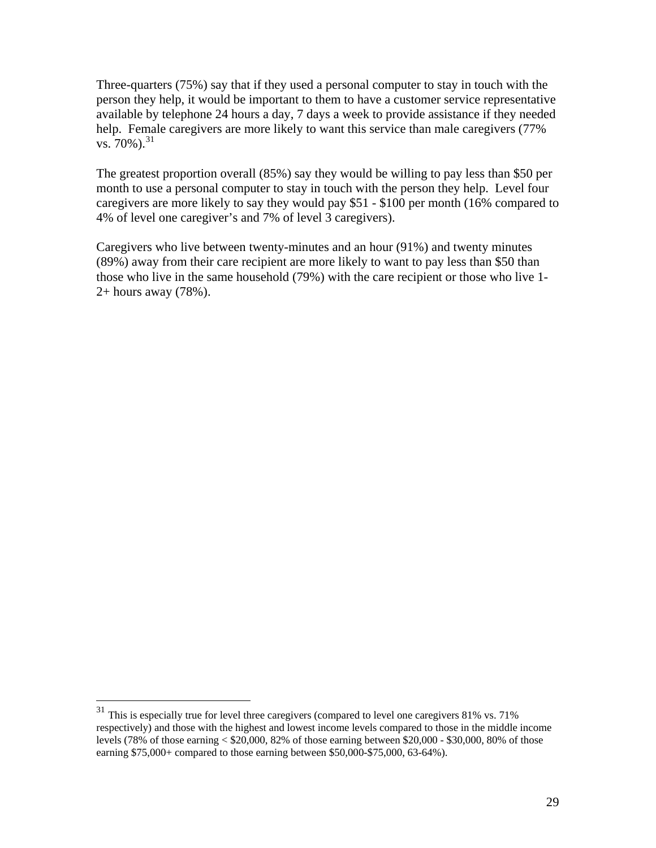Three-quarters (75%) say that if they used a personal computer to stay in touch with the person they help, it would be important to them to have a customer service representative available by telephone 24 hours a day, 7 days a week to provide assistance if they needed help. Female caregivers are more likely to want this service than male caregivers (77%)  $\sqrt{8}$ . 70%).<sup>31</sup>

The greatest proportion overall (85%) say they would be willing to pay less than \$50 per month to use a personal computer to stay in touch with the person they help. Level four caregivers are more likely to say they would pay \$51 - \$100 per month (16% compared to 4% of level one caregiver's and 7% of level 3 caregivers).

Caregivers who live between twenty-minutes and an hour (91%) and twenty minutes (89%) away from their care recipient are more likely to want to pay less than \$50 than those who live in the same household (79%) with the care recipient or those who live 1- 2+ hours away (78%).

1

 $31$  This is especially true for level three caregivers (compared to level one caregivers 81% vs. 71% respectively) and those with the highest and lowest income levels compared to those in the middle income levels (78% of those earning < \$20,000, 82% of those earning between \$20,000 - \$30,000, 80% of those earning \$75,000+ compared to those earning between \$50,000-\$75,000, 63-64%).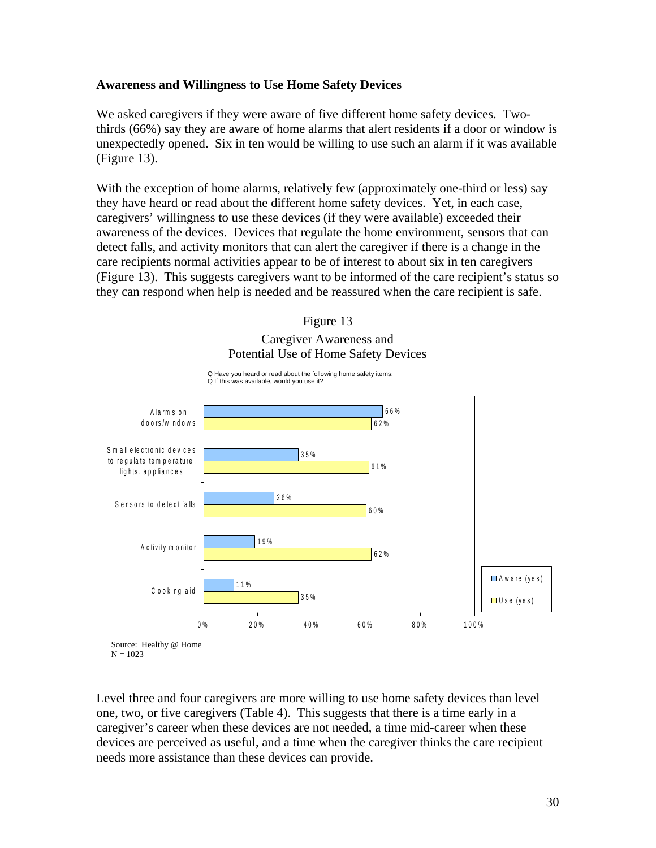#### **Awareness and Willingness to Use Home Safety Devices**

We asked caregivers if they were aware of five different home safety devices. Twothirds (66%) say they are aware of home alarms that alert residents if a door or window is unexpectedly opened. Six in ten would be willing to use such an alarm if it was available (Figure 13).

With the exception of home alarms, relatively few (approximately one-third or less) say they have heard or read about the different home safety devices. Yet, in each case, caregivers' willingness to use these devices (if they were available) exceeded their awareness of the devices. Devices that regulate the home environment, sensors that can detect falls, and activity monitors that can alert the caregiver if there is a change in the care recipients normal activities appear to be of interest to about six in ten caregivers (Figure 13). This suggests caregivers want to be informed of the care recipient's status so they can respond when help is needed and be reassured when the care recipient is safe.



Level three and four caregivers are more willing to use home safety devices than level one, two, or five caregivers (Table 4). This suggests that there is a time early in a caregiver's career when these devices are not needed, a time mid-career when these devices are perceived as useful, and a time when the caregiver thinks the care recipient needs more assistance than these devices can provide.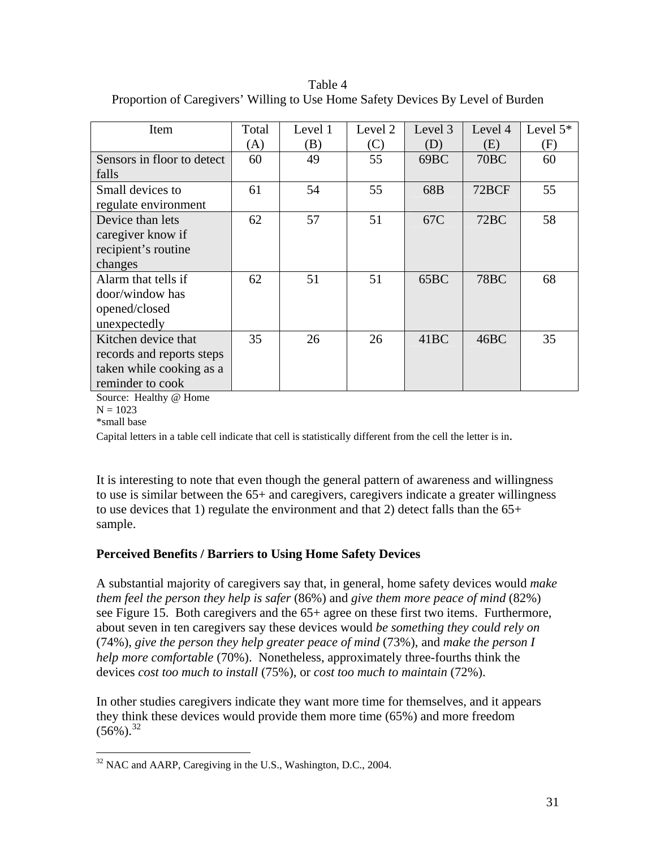Table 4 Proportion of Caregivers' Willing to Use Home Safety Devices By Level of Burden

| Item                       | Total | Level 1 | Level 2 | Level 3 | Level 4          | Level $5*$ |
|----------------------------|-------|---------|---------|---------|------------------|------------|
|                            | (A)   | (B)     | (C)     | (D)     | (E)              | (F)        |
| Sensors in floor to detect | 60    | 49      | 55      | 69BC    | 70 <sub>BC</sub> | 60         |
| falls                      |       |         |         |         |                  |            |
| Small devices to           | 61    | 54      | 55      | 68B     | 72BCF            | 55         |
| regulate environment       |       |         |         |         |                  |            |
| Device than lets           | 62    | 57      | 51      | 67C     | 72BC             | 58         |
| caregiver know if          |       |         |         |         |                  |            |
| recipient's routine        |       |         |         |         |                  |            |
| changes                    |       |         |         |         |                  |            |
| Alarm that tells if        | 62    | 51      | 51      | 65BC    | <b>78BC</b>      | 68         |
| door/window has            |       |         |         |         |                  |            |
| opened/closed              |       |         |         |         |                  |            |
| unexpectedly               |       |         |         |         |                  |            |
| Kitchen device that        | 35    | 26      | 26      | 41BC    | 46BC             | 35         |
| records and reports steps  |       |         |         |         |                  |            |
| taken while cooking as a   |       |         |         |         |                  |            |
| reminder to cook           |       |         |         |         |                  |            |

Source: Healthy @ Home

 $N = 1023$ 

\*small base

Capital letters in a table cell indicate that cell is statistically different from the cell the letter is in.

It is interesting to note that even though the general pattern of awareness and willingness to use is similar between the 65+ and caregivers, caregivers indicate a greater willingness to use devices that 1) regulate the environment and that 2) detect falls than the 65+ sample.

# **Perceived Benefits / Barriers to Using Home Safety Devices**

A substantial majority of caregivers say that, in general, home safety devices would *make them feel the person they help is safer* (86%) and *give them more peace of mind* (82%) see Figure 15. Both caregivers and the 65+ agree on these first two items. Furthermore, about seven in ten caregivers say these devices would *be something they could rely on* (74%), *give the person they help greater peace of mind* (73%), and *make the person I help more comfortable* (70%). Nonetheless, approximately three-fourths think the devices *cost too much to install* (75%), or *cost too much to maintain* (72%).

In other studies caregivers indicate they want more time for themselves, and it appears they think these devices would provide them more time (65%) and more freedom  $(56\%)$ <sup>32</sup>

 $\overline{a}$  $32$  NAC and AARP, Caregiving in the U.S., Washington, D.C., 2004.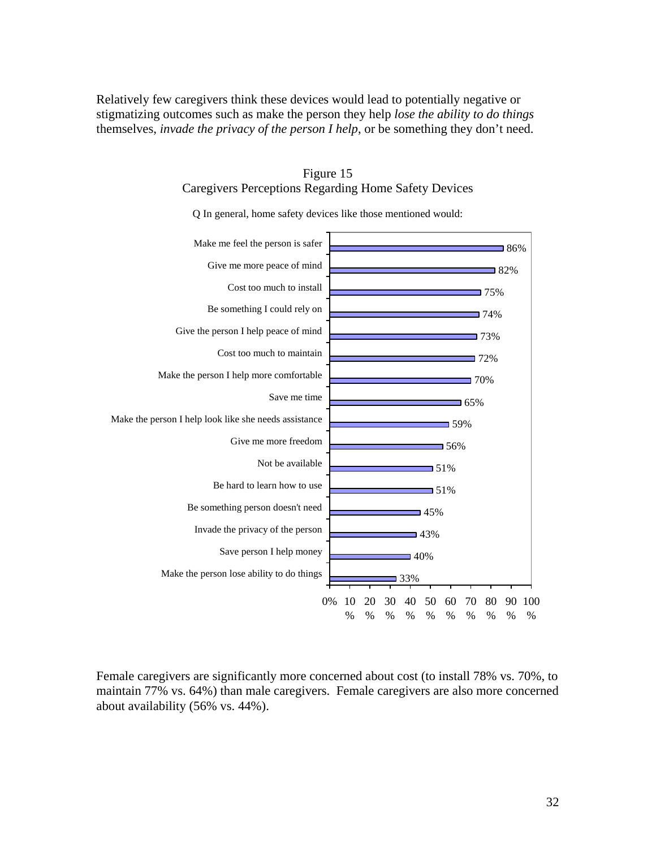Relatively few caregivers think these devices would lead to potentially negative or stigmatizing outcomes such as make the person they help *lose the ability to do things* themselves, *invade the privacy of the person I help*, or be something they don't need.



Figure 15 Caregivers Perceptions Regarding Home Safety Devices

Female caregivers are significantly more concerned about cost (to install 78% vs. 70%, to maintain 77% vs. 64%) than male caregivers. Female caregivers are also more concerned about availability (56% vs. 44%).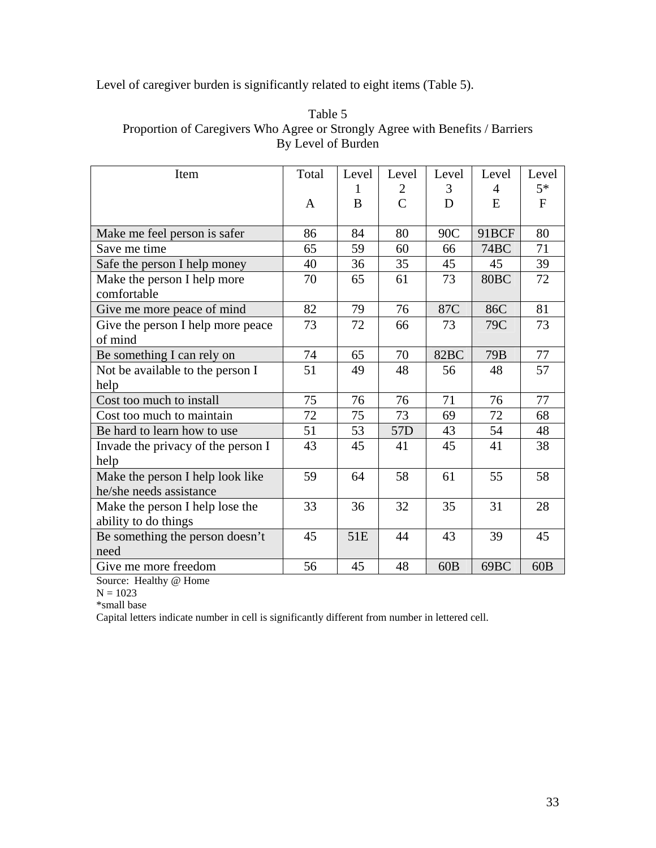Level of caregiver burden is significantly related to eight items (Table 5).

| Item                               | Total | Level           | Level           | Level | Level            | Level        |
|------------------------------------|-------|-----------------|-----------------|-------|------------------|--------------|
|                                    |       |                 | 2               | 3     | 4                | $5*$         |
|                                    | A     | B               | $\overline{C}$  | D     | E                | $\mathbf{F}$ |
|                                    |       |                 |                 |       |                  |              |
| Make me feel person is safer       | 86    | 84              | 80              | 90C   | 91BCF            | 80           |
| Save me time                       | 65    | 59              | 60              | 66    | 74BC             | 71           |
| Safe the person I help money       | 40    | 36              | 35              | 45    | 45               | 39           |
| Make the person I help more        | 70    | 65              | 61              | 73    | 80 <sub>BC</sub> | 72           |
| comfortable                        |       |                 |                 |       |                  |              |
| Give me more peace of mind         | 82    | 79              | 76              | 87C   | 86C              | 81           |
| Give the person I help more peace  | 73    | 72              | 66              | 73    | 79C              | 73           |
| of mind                            |       |                 |                 |       |                  |              |
| Be something I can rely on         | 74    | 65              | 70              | 82BC  | 79 <sub>B</sub>  | 77           |
| Not be available to the person I   | 51    | 49              | 48              | 56    | 48               | 57           |
| help                               |       |                 |                 |       |                  |              |
| Cost too much to install           | 75    | 76              | 76              | 71    | 76               | 77           |
| Cost too much to maintain          | 72    | 75              | 73              | 69    | 72               | 68           |
| Be hard to learn how to use        | 51    | 53              | 57 <sub>D</sub> | 43    | 54               | 48           |
| Invade the privacy of the person I | 43    | 45              | 41              | 45    | 41               | 38           |
| help                               |       |                 |                 |       |                  |              |
| Make the person I help look like   | 59    | 64              | 58              | 61    | 55               | 58           |
| he/she needs assistance            |       |                 |                 |       |                  |              |
| Make the person I help lose the    | 33    | 36              | 32              | 35    | 31               | 28           |
| ability to do things               |       |                 |                 |       |                  |              |
| Be something the person doesn't    | 45    | 51 <sub>E</sub> | 44              | 43    | 39               | 45           |
| need                               |       |                 |                 |       |                  |              |
| Give me more freedom               | 56    | 45              | 48              | 60B   | 69BC             | 60B          |

Table 5 Proportion of Caregivers Who Agree or Strongly Agree with Benefits / Barriers By Level of Burden

Source: Healthy @ Home

 $N = 1023$ 

\*small base

Capital letters indicate number in cell is significantly different from number in lettered cell.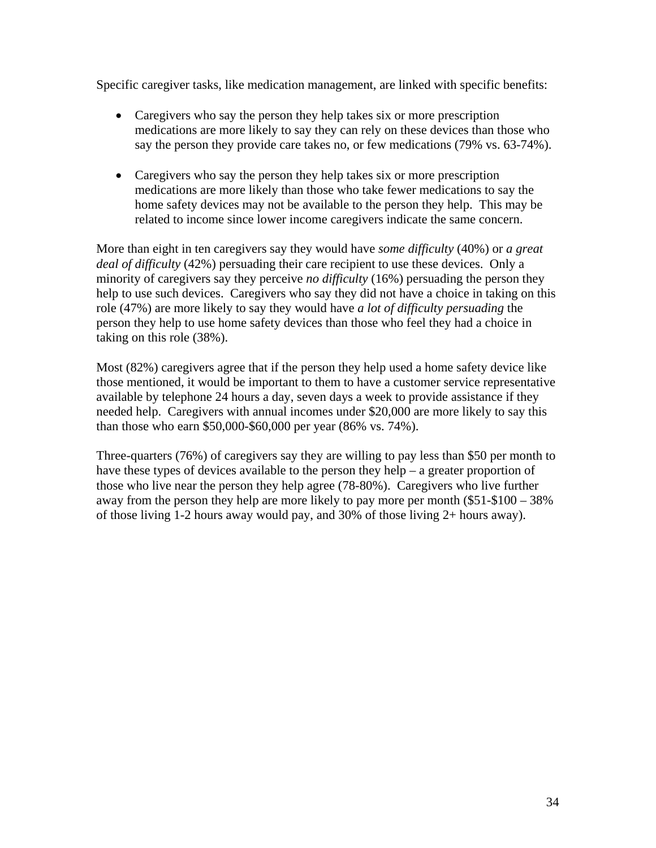Specific caregiver tasks, like medication management, are linked with specific benefits:

- Caregivers who say the person they help takes six or more prescription medications are more likely to say they can rely on these devices than those who say the person they provide care takes no, or few medications (79% vs. 63-74%).
- Caregivers who say the person they help takes six or more prescription medications are more likely than those who take fewer medications to say the home safety devices may not be available to the person they help. This may be related to income since lower income caregivers indicate the same concern.

More than eight in ten caregivers say they would have *some difficulty* (40%) or *a great deal of difficulty* (42%) persuading their care recipient to use these devices. Only a minority of caregivers say they perceive *no difficulty* (16%) persuading the person they help to use such devices. Caregivers who say they did not have a choice in taking on this role (47%) are more likely to say they would have *a lot of difficulty persuading* the person they help to use home safety devices than those who feel they had a choice in taking on this role (38%).

Most (82%) caregivers agree that if the person they help used a home safety device like those mentioned, it would be important to them to have a customer service representative available by telephone 24 hours a day, seven days a week to provide assistance if they needed help. Caregivers with annual incomes under \$20,000 are more likely to say this than those who earn \$50,000-\$60,000 per year (86% vs. 74%).

Three-quarters (76%) of caregivers say they are willing to pay less than \$50 per month to have these types of devices available to the person they help – a greater proportion of those who live near the person they help agree (78-80%). Caregivers who live further away from the person they help are more likely to pay more per month (\$51-\$100 – 38% of those living 1-2 hours away would pay, and 30% of those living 2+ hours away).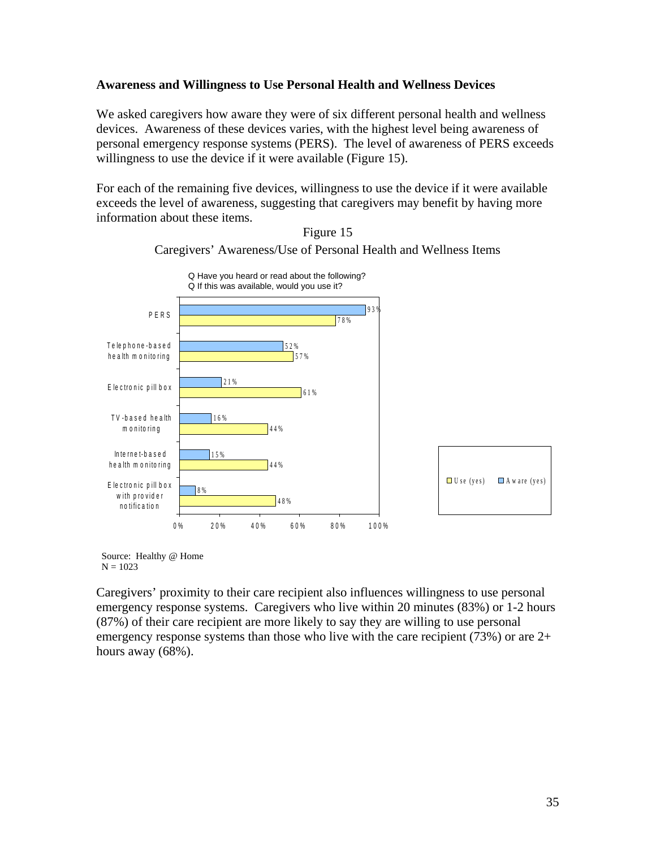#### **Awareness and Willingness to Use Personal Health and Wellness Devices**

We asked caregivers how aware they were of six different personal health and wellness devices. Awareness of these devices varies, with the highest level being awareness of personal emergency response systems (PERS). The level of awareness of PERS exceeds willingness to use the device if it were available (Figure 15).

For each of the remaining five devices, willingness to use the device if it were available exceeds the level of awareness, suggesting that caregivers may benefit by having more information about these items.



Figure 15 Caregivers' Awareness/Use of Personal Health and Wellness Items

Source: Healthy @ Home  $N = 1023$ 

Caregivers' proximity to their care recipient also influences willingness to use personal emergency response systems. Caregivers who live within 20 minutes (83%) or 1-2 hours (87%) of their care recipient are more likely to say they are willing to use personal emergency response systems than those who live with the care recipient (73%) or are 2+ hours away (68%).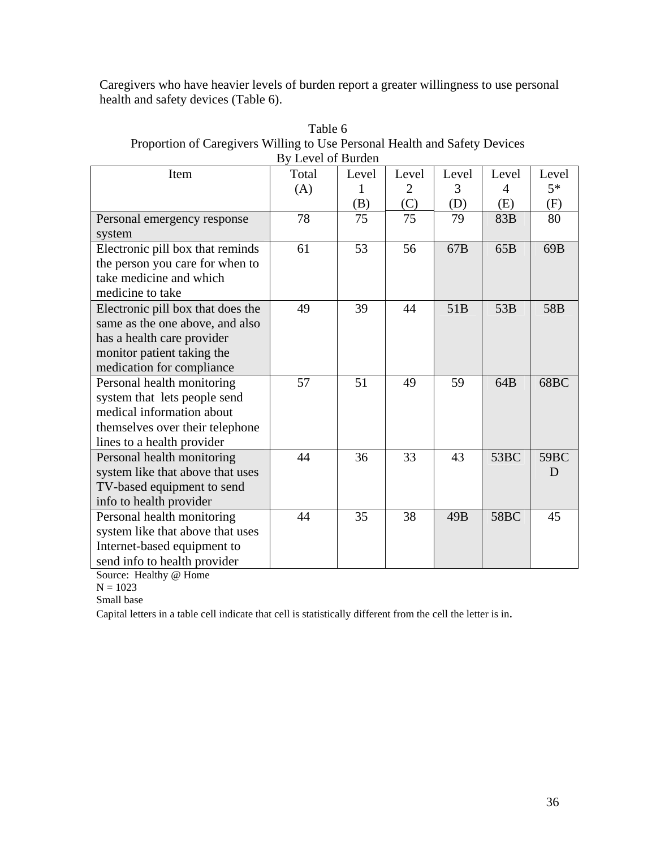Caregivers who have heavier levels of burden report a greater willingness to use personal health and safety devices (Table 6).

| Item                              | Dy LUVUI VI DUIUUI<br>Total | Level | Level | Level           | Level | Level            |
|-----------------------------------|-----------------------------|-------|-------|-----------------|-------|------------------|
|                                   | (A)                         |       | 2     | 3               | 4     | $5*$             |
|                                   |                             | (B)   | (C)   | (D)             | (E)   | (F)              |
| Personal emergency response       | 78                          | 75    | 75    | 79              | 83B   | 80               |
| system                            |                             |       |       |                 |       |                  |
| Electronic pill box that reminds  | 61                          | 53    | 56    | 67 <sub>B</sub> | 65B   | 69 <sub>B</sub>  |
| the person you care for when to   |                             |       |       |                 |       |                  |
| take medicine and which           |                             |       |       |                 |       |                  |
| medicine to take                  |                             |       |       |                 |       |                  |
| Electronic pill box that does the | 49                          | 39    | 44    | 51B             | 53B   | 58 <sub>B</sub>  |
| same as the one above, and also   |                             |       |       |                 |       |                  |
| has a health care provider        |                             |       |       |                 |       |                  |
| monitor patient taking the        |                             |       |       |                 |       |                  |
| medication for compliance         |                             |       |       |                 |       |                  |
| Personal health monitoring        | 57                          | 51    | 49    | 59              | 64B   | 68BC             |
| system that lets people send      |                             |       |       |                 |       |                  |
| medical information about         |                             |       |       |                 |       |                  |
| themselves over their telephone   |                             |       |       |                 |       |                  |
| lines to a health provider        |                             |       |       |                 |       |                  |
| Personal health monitoring        | 44                          | 36    | 33    | 43              | 53BC  | 59 <sub>BC</sub> |
| system like that above that uses  |                             |       |       |                 |       | D                |
| TV-based equipment to send        |                             |       |       |                 |       |                  |
| info to health provider           |                             |       |       |                 |       |                  |
| Personal health monitoring        | 44                          | 35    | 38    | 49B             | 58BC  | 45               |
| system like that above that uses  |                             |       |       |                 |       |                  |
| Internet-based equipment to       |                             |       |       |                 |       |                  |
| send info to health provider      |                             |       |       |                 |       |                  |

Table 6 Proportion of Caregivers Willing to Use Personal Health and Safety Devices By Level of Burden

Source: Healthy @ Home

 $N = 1023$ 

Small base

Capital letters in a table cell indicate that cell is statistically different from the cell the letter is in.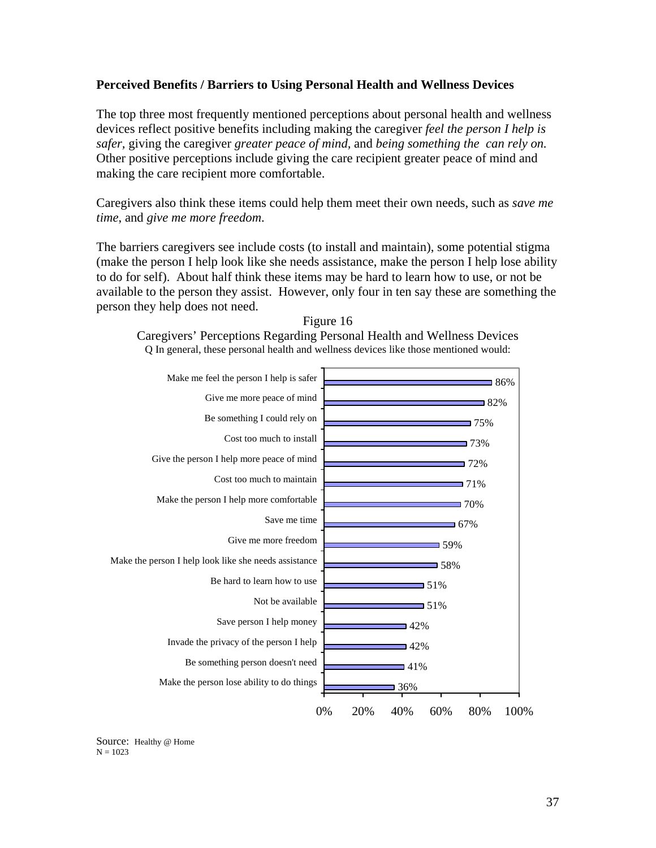#### **Perceived Benefits / Barriers to Using Personal Health and Wellness Devices**

The top three most frequently mentioned perceptions about personal health and wellness devices reflect positive benefits including making the caregiver *feel the person I help is safer,* giving the caregiver *greater peace of mind,* and *being something the can rely on.*  Other positive perceptions include giving the care recipient greater peace of mind and making the care recipient more comfortable.

Caregivers also think these items could help them meet their own needs, such as *save me time*, and *give me more freedom*.

The barriers caregivers see include costs (to install and maintain), some potential stigma (make the person I help look like she needs assistance, make the person I help lose ability to do for self). About half think these items may be hard to learn how to use, or not be available to the person they assist. However, only four in ten say these are something the person they help does not need.





Caregivers' Perceptions Regarding Personal Health and Wellness Devices Q In general, these personal health and wellness devices like those mentioned would:

Source: Healthy @ Home  $N = 1023$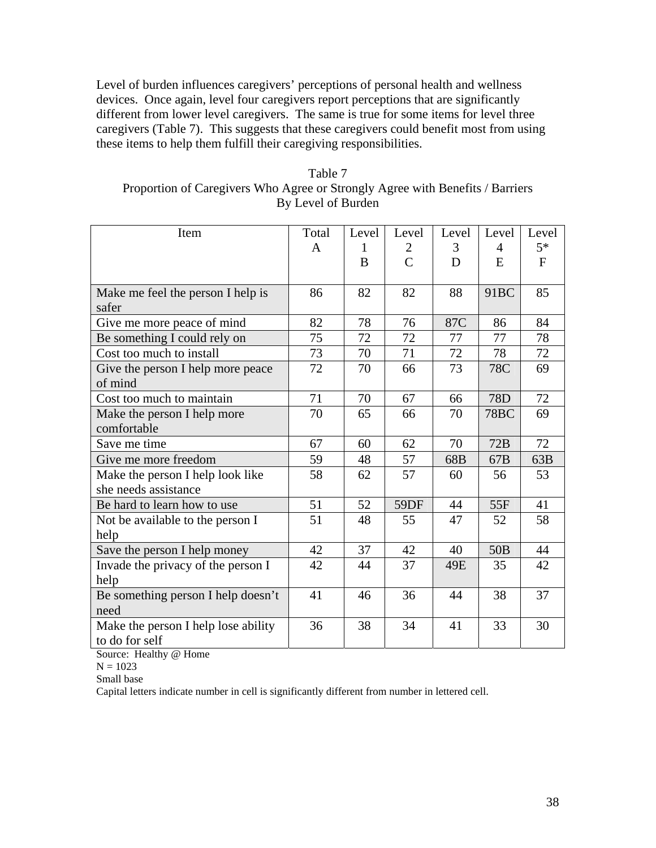Level of burden influences caregivers' perceptions of personal health and wellness devices. Once again, level four caregivers report perceptions that are significantly different from lower level caregivers. The same is true for some items for level three caregivers (Table 7). This suggests that these caregivers could benefit most from using these items to help them fulfill their caregiving responsibilities.

| Table 7                                                                       |
|-------------------------------------------------------------------------------|
| Proportion of Caregivers Who Agree or Strongly Agree with Benefits / Barriers |
| By Level of Burden                                                            |

| Item                                | Total | Level | Level          | Level | Level            | Level     |
|-------------------------------------|-------|-------|----------------|-------|------------------|-----------|
|                                     | A     | 1     | 2              | 3     | 4                | $5*$      |
|                                     |       | B     | $\overline{C}$ | D     | E                | $F_{\rm}$ |
|                                     |       |       |                |       |                  |           |
| Make me feel the person I help is   | 86    | 82    | 82             | 88    | 91 <sub>BC</sub> | 85        |
| safer                               |       |       |                |       |                  |           |
| Give me more peace of mind          | 82    | 78    | 76             | 87C   | 86               | 84        |
| Be something I could rely on        | 75    | 72    | 72             | 77    | 77               | 78        |
| Cost too much to install            | 73    | 70    | 71             | 72    | 78               | 72        |
| Give the person I help more peace   | 72    | 70    | 66             | 73    | 78C              | 69        |
| of mind                             |       |       |                |       |                  |           |
| Cost too much to maintain           | 71    | 70    | 67             | 66    | 78D              | 72        |
| Make the person I help more         | 70    | 65    | 66             | 70    | <b>78BC</b>      | 69        |
| comfortable                         |       |       |                |       |                  |           |
| Save me time                        | 67    | 60    | 62             | 70    | 72B              | 72        |
| Give me more freedom                | 59    | 48    | 57             | 68B   | 67B              | 63B       |
| Make the person I help look like    | 58    | 62    | 57             | 60    | 56               | 53        |
| she needs assistance                |       |       |                |       |                  |           |
| Be hard to learn how to use         | 51    | 52    | 59DF           | 44    | 55F              | 41        |
| Not be available to the person I    | 51    | 48    | 55             | 47    | 52               | 58        |
| help                                |       |       |                |       |                  |           |
| Save the person I help money        | 42    | 37    | 42             | 40    | 50 <sub>B</sub>  | 44        |
| Invade the privacy of the person I  | 42    | 44    | 37             | 49E   | 35               | 42        |
| help                                |       |       |                |       |                  |           |
| Be something person I help doesn't  | 41    | 46    | 36             | 44    | 38               | 37        |
| need                                |       |       |                |       |                  |           |
| Make the person I help lose ability | 36    | 38    | 34             | 41    | 33               | 30        |
| to do for self                      |       |       |                |       |                  |           |

Source: Healthy @ Home

 $N = 1023$ 

Small base

Capital letters indicate number in cell is significantly different from number in lettered cell.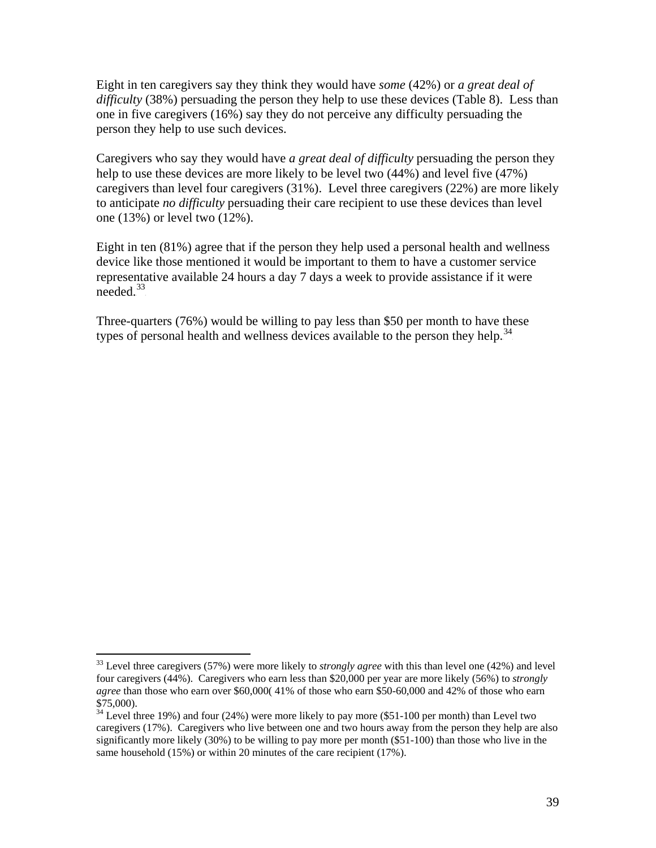Eight in ten caregivers say they think they would have *some* (42%) or *a great deal of difficulty* (38%) persuading the person they help to use these devices (Table 8). Less than one in five caregivers (16%) say they do not perceive any difficulty persuading the person they help to use such devices.

Caregivers who say they would have *a great deal of difficulty* persuading the person they help to use these devices are more likely to be level two (44%) and level five (47%) caregivers than level four caregivers (31%). Level three caregivers (22%) are more likely to anticipate *no difficulty* persuading their care recipient to use these devices than level one (13%) or level two (12%).

Eight in ten (81%) agree that if the person they help used a personal health and wellness device like those mentioned it would be important to them to have a customer service representative available 24 hours a day 7 days a week to provide assistance if it were  $\degree$ needed. $^{33}$ 

Three-quarters (76%) would be willing to pay less than \$50 per month to have these types of personal health and wellness devices available to the person they help.<sup>34</sup>

 $\overline{a}$ 

<sup>&</sup>lt;sup>33</sup> Level three caregivers (57%) were more likely to *strongly agree* with this than level one (42%) and level four caregivers (44%). Caregivers who earn less than \$20,000 per year are more likely (56%) to *strongly agree* than those who earn over \$60,000( 41% of those who earn \$50-60,000 and 42% of those who earn \$75,000).

 $34$  Level three 19%) and four (24%) were more likely to pay more (\$51-100 per month) than Level two caregivers (17%). Caregivers who live between one and two hours away from the person they help are also significantly more likely (30%) to be willing to pay more per month (\$51-100) than those who live in the same household (15%) or within 20 minutes of the care recipient (17%).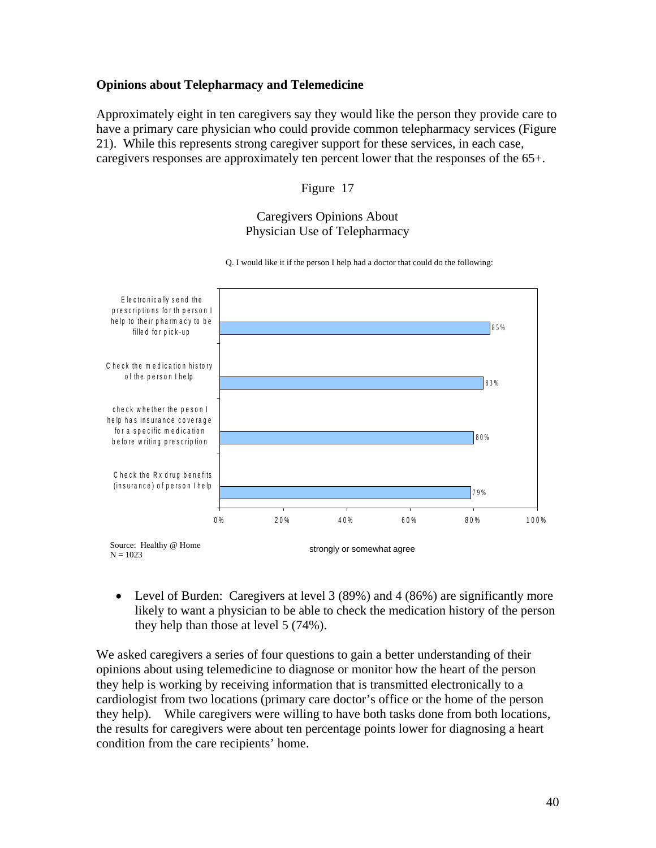#### **Opinions about Telepharmacy and Telemedicine**

Approximately eight in ten caregivers say they would like the person they provide care to have a primary care physician who could provide common telepharmacy services (Figure 21). While this represents strong caregiver support for these services, in each case, caregivers responses are approximately ten percent lower that the responses of the 65+.

Figure 17

#### Caregivers Opinions About Physician Use of Telepharmacy



Q. I would like it if the person I help had a doctor that could do the following:

• Level of Burden: Caregivers at level 3 (89%) and 4 (86%) are significantly more likely to want a physician to be able to check the medication history of the person they help than those at level 5 (74%).

We asked caregivers a series of four questions to gain a better understanding of their opinions about using telemedicine to diagnose or monitor how the heart of the person they help is working by receiving information that is transmitted electronically to a cardiologist from two locations (primary care doctor's office or the home of the person they help). While caregivers were willing to have both tasks done from both locations, the results for caregivers were about ten percentage points lower for diagnosing a heart condition from the care recipients' home.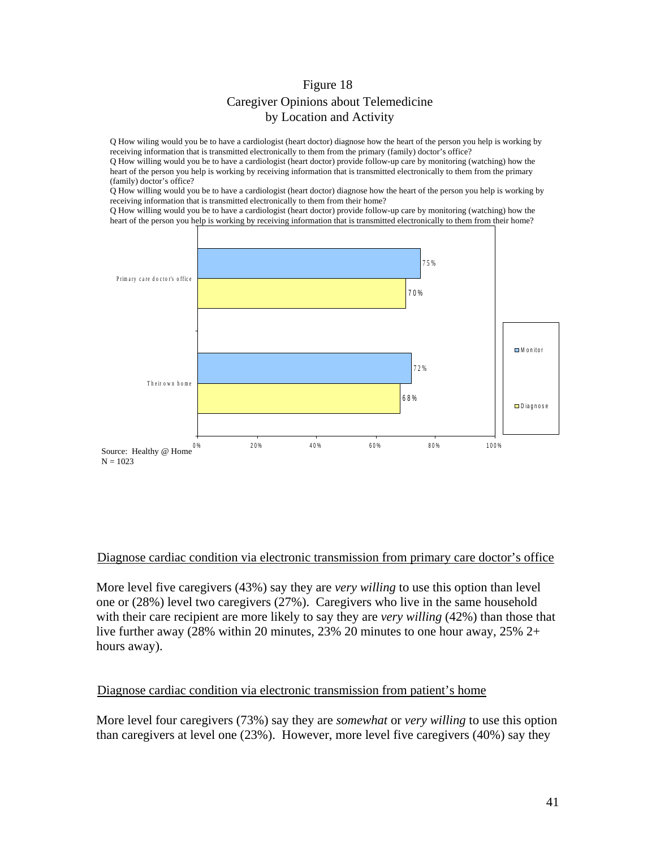## Figure 18 Caregiver Opinions about Telemedicine by Location and Activity

Q How wiling would you be to have a cardiologist (heart doctor) diagnose how the heart of the person you help is working by receiving information that is transmitted electronically to them from the primary (family) doctor's office?

Q How willing would you be to have a cardiologist (heart doctor) provide follow-up care by monitoring (watching) how the heart of the person you help is working by receiving information that is transmitted electronically to them from the primary (family) doctor's office?

Q How willing would you be to have a cardiologist (heart doctor) diagnose how the heart of the person you help is working by receiving information that is transmitted electronically to them from their home?

Q How willing would you be to have a cardiologist (heart doctor) provide follow-up care by monitoring (watching) how the heart of the person you help is working by receiving information that is transmitted electronically to them from their home?



# Diagnose cardiac condition via electronic transmission from primary care doctor's office

More level five caregivers (43%) say they are *very willing* to use this option than level one or (28%) level two caregivers (27%). Caregivers who live in the same household with their care recipient are more likely to say they are *very willing* (42%) than those that live further away (28% within 20 minutes, 23% 20 minutes to one hour away, 25% 2+ hours away).

#### Diagnose cardiac condition via electronic transmission from patient's home

More level four caregivers (73%) say they are *somewhat* or *very willing* to use this option than caregivers at level one (23%). However, more level five caregivers (40%) say they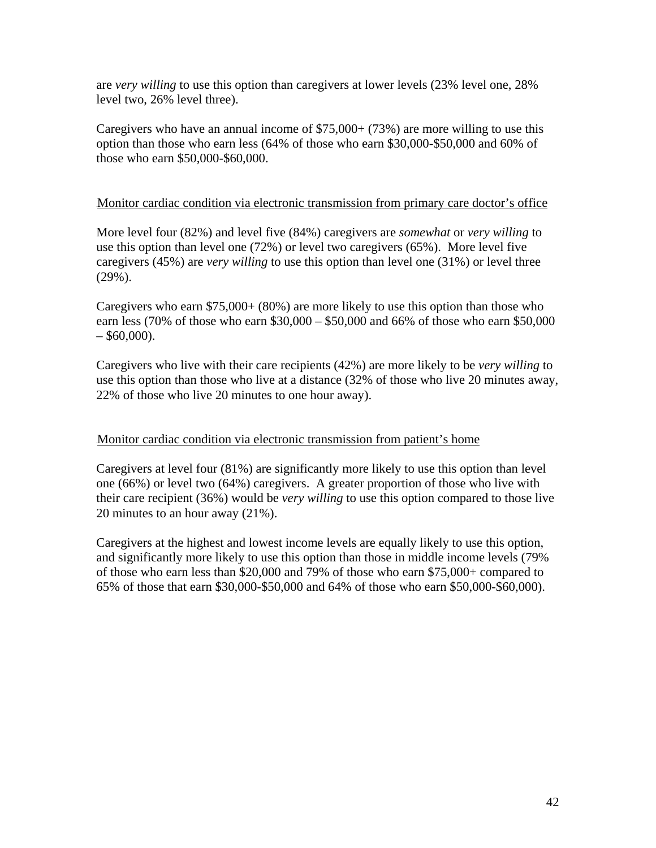are *very willing* to use this option than caregivers at lower levels (23% level one, 28% level two, 26% level three).

Caregivers who have an annual income of  $$75,000+ (73%)$  are more willing to use this option than those who earn less (64% of those who earn \$30,000-\$50,000 and 60% of those who earn \$50,000-\$60,000.

#### UMonitor cardiac condition via electronic transmission from primary care doctor's office

More level four (82%) and level five (84%) caregivers are *somewhat* or *very willing* to use this option than level one (72%) or level two caregivers (65%). More level five caregivers (45%) are *very willing* to use this option than level one (31%) or level three (29%).

Caregivers who earn \$75,000+ (80%) are more likely to use this option than those who earn less (70% of those who earn \$30,000 – \$50,000 and 66% of those who earn \$50,000  $-$  \$60,000).

Caregivers who live with their care recipients (42%) are more likely to be *very willing* to use this option than those who live at a distance (32% of those who live 20 minutes away, 22% of those who live 20 minutes to one hour away).

#### Monitor cardiac condition via electronic transmission from patient's home

Caregivers at level four (81%) are significantly more likely to use this option than level one (66%) or level two (64%) caregivers. A greater proportion of those who live with their care recipient (36%) would be *very willing* to use this option compared to those live 20 minutes to an hour away (21%).

Caregivers at the highest and lowest income levels are equally likely to use this option, and significantly more likely to use this option than those in middle income levels (79% of those who earn less than \$20,000 and 79% of those who earn \$75,000+ compared to 65% of those that earn \$30,000-\$50,000 and 64% of those who earn \$50,000-\$60,000).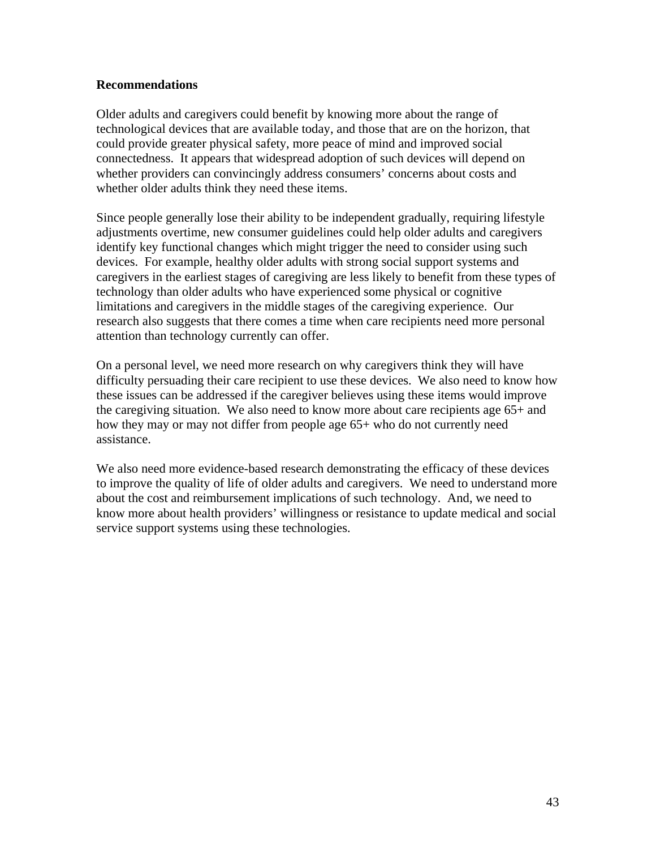#### **Recommendations**

Older adults and caregivers could benefit by knowing more about the range of technological devices that are available today, and those that are on the horizon, that could provide greater physical safety, more peace of mind and improved social connectedness. It appears that widespread adoption of such devices will depend on whether providers can convincingly address consumers' concerns about costs and whether older adults think they need these items.

Since people generally lose their ability to be independent gradually, requiring lifestyle adjustments overtime, new consumer guidelines could help older adults and caregivers identify key functional changes which might trigger the need to consider using such devices. For example, healthy older adults with strong social support systems and caregivers in the earliest stages of caregiving are less likely to benefit from these types of technology than older adults who have experienced some physical or cognitive limitations and caregivers in the middle stages of the caregiving experience. Our research also suggests that there comes a time when care recipients need more personal attention than technology currently can offer.

On a personal level, we need more research on why caregivers think they will have difficulty persuading their care recipient to use these devices. We also need to know how these issues can be addressed if the caregiver believes using these items would improve the caregiving situation. We also need to know more about care recipients age 65+ and how they may or may not differ from people age 65+ who do not currently need assistance.

We also need more evidence-based research demonstrating the efficacy of these devices to improve the quality of life of older adults and caregivers. We need to understand more about the cost and reimbursement implications of such technology. And, we need to know more about health providers' willingness or resistance to update medical and social service support systems using these technologies.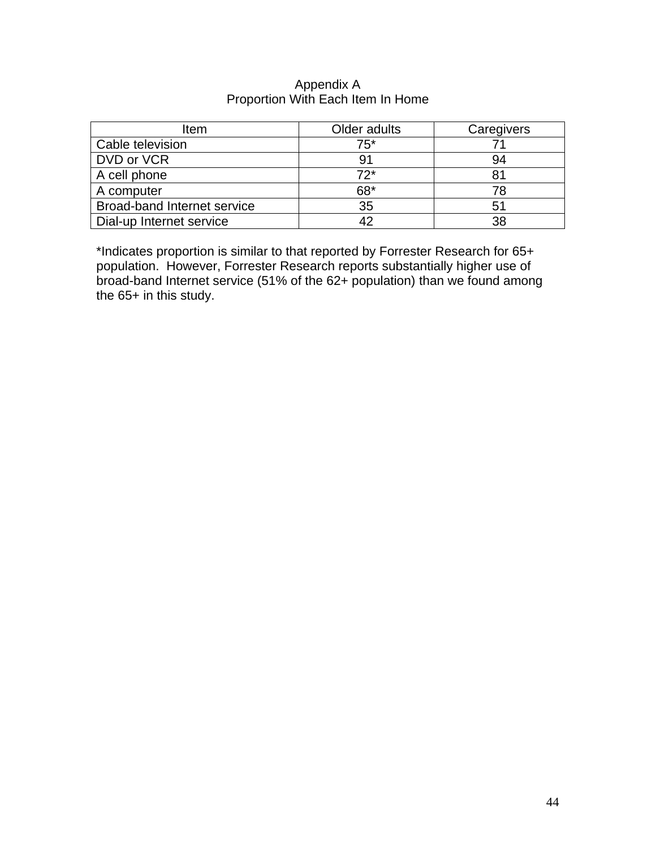#### Appendix A Proportion With Each Item In Home

| Item                        | Older adults | Caregivers |
|-----------------------------|--------------|------------|
| Cable television            | $75*$        |            |
| DVD or VCR                  |              | 94         |
| A cell phone                | $72*$        | 81         |
| A computer                  | $68*$        | 78         |
| Broad-band Internet service | 35           | 51         |
| Dial-up Internet service    |              | 38         |

\*Indicates proportion is similar to that reported by Forrester Research for 65+ population. However, Forrester Research reports substantially higher use of broad-band Internet service (51% of the 62+ population) than we found among the 65+ in this study.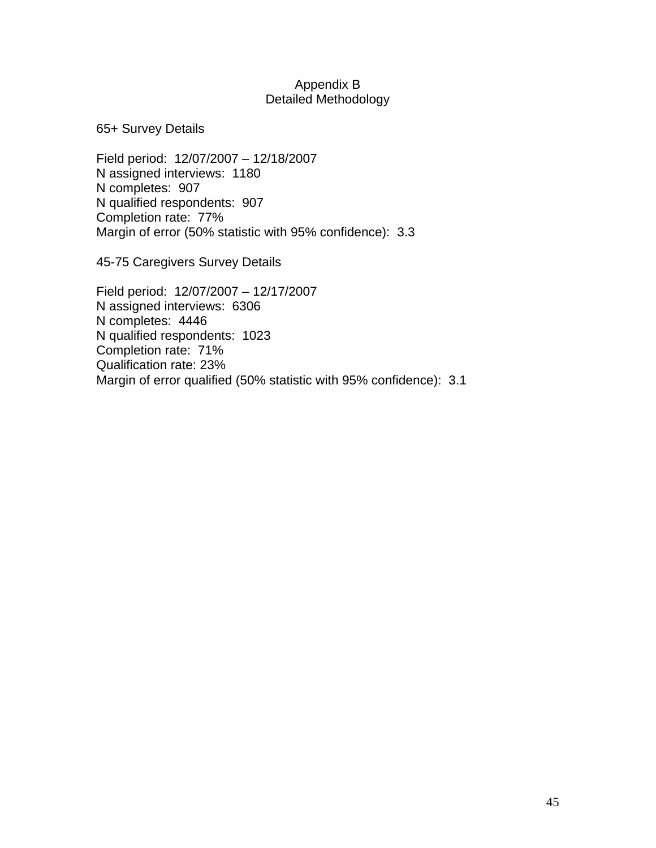#### Appendix B Detailed Methodology

65+ Survey Details

Field period: 12/07/2007 – 12/18/2007 N assigned interviews: 1180 N completes: 907 N qualified respondents: 907 Completion rate: 77% Margin of error (50% statistic with 95% confidence): 3.3

45-75 Caregivers Survey Details

Field period: 12/07/2007 – 12/17/2007 N assigned interviews: 6306 N completes: 4446 N qualified respondents: 1023 Completion rate: 71% Qualification rate: 23% Margin of error qualified (50% statistic with 95% confidence): 3.1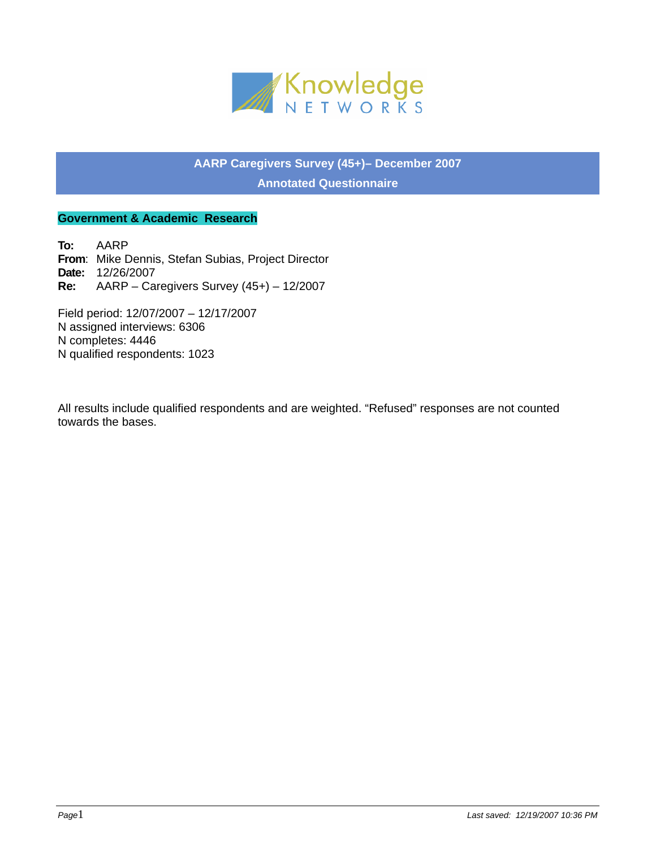

# **AARP Caregivers Survey (45+)– December 2007 Annotated Questionnaire**

#### **Government & Academic Research**

**To:** AARP **From**: Mike Dennis, Stefan Subias, Project Director **Date:** 12/26/2007 **Re:** AARP – Caregivers Survey (45+) – 12/2007

Field period: 12/07/2007 – 12/17/2007 N assigned interviews: 6306 N completes: 4446 N qualified respondents: 1023

All results include qualified respondents and are weighted. "Refused" responses are not counted towards the bases.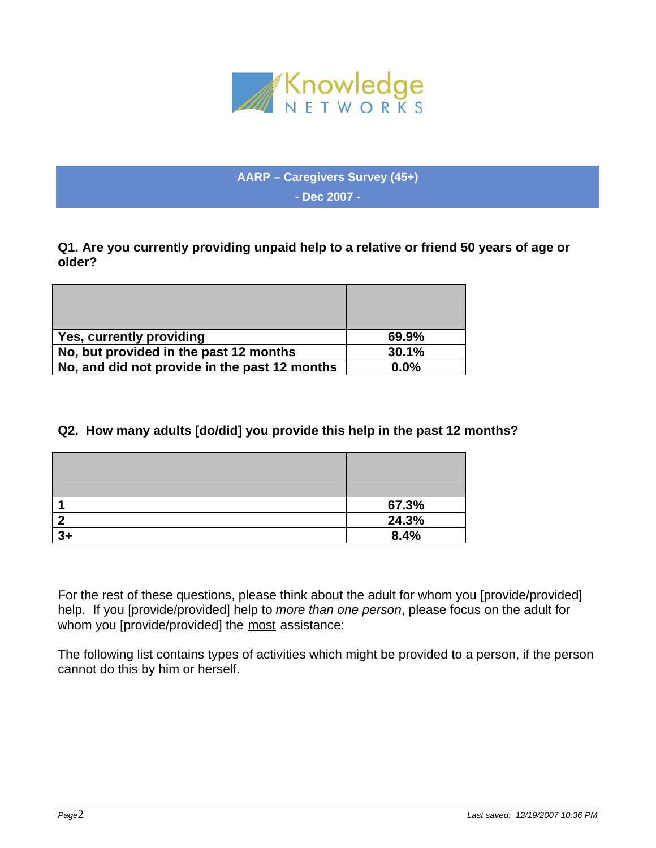

**AARP – Caregivers Survey (45+) - Dec 2007 -** 

**Q1. Are you currently providing unpaid help to a relative or friend 50 years of age or older?** 

| Yes, currently providing                      | 69.9%   |
|-----------------------------------------------|---------|
| No, but provided in the past 12 months        | 30.1%   |
| No, and did not provide in the past 12 months | $0.0\%$ |

# **Q2. How many adults [do/did] you provide this help in the past 12 months?**

|    | 67.3% |
|----|-------|
|    | 24.3% |
| 3+ | 8.4%  |

For the rest of these questions, please think about the adult for whom you [provide/provided] help. If you [provide/provided] help to *more than one person*, please focus on the adult for whom you [provide/provided] the most assistance:

The following list contains types of activities which might be provided to a person, if the person cannot do this by him or herself.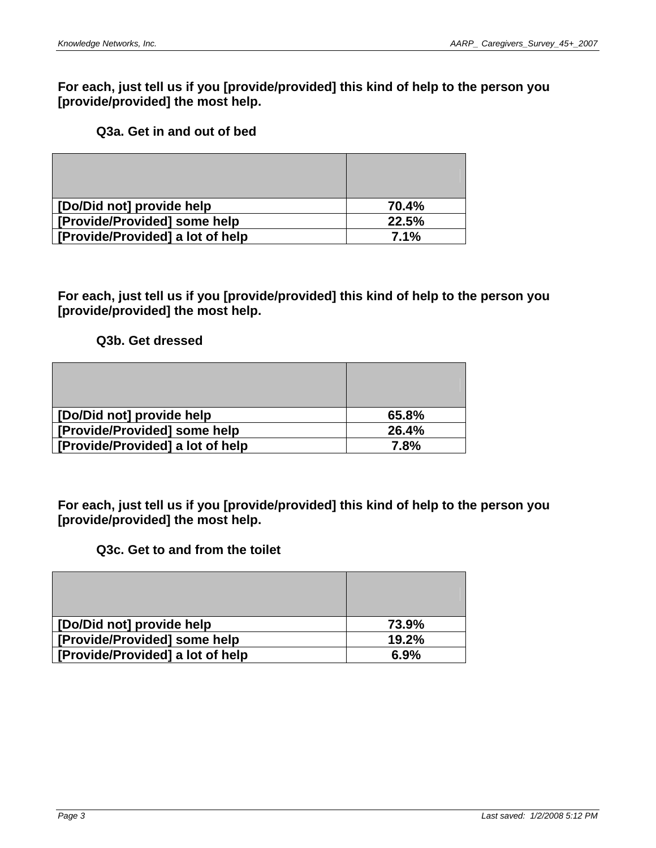**For each, just tell us if you [provide/provided] this kind of help to the person you [provide/provided] the most help.** 

## **Q3a. Get in and out of bed**

| [Do/Did not] provide help        | 70.4% |
|----------------------------------|-------|
| [Provide/Provided] some help     | 22.5% |
| [Provide/Provided] a lot of help | 7.1%  |

**For each, just tell us if you [provide/provided] this kind of help to the person you [provide/provided] the most help.** 

**Q3b. Get dressed** 

| [Do/Did not] provide help        | 65.8% |
|----------------------------------|-------|
| [Provide/Provided] some help     | 26.4% |
| [Provide/Provided] a lot of help | 7.8%  |

**For each, just tell us if you [provide/provided] this kind of help to the person you [provide/provided] the most help.** 

## **Q3c. Get to and from the toilet**

| [Do/Did not] provide help        | 73.9% |
|----------------------------------|-------|
| [Provide/Provided] some help     | 19.2% |
| [Provide/Provided] a lot of help | 6.9%  |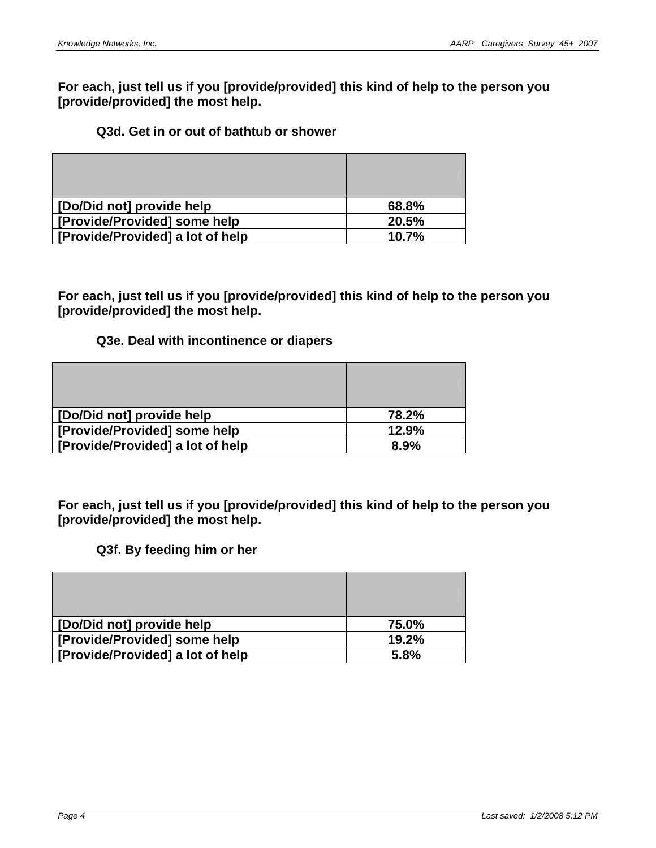**For each, just tell us if you [provide/provided] this kind of help to the person you [provide/provided] the most help.** 

## **Q3d. Get in or out of bathtub or shower**

| [Do/Did not] provide help        | 68.8% |
|----------------------------------|-------|
| [Provide/Provided] some help     | 20.5% |
| [Provide/Provided] a lot of help | 10.7% |

**For each, just tell us if you [provide/provided] this kind of help to the person you [provide/provided] the most help.** 

## **Q3e. Deal with incontinence or diapers**

| [Do/Did not] provide help        | 78.2% |
|----------------------------------|-------|
| [Provide/Provided] some help     | 12.9% |
| [Provide/Provided] a lot of help | 8.9%  |

**For each, just tell us if you [provide/provided] this kind of help to the person you [provide/provided] the most help.** 

#### **Q3f. By feeding him or her**

| [Do/Did not] provide help        | 75.0% |
|----------------------------------|-------|
| [Provide/Provided] some help     | 19.2% |
| [Provide/Provided] a lot of help | 5.8%  |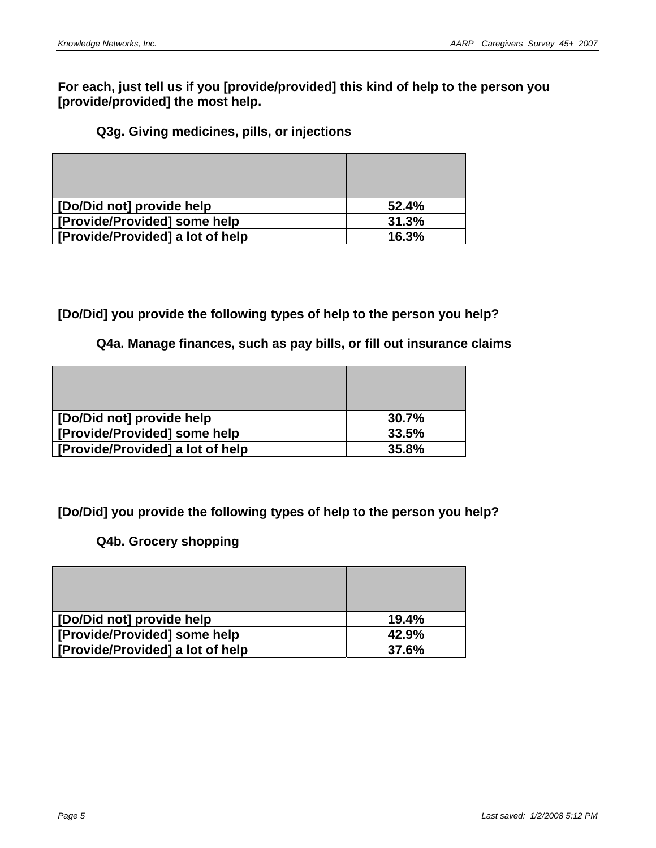**For each, just tell us if you [provide/provided] this kind of help to the person you [provide/provided] the most help.** 

## **Q3g. Giving medicines, pills, or injections**

| [Do/Did not] provide help        | 52.4% |
|----------------------------------|-------|
| [Provide/Provided] some help     | 31.3% |
| [Provide/Provided] a lot of help | 16.3% |

## **[Do/Did] you provide the following types of help to the person you help?**

#### **Q4a. Manage finances, such as pay bills, or fill out insurance claims**

| [Do/Did not] provide help        | 30.7% |
|----------------------------------|-------|
| [Provide/Provided] some help     | 33.5% |
| [Provide/Provided] a lot of help | 35.8% |

# **[Do/Did] you provide the following types of help to the person you help?**

# **Q4b. Grocery shopping**

| [Do/Did not] provide help        | 19.4% |
|----------------------------------|-------|
| [Provide/Provided] some help     | 42.9% |
| [Provide/Provided] a lot of help | 37.6% |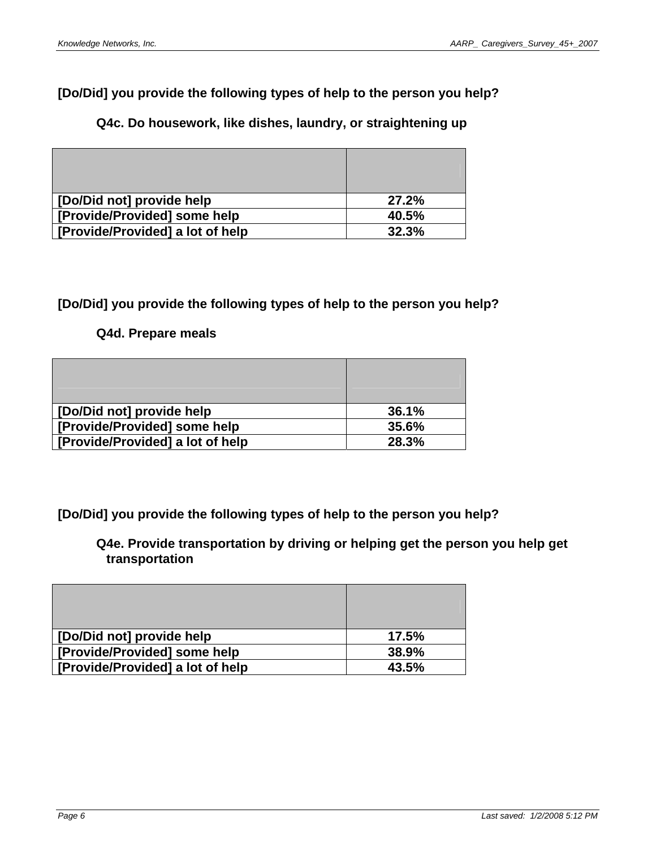# **[Do/Did] you provide the following types of help to the person you help?**

# **Q4c. Do housework, like dishes, laundry, or straightening up**

| [Do/Did not] provide help        | 27.2% |
|----------------------------------|-------|
| Frovide/Provided] some help      | 40.5% |
| [Provide/Provided] a lot of help | 32.3% |

# **[Do/Did] you provide the following types of help to the person you help?**

## **Q4d. Prepare meals**

| [Do/Did not] provide help        | 36.1% |
|----------------------------------|-------|
| [Provide/Provided] some help     | 35.6% |
| [Provide/Provided] a lot of help | 28.3% |

**[Do/Did] you provide the following types of help to the person you help?** 

**Q4e. Provide transportation by driving or helping get the person you help get transportation** 

| [Do/Did not] provide help        | 17.5% |
|----------------------------------|-------|
| [Provide/Provided] some help     | 38.9% |
| [Frovide/Provided] a lot of help | 43.5% |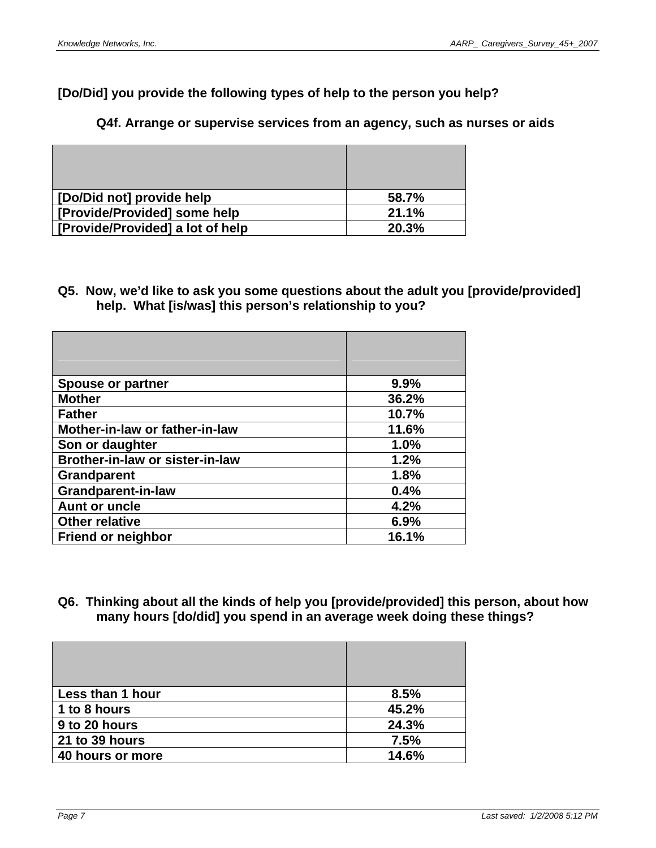# **[Do/Did] you provide the following types of help to the person you help?**

## **Q4f. Arrange or supervise services from an agency, such as nurses or aids**

| [Do/Did not] provide help        | 58.7% |
|----------------------------------|-------|
| [Provide/Provided] some help     | 21.1% |
| [Provide/Provided] a lot of help | 20.3% |

## **Q5. Now, we'd like to ask you some questions about the adult you [provide/provided] help. What [is/was] this person's relationship to you?**

| <b>Spouse or partner</b>        | 9.9%  |
|---------------------------------|-------|
| <b>Mother</b>                   | 36.2% |
| <b>Father</b>                   | 10.7% |
| Mother-in-law or father-in-law  | 11.6% |
| Son or daughter                 | 1.0%  |
| Brother-in-law or sister-in-law | 1.2%  |
| <b>Grandparent</b>              | 1.8%  |
| <b>Grandparent-in-law</b>       | 0.4%  |
| <b>Aunt or uncle</b>            | 4.2%  |
| <b>Other relative</b>           | 6.9%  |
| <b>Friend or neighbor</b>       | 16.1% |

## **Q6. Thinking about all the kinds of help you [provide/provided] this person, about how many hours [do/did] you spend in an average week doing these things?**

| Less than 1 hour | 8.5%  |
|------------------|-------|
| 1 to 8 hours     | 45.2% |
| 9 to 20 hours    | 24.3% |
| 21 to 39 hours   | 7.5%  |
| 40 hours or more | 14.6% |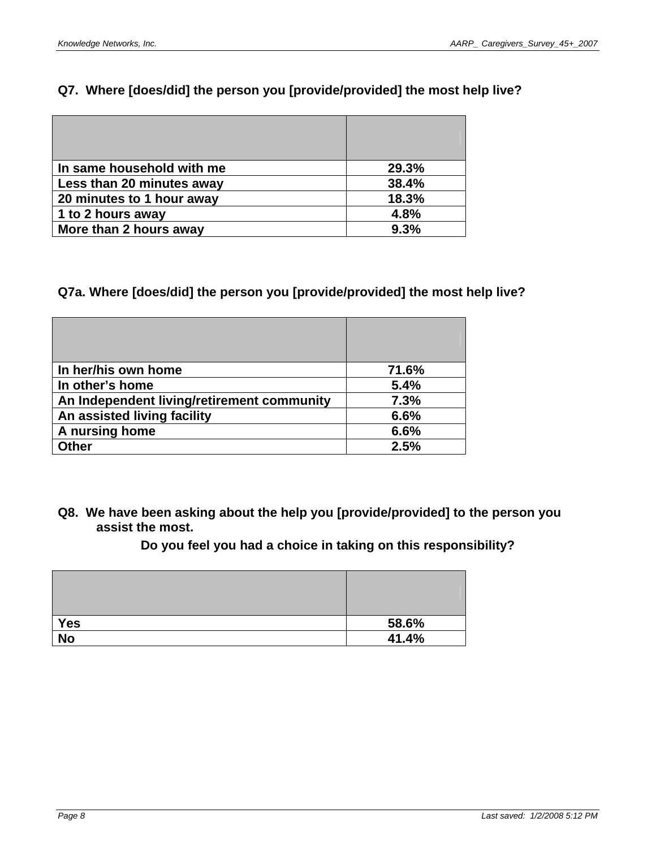# **Q7. Where [does/did] the person you [provide/provided] the most help live?**

| In same household with me | 29.3% |
|---------------------------|-------|
| Less than 20 minutes away | 38.4% |
| 20 minutes to 1 hour away | 18.3% |
| 1 to 2 hours away         | 4.8%  |
| More than 2 hours away    | 9.3%  |

# **Q7a. Where [does/did] the person you [provide/provided] the most help live?**

| In her/his own home                        | 71.6% |
|--------------------------------------------|-------|
| In other's home                            | 5.4%  |
| An Independent living/retirement community | 7.3%  |
| An assisted living facility                | 6.6%  |
| A nursing home                             | 6.6%  |
| <b>Other</b>                               | 2.5%  |

**Q8. We have been asking about the help you [provide/provided] to the person you assist the most.** 

**Do you feel you had a choice in taking on this responsibility?** 

| <b>Yes</b> | 58.6% |
|------------|-------|
| <b>No</b>  | 41.4% |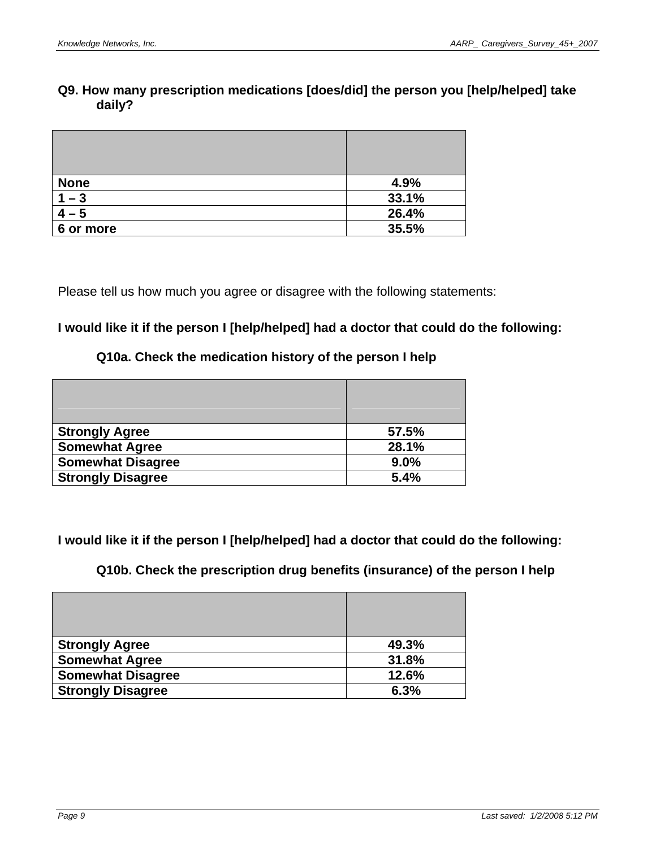## **Q9. How many prescription medications [does/did] the person you [help/helped] take daily?**

| <b>None</b> | 4.9%  |
|-------------|-------|
| $1 - 3$     | 33.1% |
| – ი         | 26.4% |
| 6 or more   | 35.5% |

Please tell us how much you agree or disagree with the following statements:

# **I would like it if the person I [help/helped] had a doctor that could do the following:**

## **Q10a. Check the medication history of the person I help**

| <b>Strongly Agree</b>    | 57.5% |
|--------------------------|-------|
| <b>Somewhat Agree</b>    | 28.1% |
| <b>Somewhat Disagree</b> | 9.0%  |
| <b>Strongly Disagree</b> | 5.4%  |

**I would like it if the person I [help/helped] had a doctor that could do the following:** 

**Q10b. Check the prescription drug benefits (insurance) of the person I help** 

| <b>Strongly Agree</b>    | 49.3% |
|--------------------------|-------|
| <b>Somewhat Agree</b>    | 31.8% |
| <b>Somewhat Disagree</b> | 12.6% |
| <b>Strongly Disagree</b> | 6.3%  |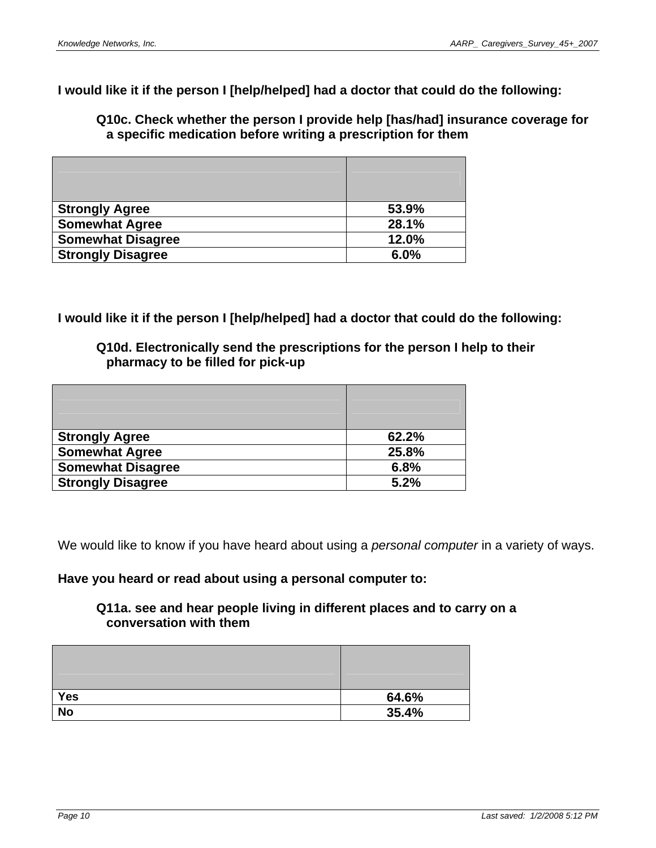**I would like it if the person I [help/helped] had a doctor that could do the following:** 

**Q10c. Check whether the person I provide help [has/had] insurance coverage for a specific medication before writing a prescription for them** 

| <b>Strongly Agree</b>    | 53.9% |
|--------------------------|-------|
| <b>Somewhat Agree</b>    | 28.1% |
| <b>Somewhat Disagree</b> | 12.0% |
| <b>Strongly Disagree</b> | 6.0%  |

**I would like it if the person I [help/helped] had a doctor that could do the following:** 

**Q10d. Electronically send the prescriptions for the person I help to their pharmacy to be filled for pick-up** 

| <b>Strongly Agree</b>    | 62.2% |
|--------------------------|-------|
| <b>Somewhat Agree</b>    | 25.8% |
| <b>Somewhat Disagree</b> | 6.8%  |
| <b>Strongly Disagree</b> | 5.2%  |

We would like to know if you have heard about using a *personal computer* in a variety of ways.

#### **Have you heard or read about using a personal computer to:**

#### **Q11a. see and hear people living in different places and to carry on a conversation with them**

| <b>Yes</b> | 64.6% |
|------------|-------|
| <b>No</b>  | 35.4% |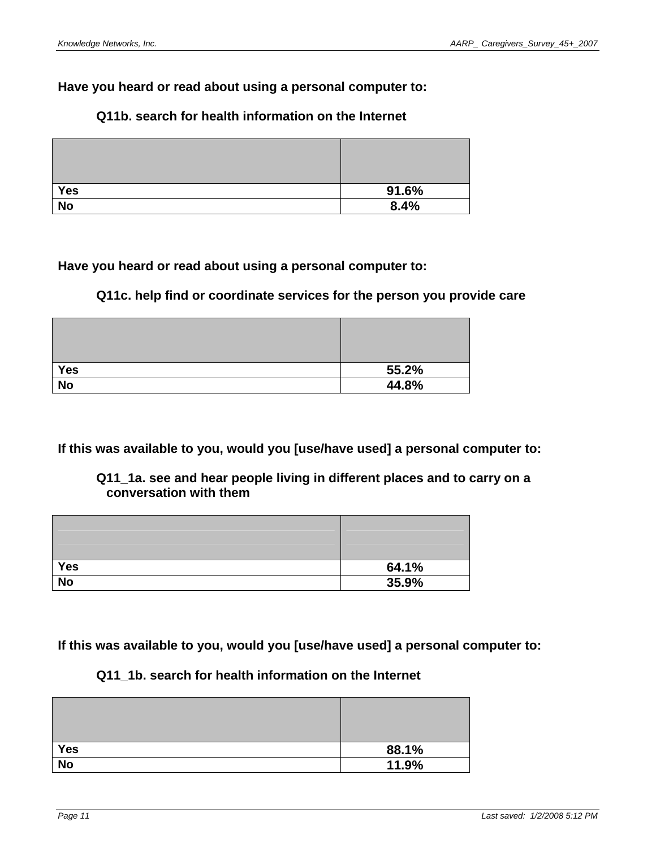## **Have you heard or read about using a personal computer to:**

# **Yes 91.6% No 8.4%**

## **Q11b. search for health information on the Internet**

# **Have you heard or read about using a personal computer to:**

## **Q11c. help find or coordinate services for the person you provide care**

| <b>Yes</b> | 55.2% |
|------------|-------|
| <b>No</b>  | 44.8% |

**If this was available to you, would you [use/have used] a personal computer to:** 

## **Q11\_1a. see and hear people living in different places and to carry on a conversation with them**

| <b>Yes</b>     | 64.1% |
|----------------|-------|
| N <sub>o</sub> | 35.9% |

**If this was available to you, would you [use/have used] a personal computer to:** 

# **Q11\_1b. search for health information on the Internet**

| <b>Yes</b> | 88.1% |
|------------|-------|
| <b>No</b>  | 11.9% |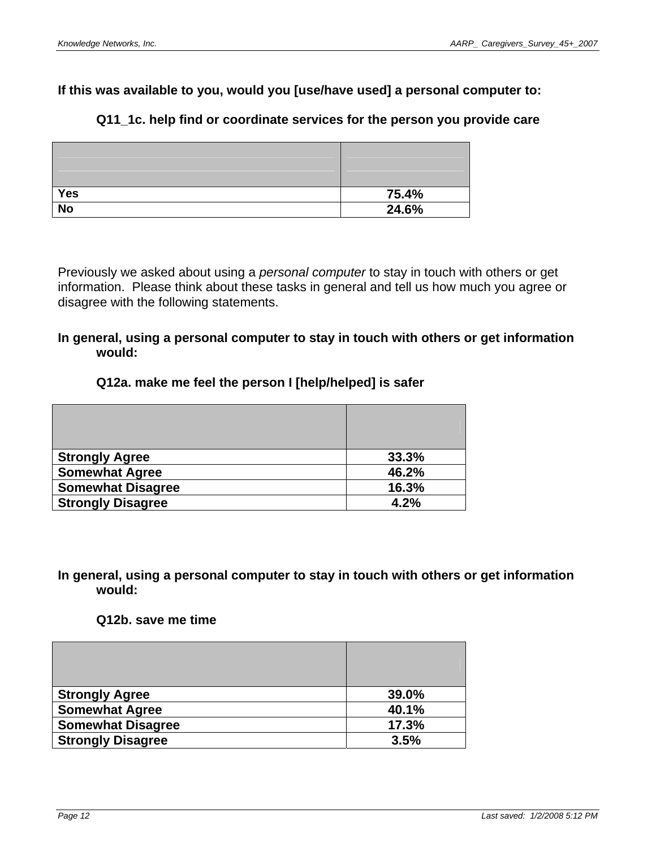# **If this was available to you, would you [use/have used] a personal computer to:**

# **Q11\_1c. help find or coordinate services for the person you provide care**

| <b>Yes</b> | 75.4% |
|------------|-------|
| <b>No</b>  | 24.6% |

Previously we asked about using a *personal computer* to stay in touch with others or get information. Please think about these tasks in general and tell us how much you agree or disagree with the following statements.

## **In general, using a personal computer to stay in touch with others or get information would:**

## **Q12a. make me feel the person I [help/helped] is safer**

| <b>Strongly Agree</b>    | 33.3% |
|--------------------------|-------|
| <b>Somewhat Agree</b>    | 46.2% |
| <b>Somewhat Disagree</b> | 16.3% |
| <b>Strongly Disagree</b> | 4.2%  |

#### **In general, using a personal computer to stay in touch with others or get information would:**

#### **Q12b. save me time**

| <b>Strongly Agree</b>    | 39.0% |
|--------------------------|-------|
| <b>Somewhat Agree</b>    | 40.1% |
| <b>Somewhat Disagree</b> | 17.3% |
| <b>Strongly Disagree</b> | 3.5%  |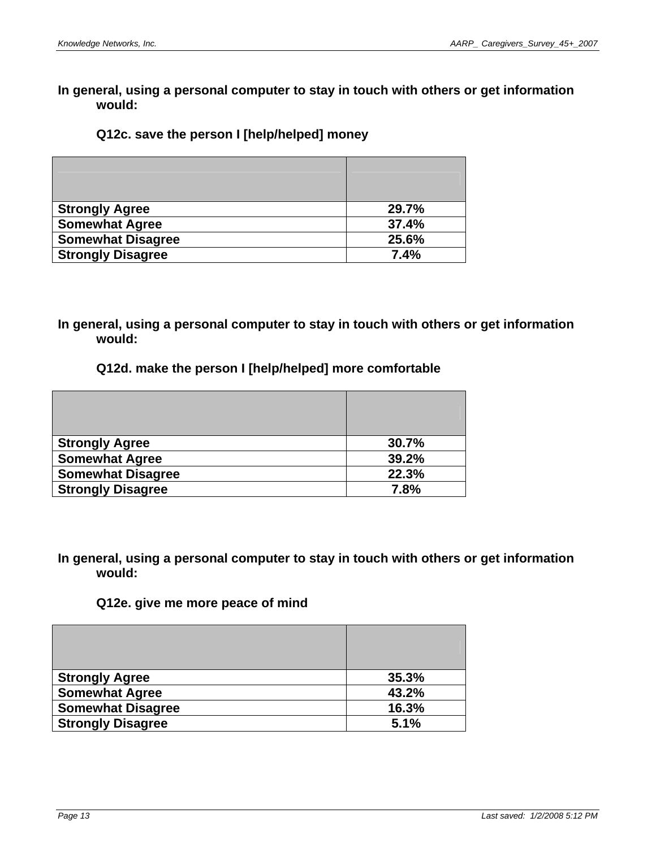#### **Q12c. save the person I [help/helped] money**

| <b>Strongly Agree</b>    | 29.7% |
|--------------------------|-------|
| <b>Somewhat Agree</b>    | 37.4% |
| <b>Somewhat Disagree</b> | 25.6% |
| <b>Strongly Disagree</b> | 7.4%  |

## **In general, using a personal computer to stay in touch with others or get information would:**

#### **Q12d. make the person I [help/helped] more comfortable**

| <b>Strongly Agree</b>    | 30.7% |
|--------------------------|-------|
| <b>Somewhat Agree</b>    | 39.2% |
| <b>Somewhat Disagree</b> | 22.3% |
| <b>Strongly Disagree</b> | 7.8%  |

#### **In general, using a personal computer to stay in touch with others or get information would:**

#### **Q12e. give me more peace of mind**

| <b>Strongly Agree</b>    | 35.3% |
|--------------------------|-------|
| <b>Somewhat Agree</b>    | 43.2% |
| <b>Somewhat Disagree</b> | 16.3% |
| <b>Strongly Disagree</b> | 5.1%  |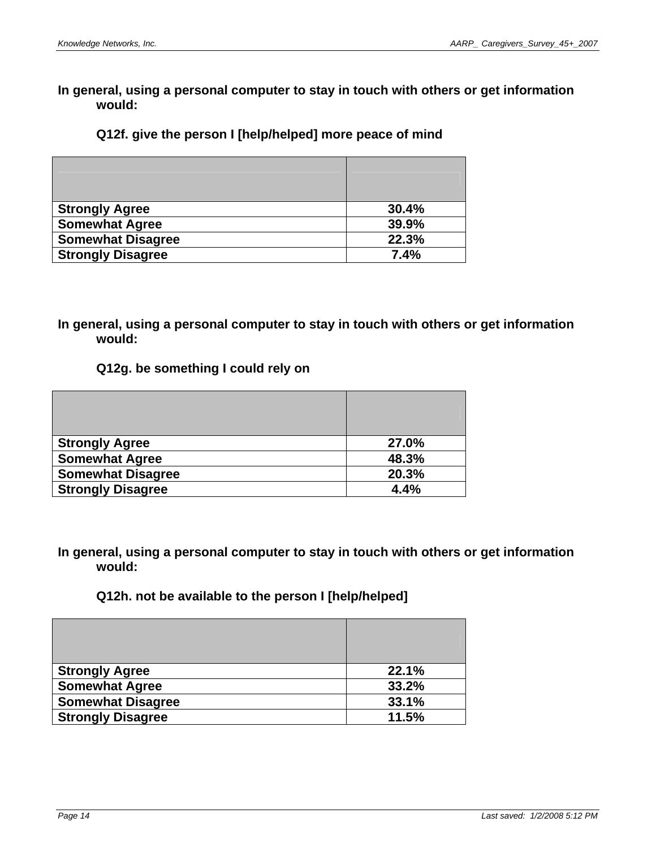## **Q12f. give the person I [help/helped] more peace of mind**

| <b>Strongly Agree</b>    | 30.4% |
|--------------------------|-------|
| <b>Somewhat Agree</b>    | 39.9% |
| <b>Somewhat Disagree</b> | 22.3% |
| <b>Strongly Disagree</b> | 7.4%  |

## **In general, using a personal computer to stay in touch with others or get information would:**

#### **Q12g. be something I could rely on**

| <b>Strongly Agree</b>    | 27.0% |
|--------------------------|-------|
| <b>Somewhat Agree</b>    | 48.3% |
| <b>Somewhat Disagree</b> | 20.3% |
| <b>Strongly Disagree</b> | 4.4%  |

**In general, using a personal computer to stay in touch with others or get information would:** 

# **Q12h. not be available to the person I [help/helped]**

| <b>Strongly Agree</b>    | 22.1% |
|--------------------------|-------|
| <b>Somewhat Agree</b>    | 33.2% |
| <b>Somewhat Disagree</b> | 33.1% |
| <b>Strongly Disagree</b> | 11.5% |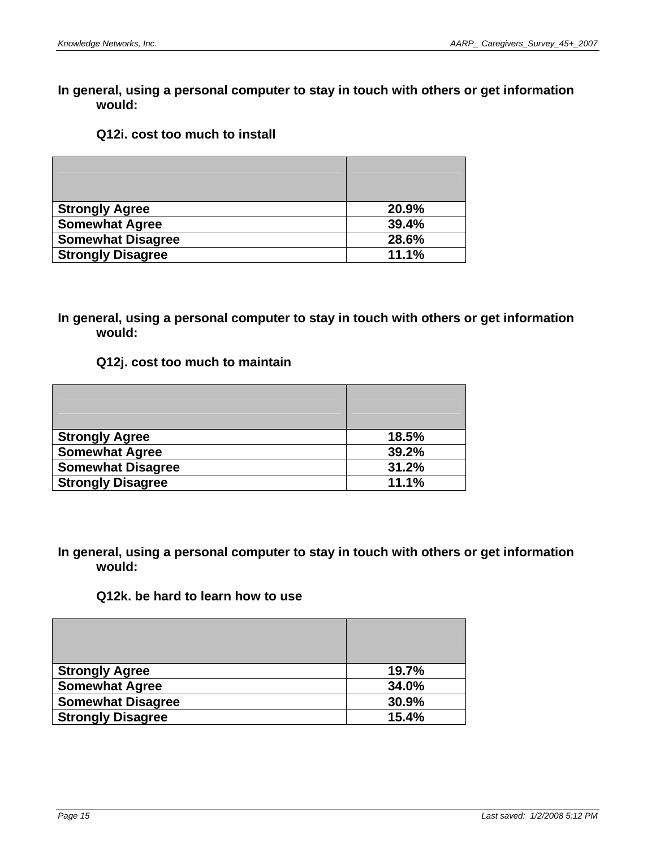#### **Q12i. cost too much to install**

| <b>Strongly Agree</b>    | 20.9% |
|--------------------------|-------|
| <b>Somewhat Agree</b>    | 39.4% |
| <b>Somewhat Disagree</b> | 28.6% |
| <b>Strongly Disagree</b> | 11.1% |

## **In general, using a personal computer to stay in touch with others or get information would:**

#### **Q12j. cost too much to maintain**

| <b>Strongly Agree</b>    | 18.5% |
|--------------------------|-------|
| <b>Somewhat Agree</b>    | 39.2% |
| <b>Somewhat Disagree</b> | 31.2% |
| <b>Strongly Disagree</b> | 11.1% |

#### **In general, using a personal computer to stay in touch with others or get information would:**

## **Q12k. be hard to learn how to use**

| <b>Strongly Agree</b>    | 19.7% |
|--------------------------|-------|
| <b>Somewhat Agree</b>    | 34.0% |
| <b>Somewhat Disagree</b> | 30.9% |
| <b>Strongly Disagree</b> | 15.4% |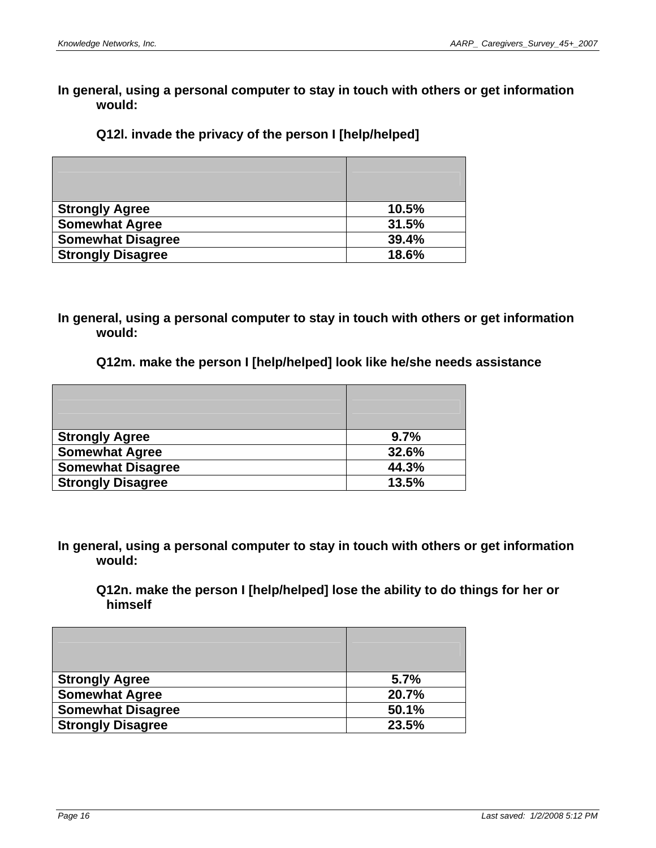#### **Q12l. invade the privacy of the person I [help/helped]**

| <b>Strongly Agree</b>    | 10.5% |
|--------------------------|-------|
| <b>Somewhat Agree</b>    | 31.5% |
| <b>Somewhat Disagree</b> | 39.4% |
| <b>Strongly Disagree</b> | 18.6% |

**In general, using a personal computer to stay in touch with others or get information would:** 

#### **Q12m. make the person I [help/helped] look like he/she needs assistance**

| <b>Strongly Agree</b>    | 9.7%  |
|--------------------------|-------|
| <b>Somewhat Agree</b>    | 32.6% |
| <b>Somewhat Disagree</b> | 44.3% |
| <b>Strongly Disagree</b> | 13.5% |

**In general, using a personal computer to stay in touch with others or get information would:** 

**Q12n. make the person I [help/helped] lose the ability to do things for her or himself** 

| <b>Strongly Agree</b>    | 5.7%  |
|--------------------------|-------|
| <b>Somewhat Agree</b>    | 20.7% |
| <b>Somewhat Disagree</b> | 50.1% |
| <b>Strongly Disagree</b> | 23.5% |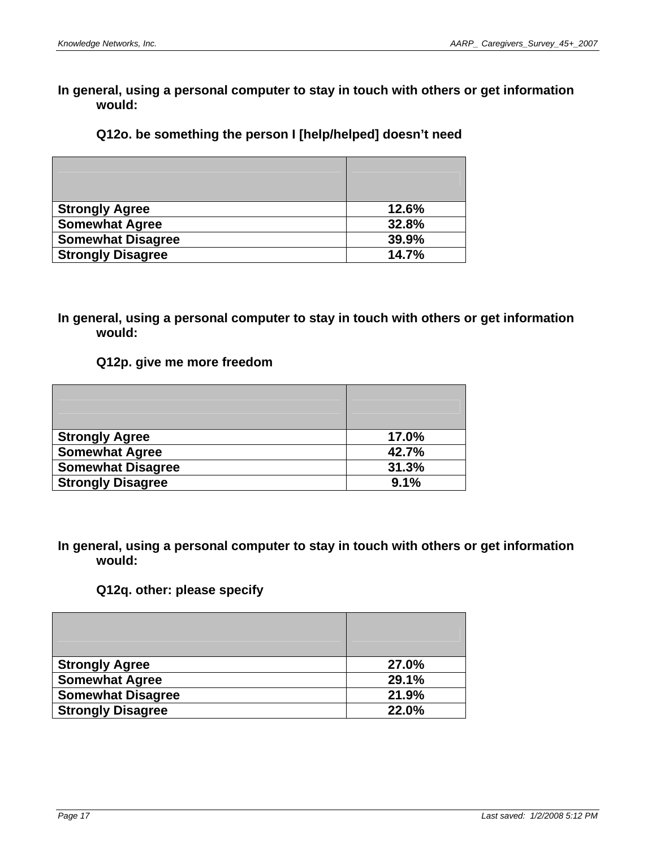## **Q12o. be something the person I [help/helped] doesn't need**

| <b>Strongly Agree</b>    | 12.6% |
|--------------------------|-------|
| <b>Somewhat Agree</b>    | 32.8% |
| <b>Somewhat Disagree</b> | 39.9% |
| <b>Strongly Disagree</b> | 14.7% |

## **In general, using a personal computer to stay in touch with others or get information would:**

## **Q12p. give me more freedom**

| <b>Strongly Agree</b>    | 17.0% |
|--------------------------|-------|
| <b>Somewhat Agree</b>    | 42.7% |
| <b>Somewhat Disagree</b> | 31.3% |
| <b>Strongly Disagree</b> | 9.1%  |

## **In general, using a personal computer to stay in touch with others or get information would:**

#### **Q12q. other: please specify**

| <b>Strongly Agree</b>    | 27.0% |
|--------------------------|-------|
| <b>Somewhat Agree</b>    | 29.1% |
| <b>Somewhat Disagree</b> | 21.9% |
| <b>Strongly Disagree</b> | 22.0% |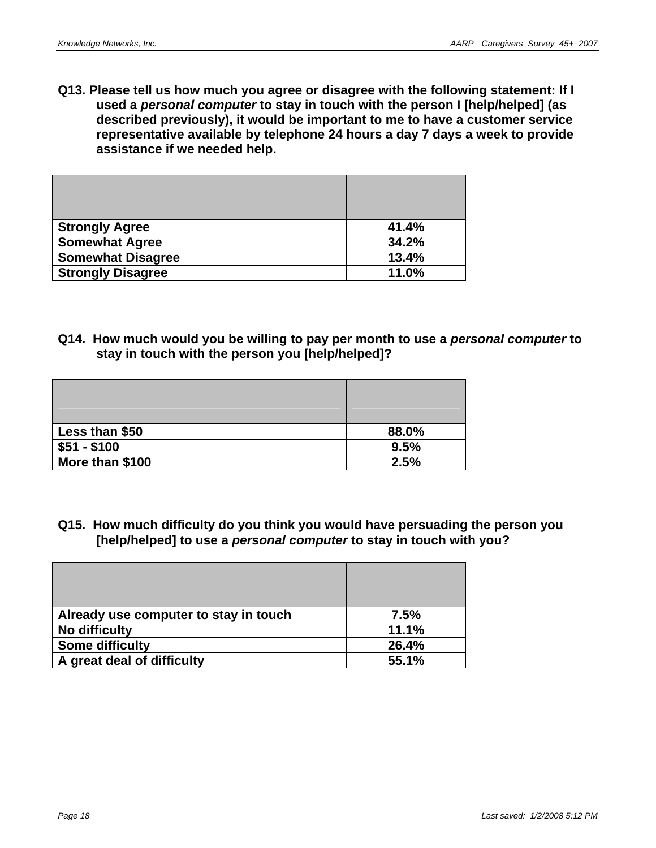**Q13. Please tell us how much you agree or disagree with the following statement: If I used a** *personal computer* **to stay in touch with the person I [help/helped] (as described previously), it would be important to me to have a customer service representative available by telephone 24 hours a day 7 days a week to provide assistance if we needed help.** 

| <b>Strongly Agree</b>    | 41.4% |
|--------------------------|-------|
| <b>Somewhat Agree</b>    | 34.2% |
| <b>Somewhat Disagree</b> | 13.4% |
| <b>Strongly Disagree</b> | 11.0% |

**Q14. How much would you be willing to pay per month to use a** *personal computer* **to stay in touch with the person you [help/helped]?** 

| Less than \$50  | 88.0% |
|-----------------|-------|
| $$51 - $100$    | 9.5%  |
| More than \$100 | 2.5%  |

**Q15. How much difficulty do you think you would have persuading the person you [help/helped] to use a** *personal computer* **to stay in touch with you?** 

| Already use computer to stay in touch | 7.5%  |
|---------------------------------------|-------|
| No difficulty                         | 11.1% |
| <b>Some difficulty</b>                | 26.4% |
| A great deal of difficulty            | 55.1% |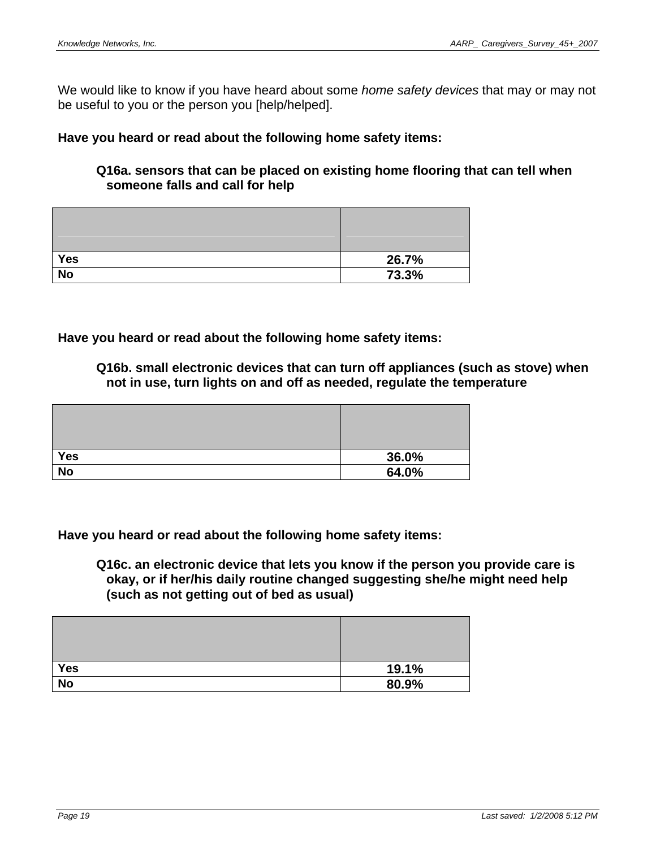We would like to know if you have heard about some *home safety devices* that may or may not be useful to you or the person you [help/helped].

**Have you heard or read about the following home safety items:** 

**Q16a. sensors that can be placed on existing home flooring that can tell when someone falls and call for help** 

| <b>Yes</b> | 26.7% |
|------------|-------|
| <b>No</b>  | 73.3% |

**Have you heard or read about the following home safety items:** 

**Q16b. small electronic devices that can turn off appliances (such as stove) when not in use, turn lights on and off as needed, regulate the temperature** 

| <b>Yes</b> | 36.0% |
|------------|-------|
| <b>No</b>  | 64.0% |

**Have you heard or read about the following home safety items:** 

**Q16c. an electronic device that lets you know if the person you provide care is okay, or if her/his daily routine changed suggesting she/he might need help (such as not getting out of bed as usual)** 

| <b>Yes</b> | 19.1% |
|------------|-------|
| <b>No</b>  | 80.9% |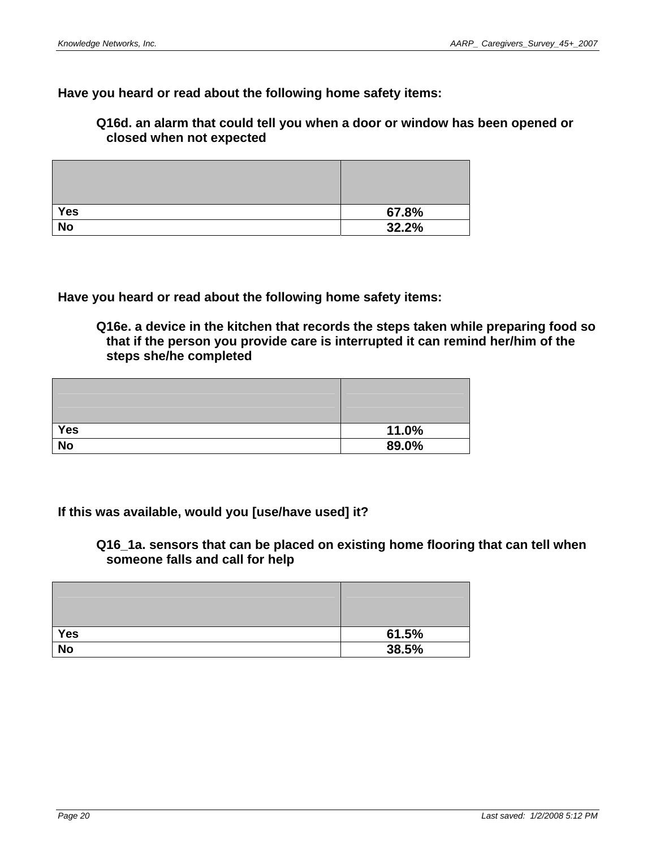**Have you heard or read about the following home safety items:** 

**Q16d. an alarm that could tell you when a door or window has been opened or closed when not expected** 

| <b>Yes</b>     | 67.8% |
|----------------|-------|
| N <sub>o</sub> | 32.2% |

**Have you heard or read about the following home safety items:** 

**Q16e. a device in the kitchen that records the steps taken while preparing food so that if the person you provide care is interrupted it can remind her/him of the steps she/he completed** 

| <b>Yes</b> | 11.0% |
|------------|-------|
| <b>No</b>  | 89.0% |

#### **If this was available, would you [use/have used] it?**

**Q16\_1a. sensors that can be placed on existing home flooring that can tell when someone falls and call for help** 

| Yes       | 61.5% |
|-----------|-------|
| <b>No</b> | 38.5% |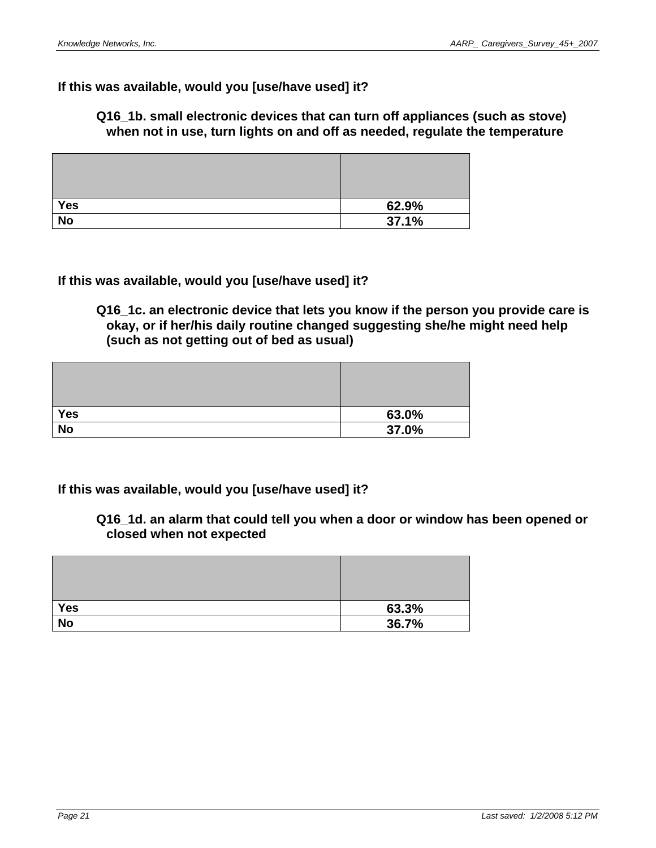## **If this was available, would you [use/have used] it?**

**Q16\_1b. small electronic devices that can turn off appliances (such as stove) when not in use, turn lights on and off as needed, regulate the temperature** 

| Yes       | 62.9% |
|-----------|-------|
| <b>No</b> | 37.1% |

**If this was available, would you [use/have used] it?** 

**Q16\_1c. an electronic device that lets you know if the person you provide care is okay, or if her/his daily routine changed suggesting she/he might need help (such as not getting out of bed as usual)** 

| <b>Yes</b> | 63.0% |
|------------|-------|
| <b>No</b>  | 37.0% |

# **If this was available, would you [use/have used] it?**

**Q16\_1d. an alarm that could tell you when a door or window has been opened or closed when not expected** 

| <b>Yes</b> | 63.3% |
|------------|-------|
| <b>No</b>  | 36.7% |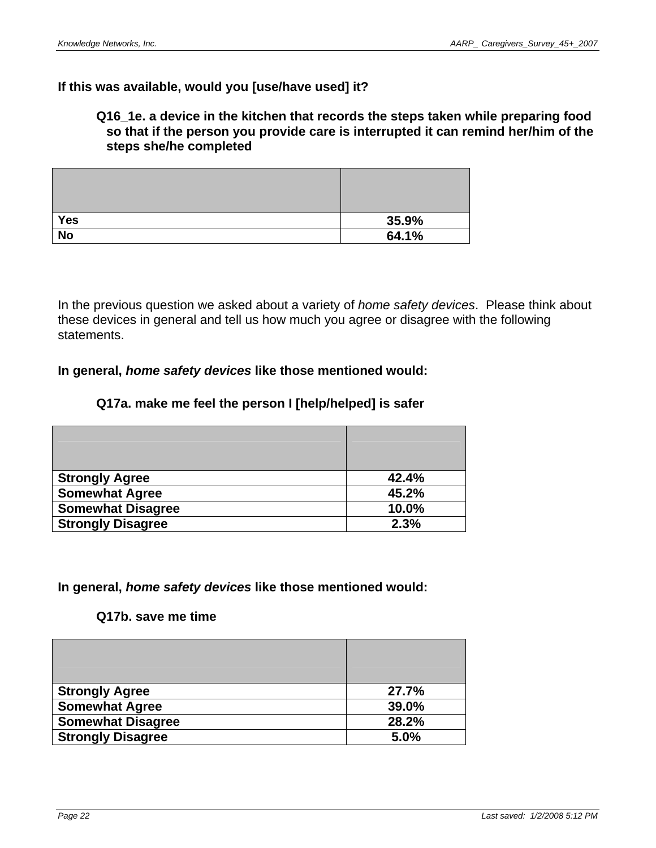#### **If this was available, would you [use/have used] it?**

#### **Q16\_1e. a device in the kitchen that records the steps taken while preparing food so that if the person you provide care is interrupted it can remind her/him of the steps she/he completed**

| <b>Yes</b> | 35.9% |
|------------|-------|
| <b>No</b>  | 64.1% |

In the previous question we asked about a variety of *home safety devices*. Please think about these devices in general and tell us how much you agree or disagree with the following statements.

#### **In general,** *home safety devices* **like those mentioned would:**

#### **Q17a. make me feel the person I [help/helped] is safer**

| <b>Strongly Agree</b>    | 42.4% |
|--------------------------|-------|
| <b>Somewhat Agree</b>    | 45.2% |
| <b>Somewhat Disagree</b> | 10.0% |
| <b>Strongly Disagree</b> | 2.3%  |

#### **In general,** *home safety devices* **like those mentioned would:**

#### **Q17b. save me time**

| <b>Strongly Agree</b>    | 27.7% |
|--------------------------|-------|
| <b>Somewhat Agree</b>    | 39.0% |
| <b>Somewhat Disagree</b> | 28.2% |
| <b>Strongly Disagree</b> | 5.0%  |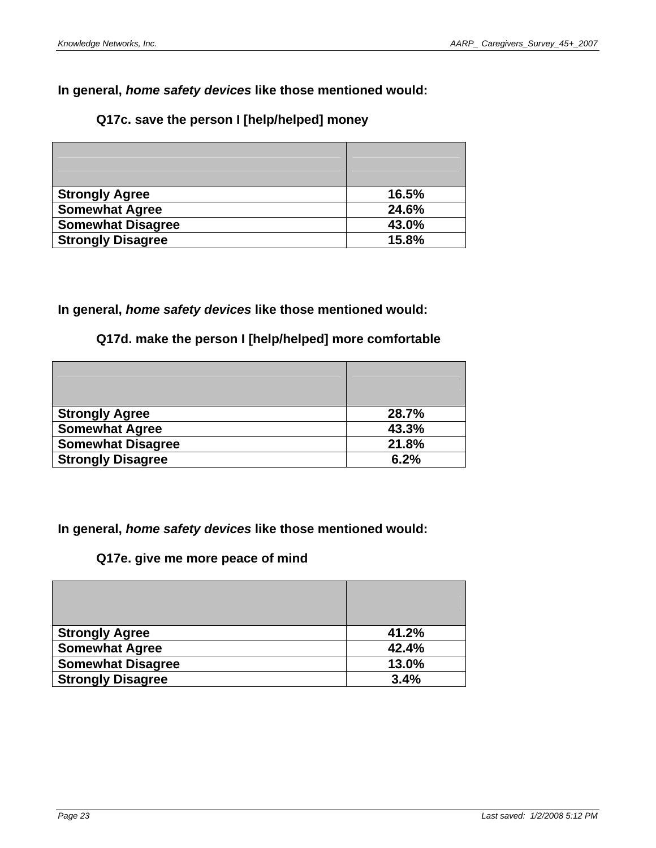# **In general,** *home safety devices* **like those mentioned would:**

## **Q17c. save the person I [help/helped] money**

| <b>Strongly Agree</b>    | 16.5% |
|--------------------------|-------|
| <b>Somewhat Agree</b>    | 24.6% |
| <b>Somewhat Disagree</b> | 43.0% |
| <b>Strongly Disagree</b> | 15.8% |

#### **In general,** *home safety devices* **like those mentioned would:**

# **Q17d. make the person I [help/helped] more comfortable**

| <b>Strongly Agree</b>    | 28.7% |
|--------------------------|-------|
| <b>Somewhat Agree</b>    | 43.3% |
| <b>Somewhat Disagree</b> | 21.8% |
| <b>Strongly Disagree</b> | 6.2%  |

**In general,** *home safety devices* **like those mentioned would:** 

## **Q17e. give me more peace of mind**

| <b>Strongly Agree</b>    | 41.2% |
|--------------------------|-------|
| <b>Somewhat Agree</b>    | 42.4% |
| <b>Somewhat Disagree</b> | 13.0% |
| <b>Strongly Disagree</b> | 3.4%  |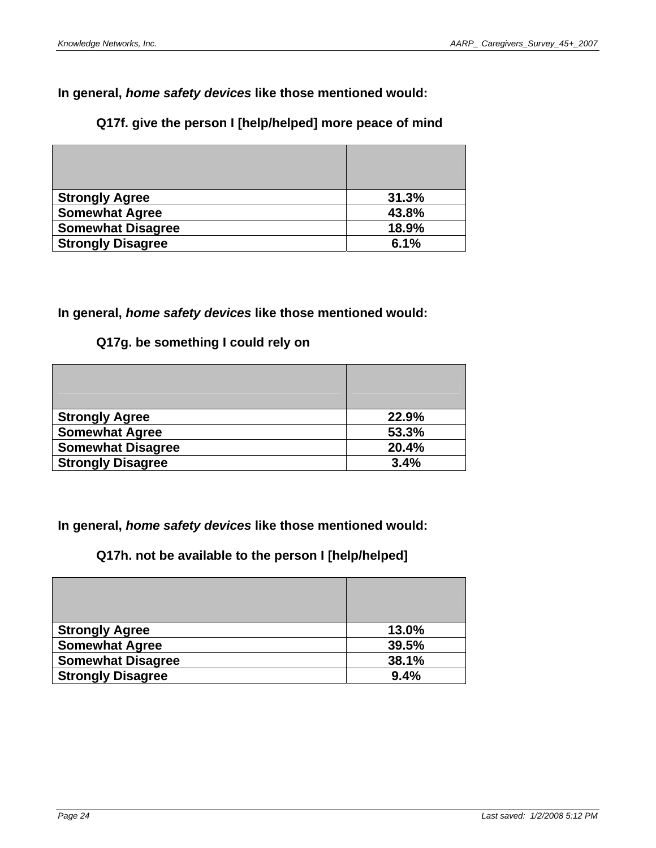# **Q17f. give the person I [help/helped] more peace of mind**

| <b>Strongly Agree</b>    | 31.3% |
|--------------------------|-------|
| <b>Somewhat Agree</b>    | 43.8% |
| <b>Somewhat Disagree</b> | 18.9% |
| <b>Strongly Disagree</b> | 6.1%  |

#### **In general,** *home safety devices* **like those mentioned would:**

# **Q17g. be something I could rely on**

| <b>Strongly Agree</b>    | 22.9% |
|--------------------------|-------|
| <b>Somewhat Agree</b>    | 53.3% |
| <b>Somewhat Disagree</b> | 20.4% |
| <b>Strongly Disagree</b> | 3.4%  |

**In general,** *home safety devices* **like those mentioned would:** 

# **Q17h. not be available to the person I [help/helped]**

| <b>Strongly Agree</b>    | 13.0% |
|--------------------------|-------|
| <b>Somewhat Agree</b>    | 39.5% |
| <b>Somewhat Disagree</b> | 38.1% |
| <b>Strongly Disagree</b> | 9.4%  |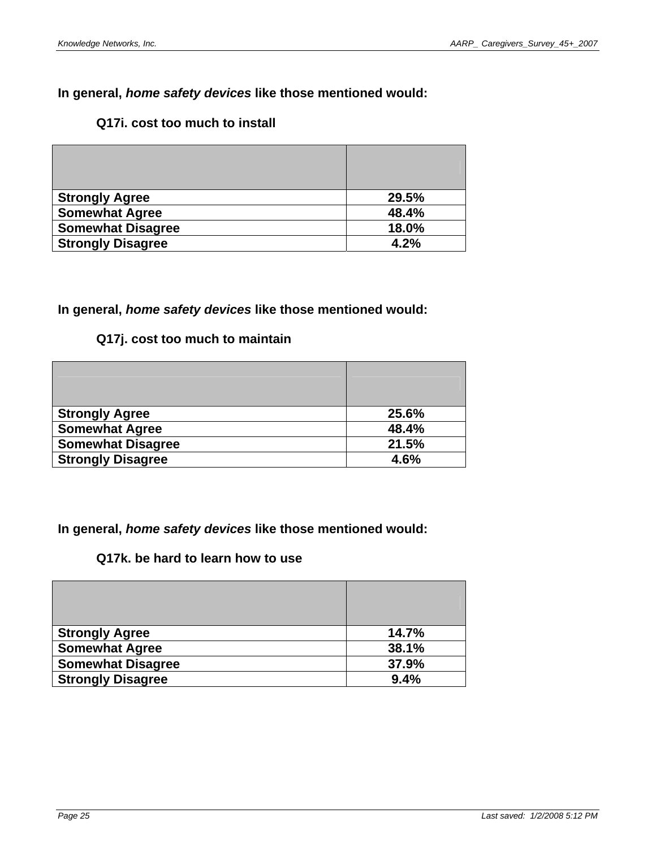# **Q17i. cost too much to install**

| <b>Strongly Agree</b>    | 29.5% |
|--------------------------|-------|
| <b>Somewhat Agree</b>    | 48.4% |
| <b>Somewhat Disagree</b> | 18.0% |
| <b>Strongly Disagree</b> | 4.2%  |

# **In general,** *home safety devices* **like those mentioned would:**

# **Q17j. cost too much to maintain**

| <b>Strongly Agree</b>    | 25.6% |
|--------------------------|-------|
| <b>Somewhat Agree</b>    | 48.4% |
| <b>Somewhat Disagree</b> | 21.5% |
| <b>Strongly Disagree</b> | 4.6%  |

**In general,** *home safety devices* **like those mentioned would:** 

# **Q17k. be hard to learn how to use**

| <b>Strongly Agree</b>    | 14.7% |
|--------------------------|-------|
| <b>Somewhat Agree</b>    | 38.1% |
| <b>Somewhat Disagree</b> | 37.9% |
| <b>Strongly Disagree</b> | 9.4%  |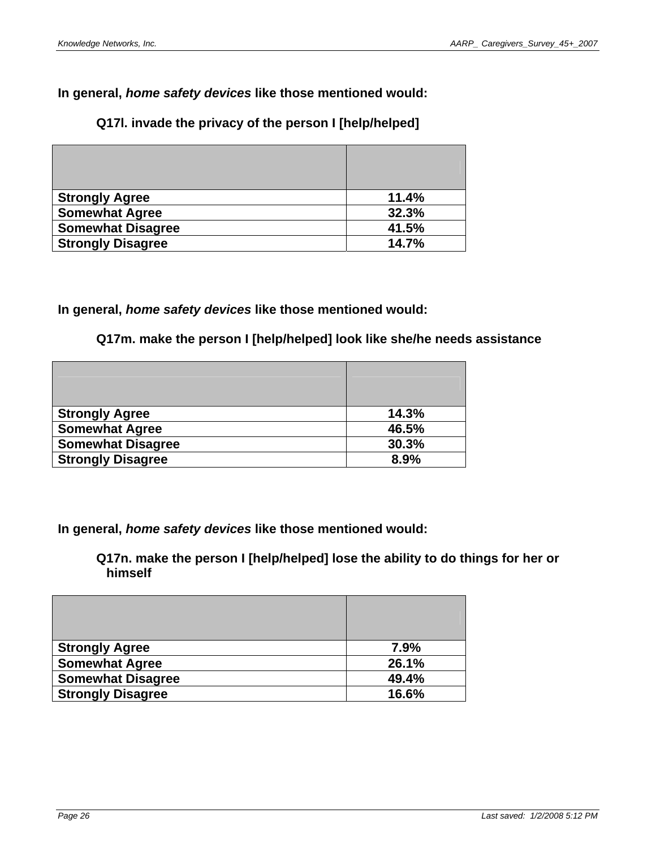# **Q17l. invade the privacy of the person I [help/helped]**

| <b>Strongly Agree</b>    | 11.4% |
|--------------------------|-------|
| <b>Somewhat Agree</b>    | 32.3% |
| <b>Somewhat Disagree</b> | 41.5% |
| <b>Strongly Disagree</b> | 14.7% |

#### **In general,** *home safety devices* **like those mentioned would:**

#### **Q17m. make the person I [help/helped] look like she/he needs assistance**

| <b>Strongly Agree</b>    | 14.3% |
|--------------------------|-------|
| <b>Somewhat Agree</b>    | 46.5% |
| <b>Somewhat Disagree</b> | 30.3% |
| <b>Strongly Disagree</b> | 8.9%  |

**In general,** *home safety devices* **like those mentioned would:** 

**Q17n. make the person I [help/helped] lose the ability to do things for her or himself** 

| <b>Strongly Agree</b>    | 7.9%  |
|--------------------------|-------|
| <b>Somewhat Agree</b>    | 26.1% |
| <b>Somewhat Disagree</b> | 49.4% |
| <b>Strongly Disagree</b> | 16.6% |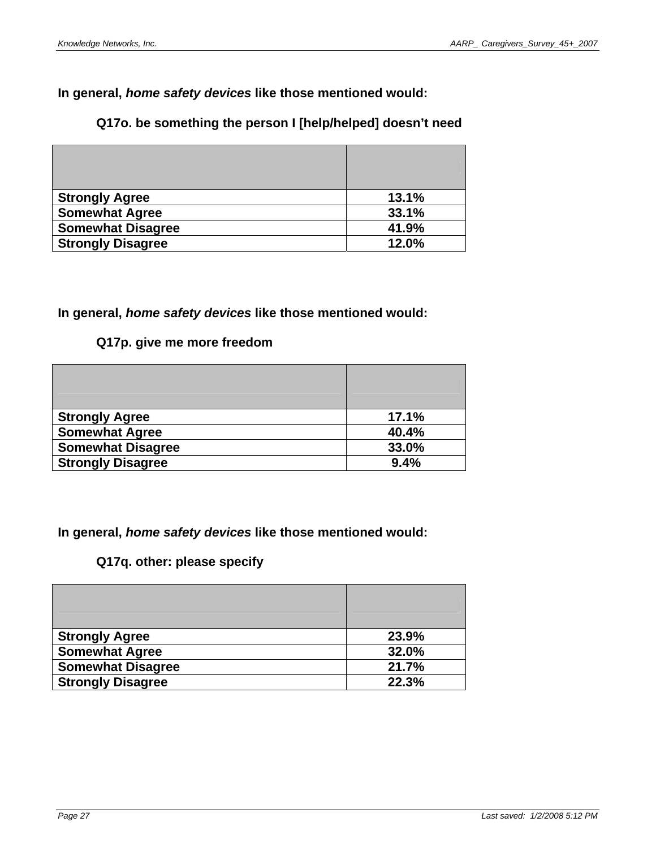# **Q17o. be something the person I [help/helped] doesn't need**

| <b>Strongly Agree</b>    | 13.1% |
|--------------------------|-------|
| <b>Somewhat Agree</b>    | 33.1% |
| <b>Somewhat Disagree</b> | 41.9% |
| <b>Strongly Disagree</b> | 12.0% |

#### **In general,** *home safety devices* **like those mentioned would:**

# **Q17p. give me more freedom**

| <b>Strongly Agree</b>    | 17.1% |
|--------------------------|-------|
| <b>Somewhat Agree</b>    | 40.4% |
| <b>Somewhat Disagree</b> | 33.0% |
| <b>Strongly Disagree</b> | 9.4%  |

**In general,** *home safety devices* **like those mentioned would:** 

# **Q17q. other: please specify**

| <b>Strongly Agree</b>    | 23.9% |
|--------------------------|-------|
| <b>Somewhat Agree</b>    | 32.0% |
| <b>Somewhat Disagree</b> | 21.7% |
| <b>Strongly Disagree</b> | 22.3% |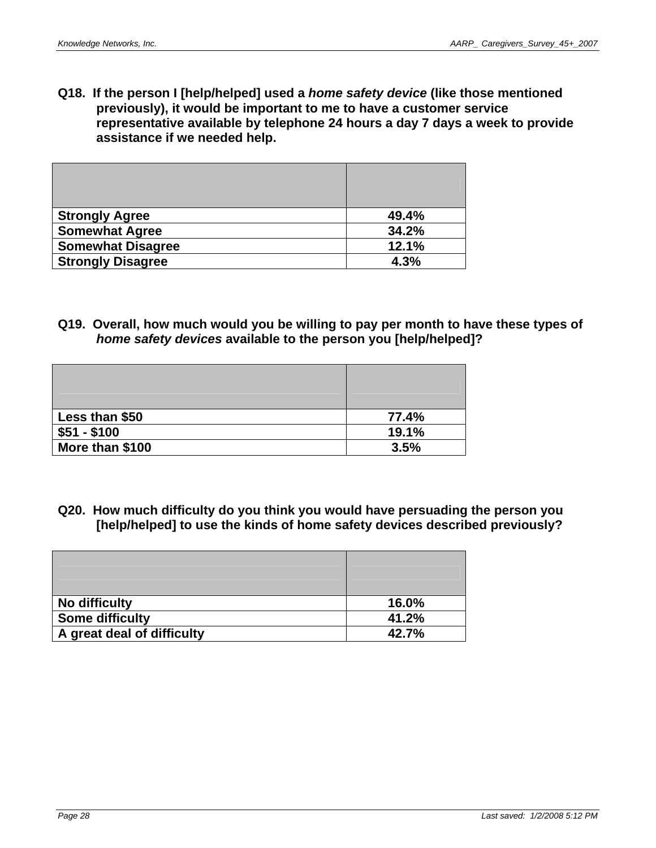**Q18. If the person I [help/helped] used a** *home safety device* **(like those mentioned previously), it would be important to me to have a customer service representative available by telephone 24 hours a day 7 days a week to provide assistance if we needed help.** 

| <b>Strongly Agree</b>    | 49.4% |
|--------------------------|-------|
| <b>Somewhat Agree</b>    | 34.2% |
| <b>Somewhat Disagree</b> | 12.1% |
| <b>Strongly Disagree</b> | 4.3%  |

**Q19. Overall, how much would you be willing to pay per month to have these types of**  *home safety devices* **available to the person you [help/helped]?** 

| Less than \$50  | 77.4% |
|-----------------|-------|
| $$51 - $100$    | 19.1% |
| More than \$100 | 3.5%  |

**Q20. How much difficulty do you think you would have persuading the person you [help/helped] to use the kinds of home safety devices described previously?** 

| No difficulty              | 16.0% |
|----------------------------|-------|
| <b>Some difficulty</b>     | 41.2% |
| A great deal of difficulty | 42.7% |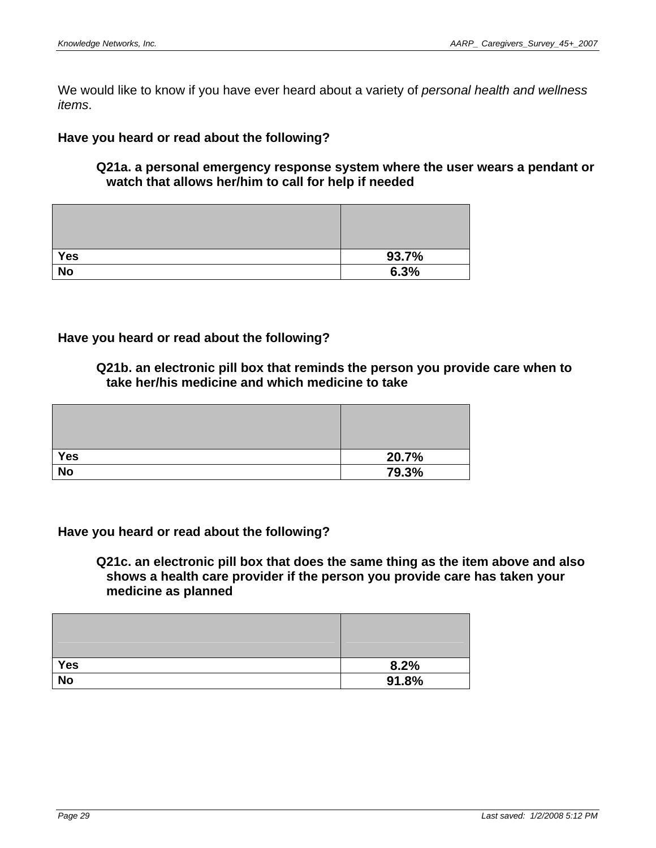We would like to know if you have ever heard about a variety of *personal health and wellness items*.

#### **Have you heard or read about the following?**

#### **Q21a. a personal emergency response system where the user wears a pendant or watch that allows her/him to call for help if needed**

| <b>Yes</b> | 93.7% |
|------------|-------|
| <b>No</b>  | 6.3%  |

#### **Have you heard or read about the following?**

**Q21b. an electronic pill box that reminds the person you provide care when to take her/his medicine and which medicine to take** 

| <b>Yes</b> | 20.7% |
|------------|-------|
| <b>No</b>  | 79.3% |

#### **Have you heard or read about the following?**

**Q21c. an electronic pill box that does the same thing as the item above and also shows a health care provider if the person you provide care has taken your medicine as planned** 

| <b>Yes</b> | 8.2%  |
|------------|-------|
| <b>No</b>  | 91.8% |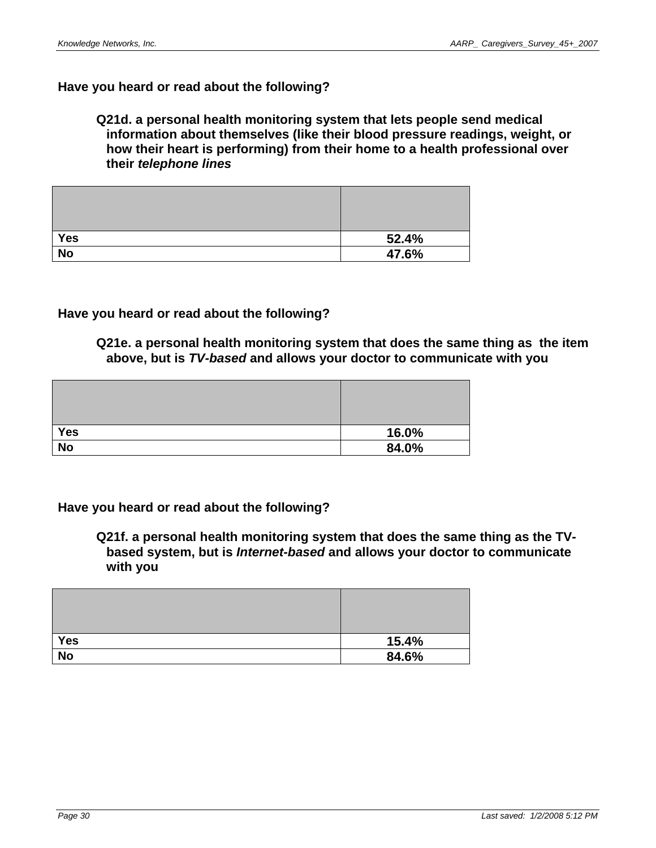# **Have you heard or read about the following?**

#### **Q21d. a personal health monitoring system that lets people send medical information about themselves (like their blood pressure readings, weight, or how their heart is performing) from their home to a health professional over their** *telephone lines*

| Yes       | 52.4% |
|-----------|-------|
| <b>No</b> | 47.6% |

#### **Have you heard or read about the following?**

**Q21e. a personal health monitoring system that does the same thing as the item above, but is** *TV-based* **and allows your doctor to communicate with you** 

| <b>Yes</b> | 16.0% |
|------------|-------|
| <b>No</b>  | 84.0% |

**Have you heard or read about the following?** 

**Q21f. a personal health monitoring system that does the same thing as the TVbased system, but is** *Internet-based* **and allows your doctor to communicate with you** 

| <b>Yes</b> | 15.4% |
|------------|-------|
| <b>No</b>  | 84.6% |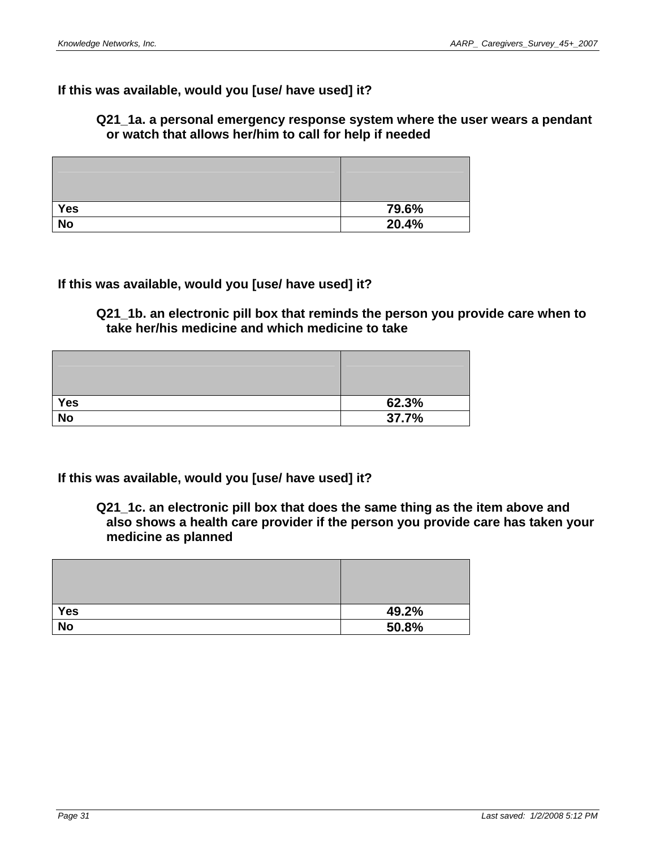#### **If this was available, would you [use/ have used] it?**

#### **Q21\_1a. a personal emergency response system where the user wears a pendant or watch that allows her/him to call for help if needed**

| <b>Yes</b> | 79.6% |
|------------|-------|
| <b>No</b>  | 20.4% |

#### **If this was available, would you [use/ have used] it?**

**Q21\_1b. an electronic pill box that reminds the person you provide care when to take her/his medicine and which medicine to take** 

| <b>Yes</b> | 62.3% |
|------------|-------|
| <b>No</b>  | 37.7% |

#### **If this was available, would you [use/ have used] it?**

**Q21\_1c. an electronic pill box that does the same thing as the item above and also shows a health care provider if the person you provide care has taken your medicine as planned** 

| Yes       | 49.2% |
|-----------|-------|
| <b>No</b> | 50.8% |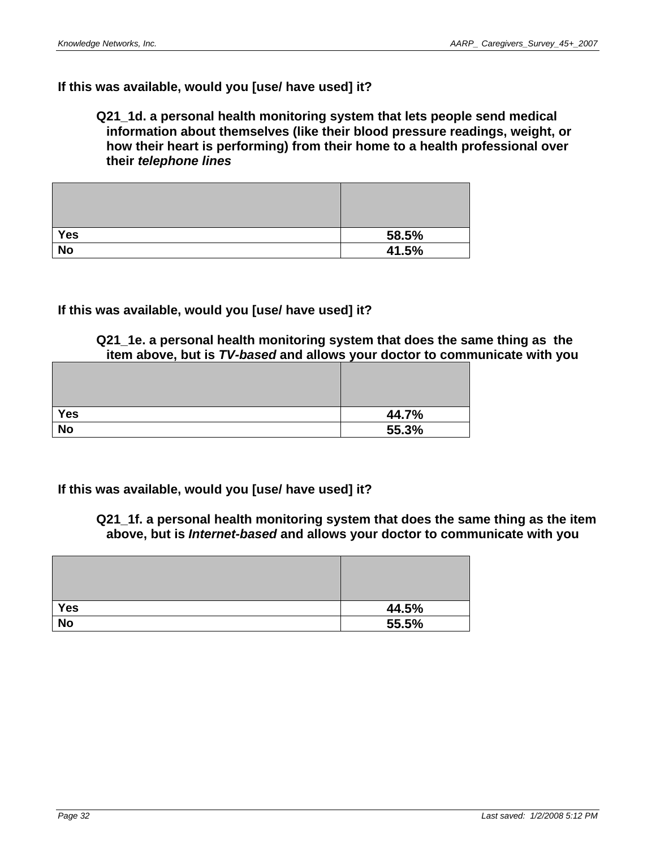#### **If this was available, would you [use/ have used] it?**

#### **Q21\_1d. a personal health monitoring system that lets people send medical information about themselves (like their blood pressure readings, weight, or how their heart is performing) from their home to a health professional over their** *telephone lines*

| <b>Yes</b> | 58.5% |
|------------|-------|
| <b>No</b>  | 41.5% |

#### **If this was available, would you [use/ have used] it?**

**Q21\_1e. a personal health monitoring system that does the same thing as the item above, but is** *TV-based* **and allows your doctor to communicate with you** 

| Yes             | 44.7% |
|-----------------|-------|
| $\overline{No}$ | 55.3% |

**If this was available, would you [use/ have used] it?** 

**Q21\_1f. a personal health monitoring system that does the same thing as the item above, but is** *Internet-based* **and allows your doctor to communicate with you** 

| Yes       | 44.5% |
|-----------|-------|
| <b>No</b> | 55.5% |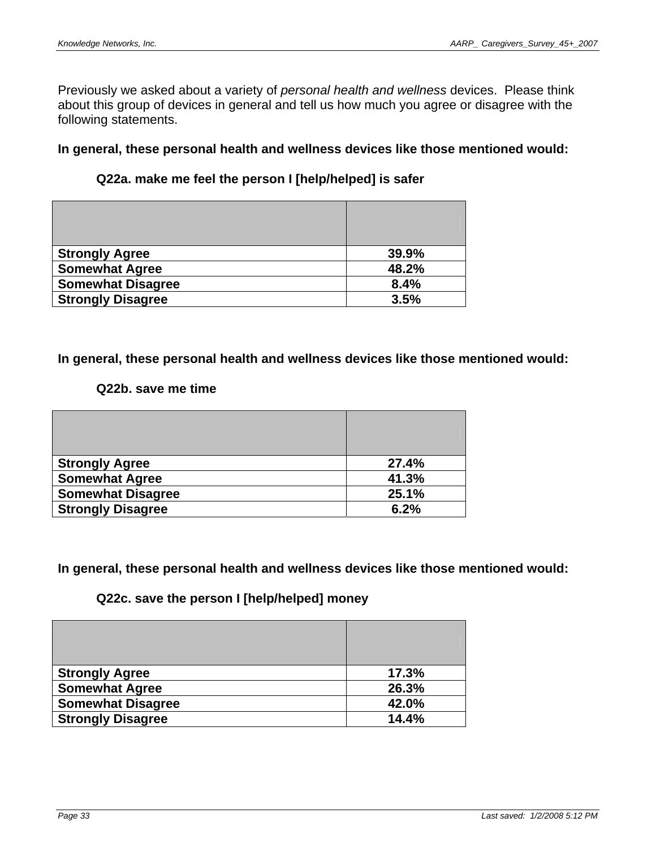Previously we asked about a variety of *personal health and wellness* devices. Please think about this group of devices in general and tell us how much you agree or disagree with the following statements.

**In general, these personal health and wellness devices like those mentioned would:** 

# **Q22a. make me feel the person I [help/helped] is safer**

| <b>Strongly Agree</b>    | 39.9% |
|--------------------------|-------|
| <b>Somewhat Agree</b>    | 48.2% |
| <b>Somewhat Disagree</b> | 8.4%  |
| <b>Strongly Disagree</b> | 3.5%  |

### **In general, these personal health and wellness devices like those mentioned would:**

### **Q22b. save me time**

| <b>Strongly Agree</b>    | 27.4% |
|--------------------------|-------|
| <b>Somewhat Agree</b>    | 41.3% |
| <b>Somewhat Disagree</b> | 25.1% |
| <b>Strongly Disagree</b> | 6.2%  |

**In general, these personal health and wellness devices like those mentioned would:** 

# **Q22c. save the person I [help/helped] money**

| <b>Strongly Agree</b>    | 17.3% |
|--------------------------|-------|
| <b>Somewhat Agree</b>    | 26.3% |
| <b>Somewhat Disagree</b> | 42.0% |
| <b>Strongly Disagree</b> | 14.4% |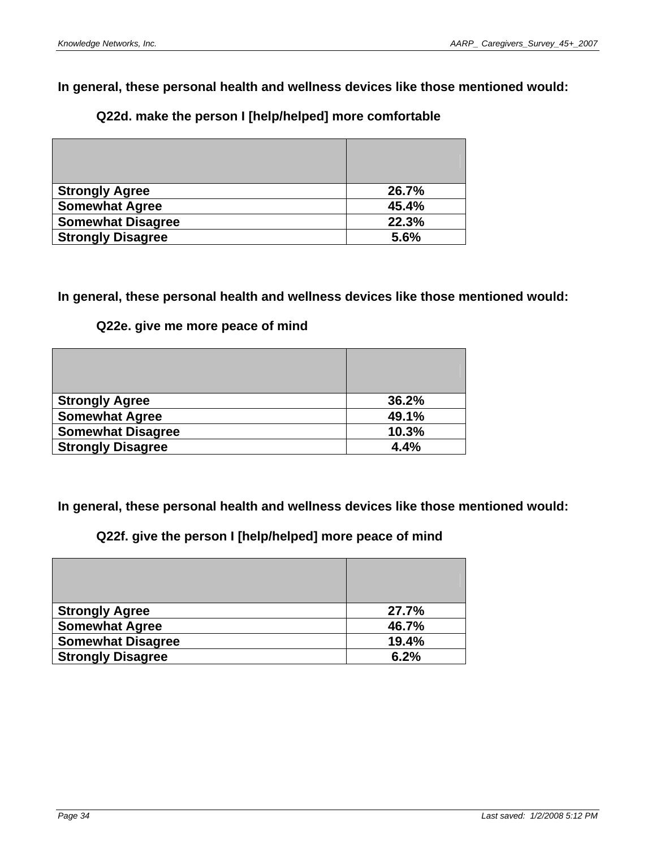# **Q22d. make the person I [help/helped] more comfortable**

| <b>Strongly Agree</b>    | 26.7% |
|--------------------------|-------|
| <b>Somewhat Agree</b>    | 45.4% |
| <b>Somewhat Disagree</b> | 22.3% |
| <b>Strongly Disagree</b> | 5.6%  |

# **In general, these personal health and wellness devices like those mentioned would:**

### **Q22e. give me more peace of mind**

| <b>Strongly Agree</b>    | 36.2% |
|--------------------------|-------|
| <b>Somewhat Agree</b>    | 49.1% |
| <b>Somewhat Disagree</b> | 10.3% |
| <b>Strongly Disagree</b> | 4.4%  |

**In general, these personal health and wellness devices like those mentioned would:** 

# **Q22f. give the person I [help/helped] more peace of mind**

| <b>Strongly Agree</b>    | 27.7% |
|--------------------------|-------|
| <b>Somewhat Agree</b>    | 46.7% |
| <b>Somewhat Disagree</b> | 19.4% |
| <b>Strongly Disagree</b> | 6.2%  |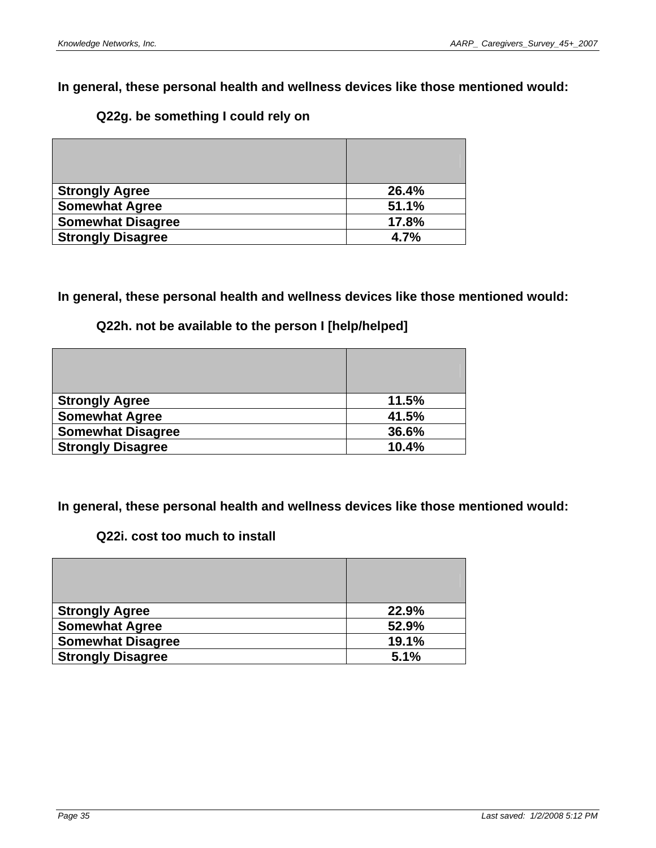# **Q22g. be something I could rely on**

| <b>Strongly Agree</b>    | 26.4% |
|--------------------------|-------|
| <b>Somewhat Agree</b>    | 51.1% |
| <b>Somewhat Disagree</b> | 17.8% |
| <b>Strongly Disagree</b> | 4.7%  |

# **In general, these personal health and wellness devices like those mentioned would:**

# **Q22h. not be available to the person I [help/helped]**

| <b>Strongly Agree</b>    | 11.5% |
|--------------------------|-------|
| <b>Somewhat Agree</b>    | 41.5% |
| <b>Somewhat Disagree</b> | 36.6% |
| <b>Strongly Disagree</b> | 10.4% |

**In general, these personal health and wellness devices like those mentioned would:** 

# **Q22i. cost too much to install**

| <b>Strongly Agree</b>    | 22.9% |
|--------------------------|-------|
| <b>Somewhat Agree</b>    | 52.9% |
| <b>Somewhat Disagree</b> | 19.1% |
| <b>Strongly Disagree</b> | 5.1%  |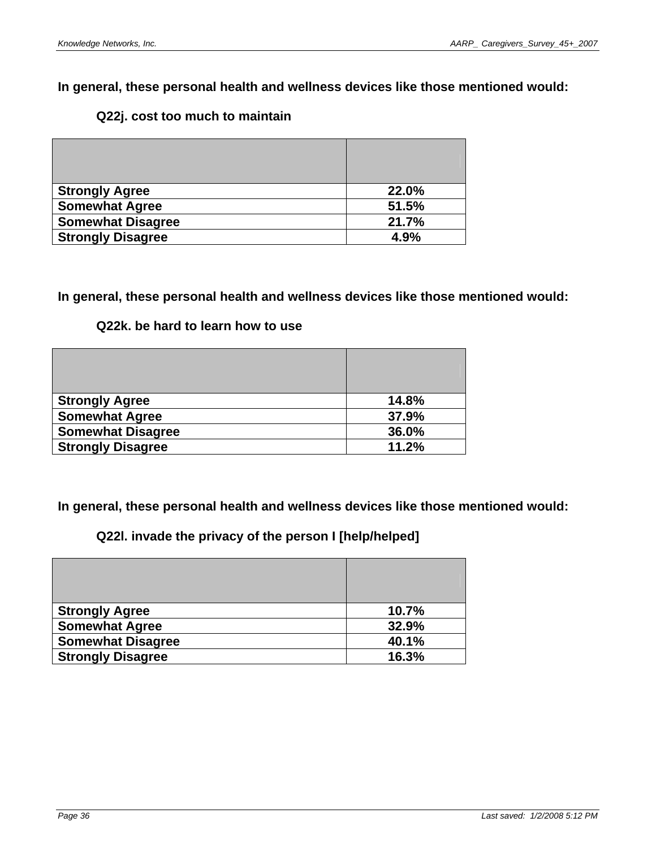### **Q22j. cost too much to maintain**

| <b>Strongly Agree</b>    | 22.0% |
|--------------------------|-------|
| <b>Somewhat Agree</b>    | 51.5% |
| <b>Somewhat Disagree</b> | 21.7% |
| <b>Strongly Disagree</b> | 4.9%  |

### **In general, these personal health and wellness devices like those mentioned would:**

### **Q22k. be hard to learn how to use**

| <b>Strongly Agree</b>    | 14.8% |
|--------------------------|-------|
| <b>Somewhat Agree</b>    | 37.9% |
| <b>Somewhat Disagree</b> | 36.0% |
| <b>Strongly Disagree</b> | 11.2% |

**In general, these personal health and wellness devices like those mentioned would:** 

**Q22l. invade the privacy of the person I [help/helped]** 

| <b>Strongly Agree</b>    | 10.7% |
|--------------------------|-------|
| <b>Somewhat Agree</b>    | 32.9% |
| <b>Somewhat Disagree</b> | 40.1% |
| <b>Strongly Disagree</b> | 16.3% |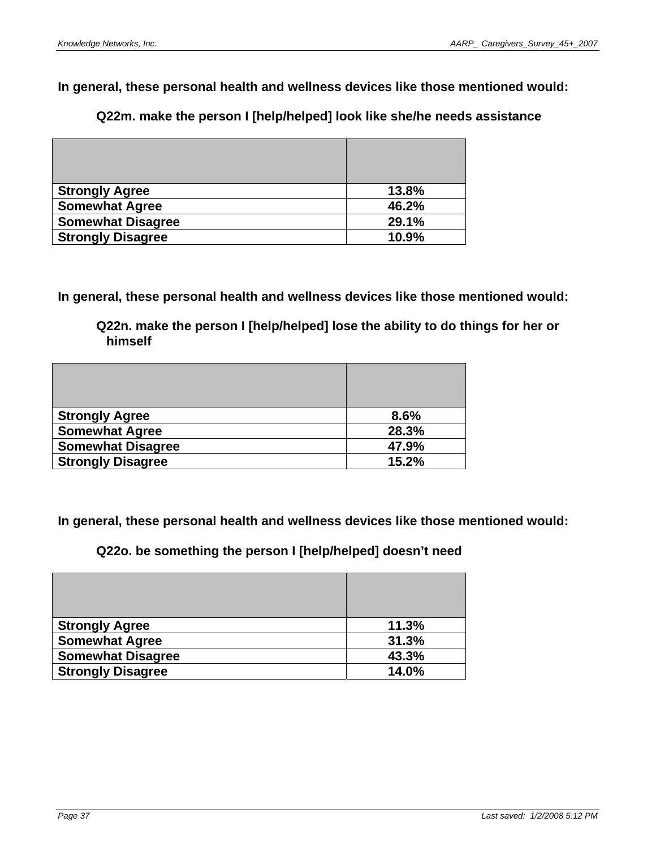**Q22m. make the person I [help/helped] look like she/he needs assistance** 

| <b>Strongly Agree</b>    | 13.8% |
|--------------------------|-------|
| <b>Somewhat Agree</b>    | 46.2% |
| <b>Somewhat Disagree</b> | 29.1% |
| <b>Strongly Disagree</b> | 10.9% |

**In general, these personal health and wellness devices like those mentioned would:** 

**Q22n. make the person I [help/helped] lose the ability to do things for her or himself** 

| <b>Strongly Agree</b>    | 8.6%  |
|--------------------------|-------|
| <b>Somewhat Agree</b>    | 28.3% |
| <b>Somewhat Disagree</b> | 47.9% |
| <b>Strongly Disagree</b> | 15.2% |

**In general, these personal health and wellness devices like those mentioned would:** 

**Q22o. be something the person I [help/helped] doesn't need** 

| <b>Strongly Agree</b>    | 11.3% |
|--------------------------|-------|
| <b>Somewhat Agree</b>    | 31.3% |
| <b>Somewhat Disagree</b> | 43.3% |
| <b>Strongly Disagree</b> | 14.0% |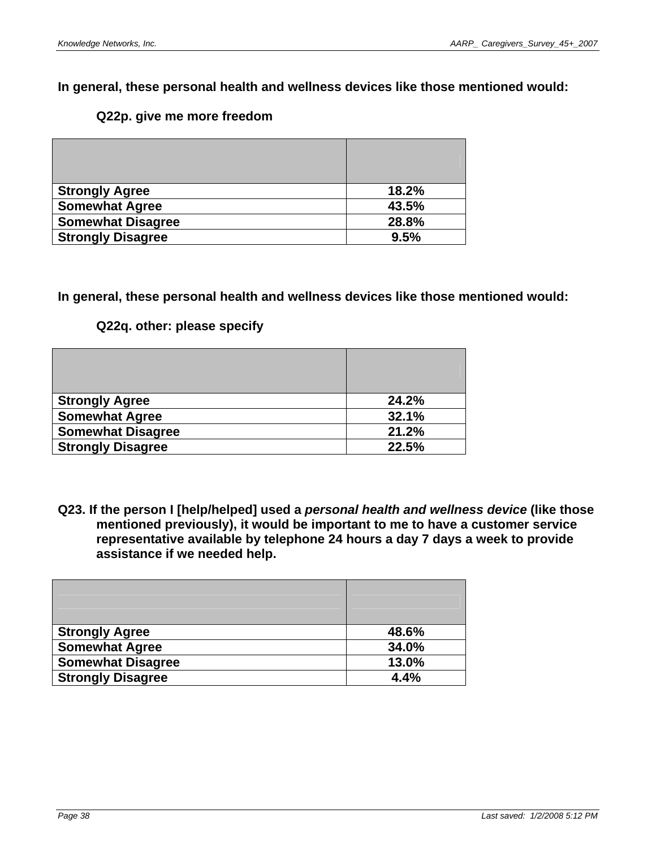#### **Q22p. give me more freedom**

| <b>Strongly Agree</b>    | 18.2% |
|--------------------------|-------|
| <b>Somewhat Agree</b>    | 43.5% |
| <b>Somewhat Disagree</b> | 28.8% |
| <b>Strongly Disagree</b> | 9.5%  |

#### **In general, these personal health and wellness devices like those mentioned would:**

#### **Q22q. other: please specify**

| <b>Strongly Agree</b>    | 24.2% |
|--------------------------|-------|
| <b>Somewhat Agree</b>    | 32.1% |
| <b>Somewhat Disagree</b> | 21.2% |
| <b>Strongly Disagree</b> | 22.5% |

**Q23. If the person I [help/helped] used a** *personal health and wellness device* **(like those mentioned previously), it would be important to me to have a customer service representative available by telephone 24 hours a day 7 days a week to provide assistance if we needed help.** 

| <b>Strongly Agree</b>    | 48.6% |
|--------------------------|-------|
| <b>Somewhat Agree</b>    | 34.0% |
| <b>Somewhat Disagree</b> | 13.0% |
| <b>Strongly Disagree</b> | 4.4%  |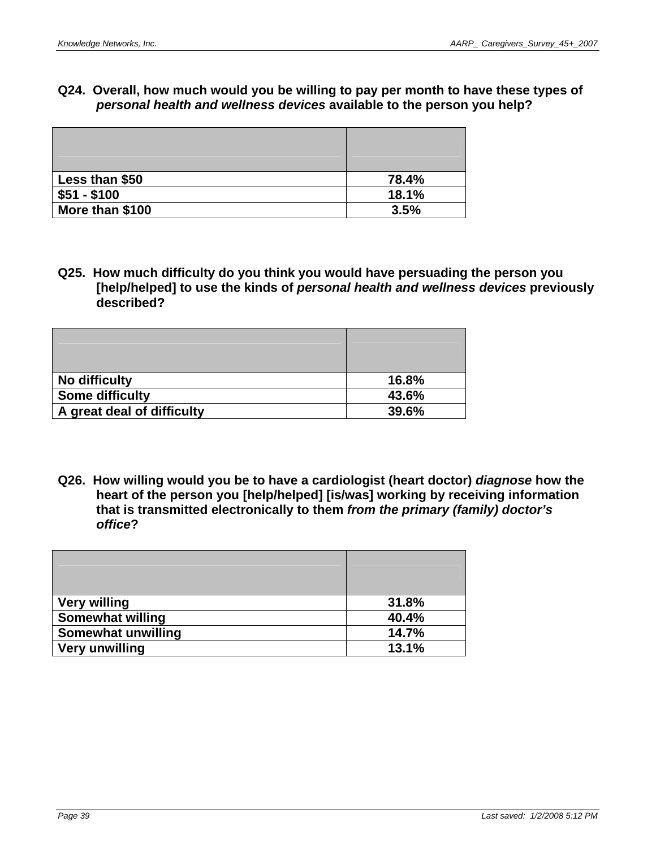### **Q24. Overall, how much would you be willing to pay per month to have these types of**  *personal health and wellness devices* **available to the person you help?**

| Less than \$50  | 78.4% |
|-----------------|-------|
| $$51 - $100$    | 18.1% |
| More than \$100 | 3.5%  |

**Q25. How much difficulty do you think you would have persuading the person you [help/helped] to use the kinds of** *personal health and wellness devices* **previously described?** 

| No difficulty              | 16.8% |
|----------------------------|-------|
| <b>Some difficulty</b>     | 43.6% |
| A great deal of difficulty | 39.6% |

**Q26. How willing would you be to have a cardiologist (heart doctor)** *diagnose* **how the heart of the person you [help/helped] [is/was] working by receiving information that is transmitted electronically to them** *from the primary (family) doctor's office***?** 

| <b>Very willing</b>     | 31.8% |
|-------------------------|-------|
| <b>Somewhat willing</b> | 40.4% |
| Somewhat unwilling      | 14.7% |
| <b>Very unwilling</b>   | 13.1% |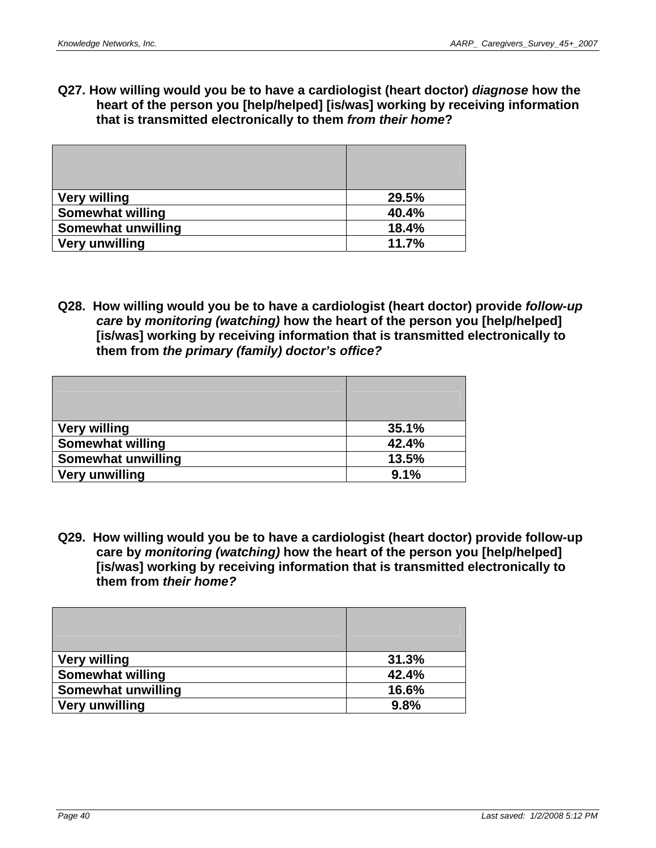**Q27. How willing would you be to have a cardiologist (heart doctor)** *diagnose* **how the heart of the person you [help/helped] [is/was] working by receiving information that is transmitted electronically to them** *from their home***?** 

| <b>Very willing</b>       | 29.5% |
|---------------------------|-------|
| <b>Somewhat willing</b>   | 40.4% |
| <b>Somewhat unwilling</b> | 18.4% |
| Very unwilling            | 11.7% |

**Q28. How willing would you be to have a cardiologist (heart doctor) provide** *follow-up care* **by** *monitoring (watching)* **how the heart of the person you [help/helped] [is/was] working by receiving information that is transmitted electronically to them from** *the primary (family) doctor's office?* 

| <b>Very willing</b>     | 35.1% |
|-------------------------|-------|
| <b>Somewhat willing</b> | 42.4% |
| Somewhat unwilling      | 13.5% |
| <b>Very unwilling</b>   | 9.1%  |

**Q29. How willing would you be to have a cardiologist (heart doctor) provide follow-up care by** *monitoring (watching)* **how the heart of the person you [help/helped] [is/was] working by receiving information that is transmitted electronically to them from** *their home?* 

| <b>Very willing</b>       | 31.3% |
|---------------------------|-------|
| <b>Somewhat willing</b>   | 42.4% |
| <b>Somewhat unwilling</b> | 16.6% |
| <b>Very unwilling</b>     | 9.8%  |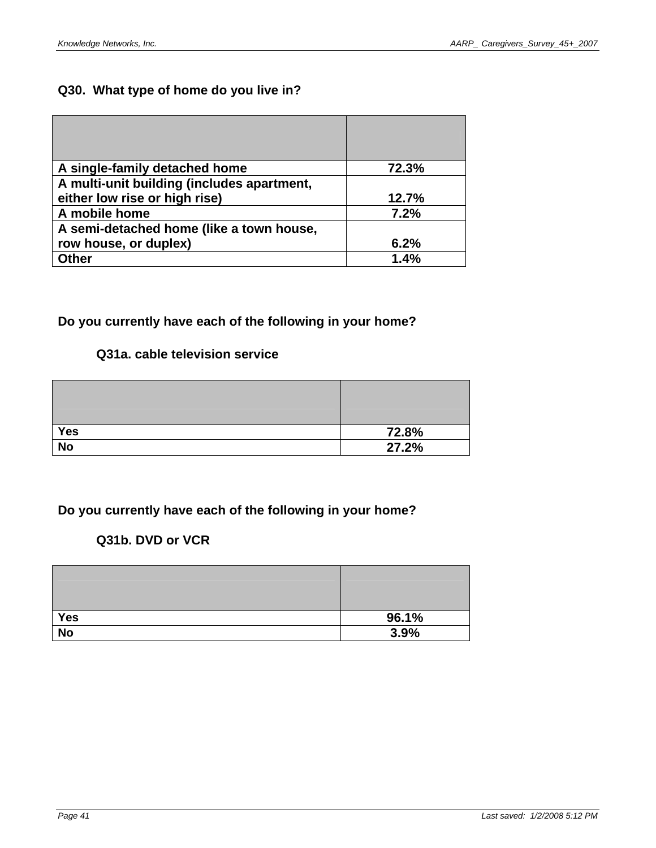# **Q30. What type of home do you live in?**

| A single-family detached home              | 72.3% |
|--------------------------------------------|-------|
| A multi-unit building (includes apartment, |       |
| either low rise or high rise)              | 12.7% |
| A mobile home                              | 7.2%  |
| A semi-detached home (like a town house,   |       |
| row house, or duplex)                      | 6.2%  |
| <b>Other</b>                               | 1.4%  |

# **Do you currently have each of the following in your home?**

# **Q31a. cable television service**

| <b>Yes</b> | 72.8% |
|------------|-------|
| <b>No</b>  | 27.2% |

# **Do you currently have each of the following in your home?**

# **Q31b. DVD or VCR**

| <b>Yes</b> | 96.1% |
|------------|-------|
| <b>No</b>  | 3.9%  |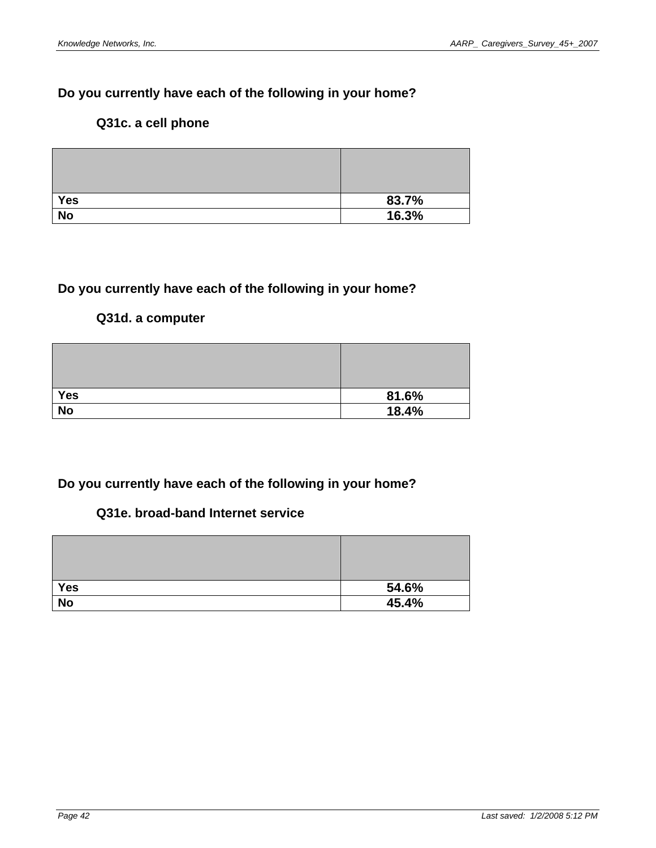# **Do you currently have each of the following in your home?**

# **Q31c. a cell phone**

| <b>Yes</b> | 83.7% |
|------------|-------|
| <b>No</b>  | 16.3% |

# **Do you currently have each of the following in your home?**

### **Q31d. a computer**

| Yes       | 81.6% |
|-----------|-------|
| <b>No</b> | 18.4% |

# **Do you currently have each of the following in your home?**

# **Q31e. broad-band Internet service**

| <b>Yes</b> | 54.6% |
|------------|-------|
| <b>No</b>  | 45.4% |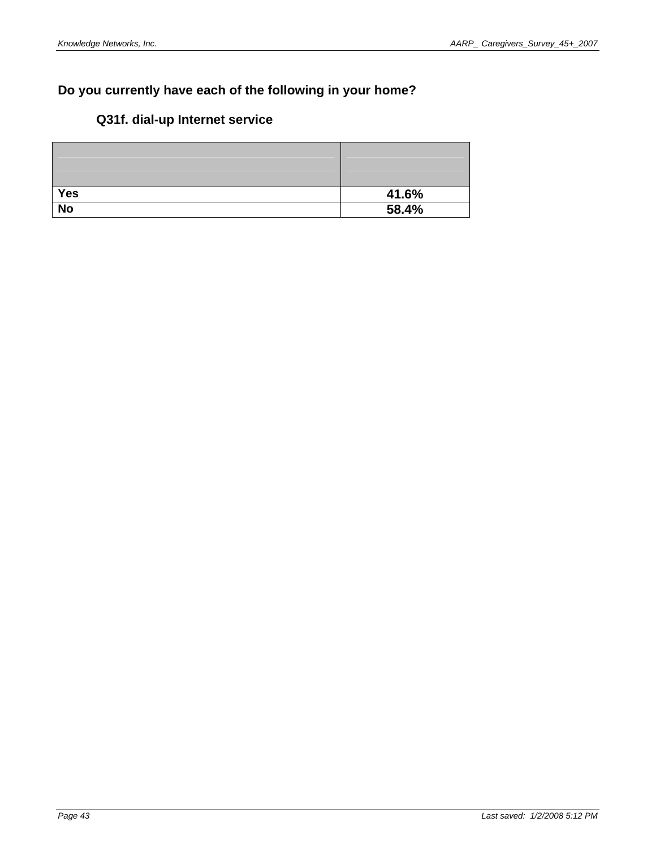# **Do you currently have each of the following in your home?**

# **Q31f. dial-up Internet service**

| <b>Yes</b> | 41.6% |
|------------|-------|
| <b>No</b>  | 58.4% |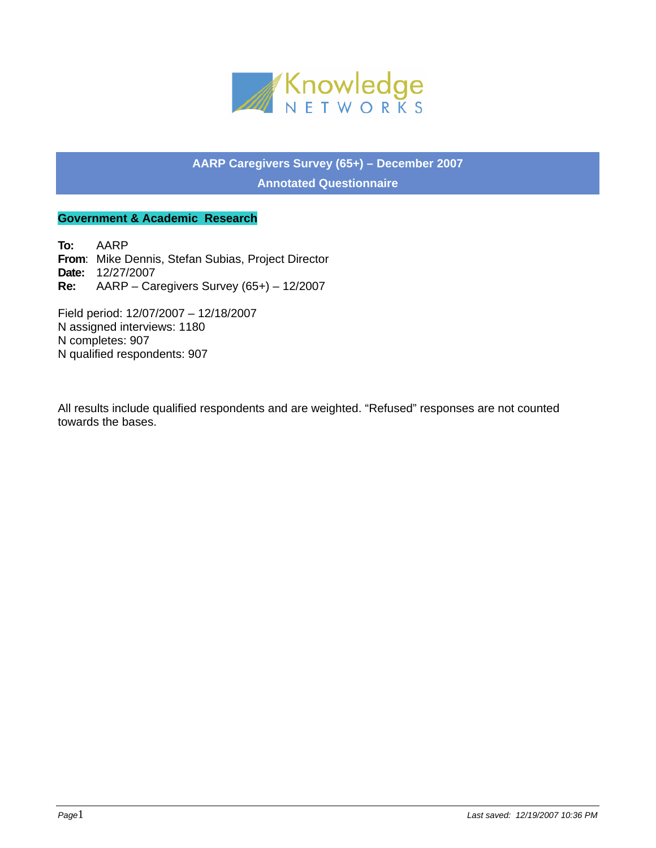

**AARP Caregivers Survey (65+) – December 2007 Annotated Questionnaire** 

#### **Government & Academic Research**

**To:** AARP **From**: Mike Dennis, Stefan Subias, Project Director **Date:** 12/27/2007 **Re:** AARP – Caregivers Survey (65+) – 12/2007

Field period: 12/07/2007 – 12/18/2007 N assigned interviews: 1180 N completes: 907 N qualified respondents: 907

All results include qualified respondents and are weighted. "Refused" responses are not counted towards the bases.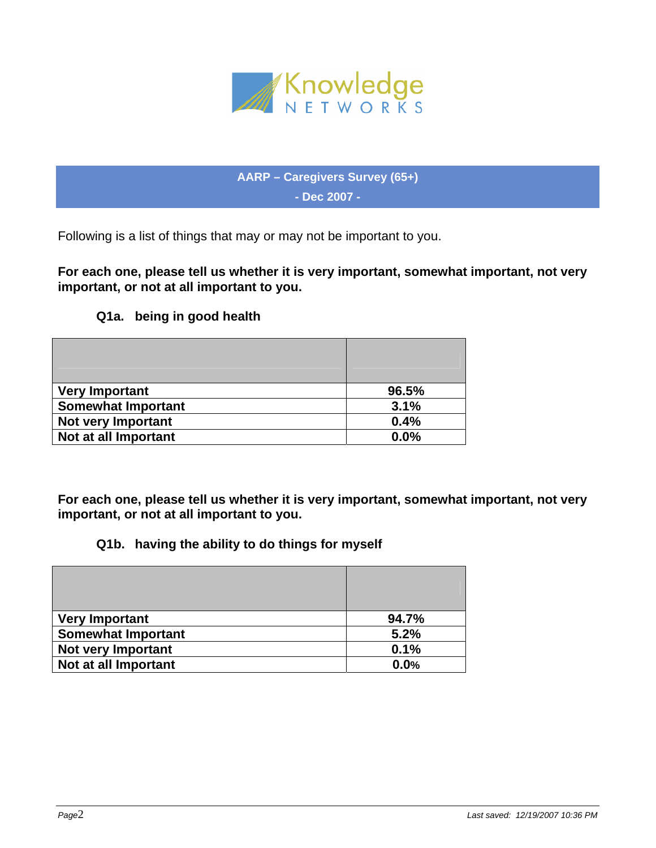

**AARP – Caregivers Survey (65+) - Dec 2007 -** 

Following is a list of things that may or may not be important to you.

**For each one, please tell us whether it is very important, somewhat important, not very important, or not at all important to you.** 

# **Q1a. being in good health**

| <b>Very Important</b>     | 96.5% |
|---------------------------|-------|
| <b>Somewhat Important</b> | 3.1%  |
| <b>Not very Important</b> | 0.4%  |
| Not at all Important      | 0.0%  |

**For each one, please tell us whether it is very important, somewhat important, not very important, or not at all important to you.** 

# **Q1b. having the ability to do things for myself**

| <b>Very Important</b>     | 94.7% |
|---------------------------|-------|
| <b>Somewhat Important</b> | 5.2%  |
| <b>Not very Important</b> | 0.1%  |
| Not at all Important      | 0.0%  |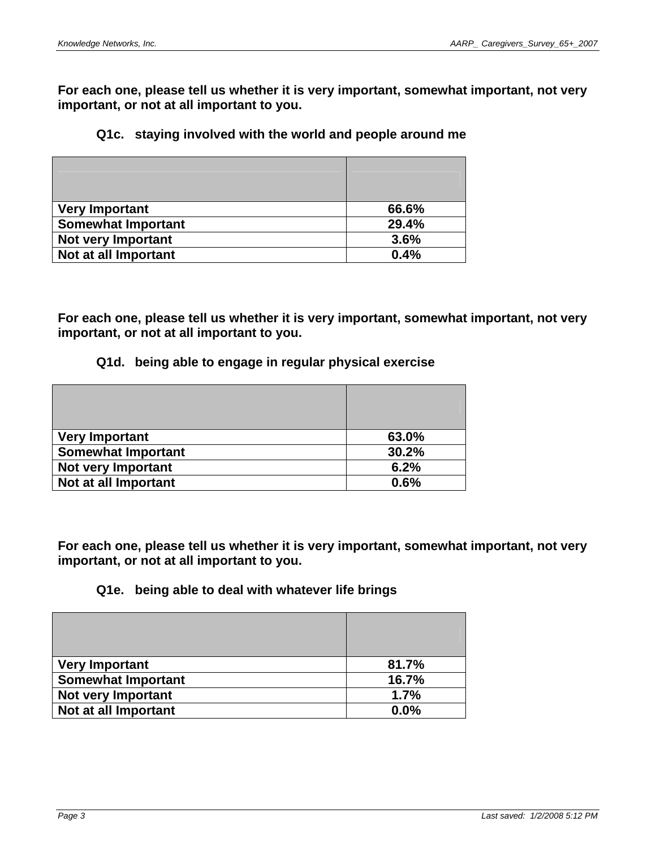**For each one, please tell us whether it is very important, somewhat important, not very important, or not at all important to you.** 

#### **Q1c. staying involved with the world and people around me**

| <b>Very Important</b>     | 66.6% |
|---------------------------|-------|
| <b>Somewhat Important</b> | 29.4% |
| <b>Not very Important</b> | 3.6%  |
| Not at all Important      | 0.4%  |

**For each one, please tell us whether it is very important, somewhat important, not very important, or not at all important to you.** 

#### **Q1d. being able to engage in regular physical exercise**

| <b>Very Important</b>     | 63.0% |
|---------------------------|-------|
| <b>Somewhat Important</b> | 30.2% |
| <b>Not very Important</b> | 6.2%  |
| Not at all Important      | 0.6%  |

**For each one, please tell us whether it is very important, somewhat important, not very important, or not at all important to you.** 

#### **Q1e. being able to deal with whatever life brings**

| <b>Very Important</b>     | 81.7% |
|---------------------------|-------|
| <b>Somewhat Important</b> | 16.7% |
| <b>Not very Important</b> | 1.7%  |
| Not at all Important      | 0.0%  |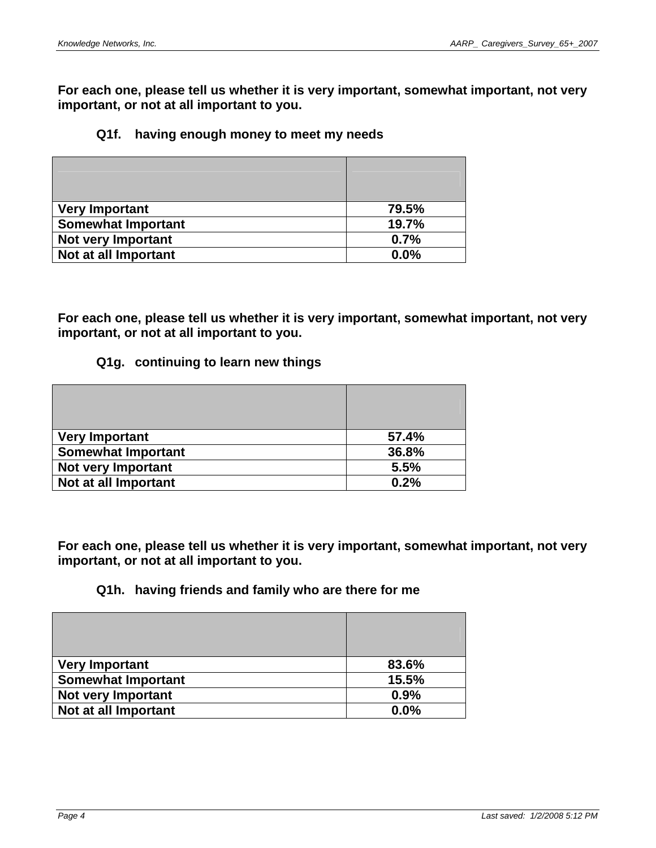**For each one, please tell us whether it is very important, somewhat important, not very important, or not at all important to you.** 

#### **Q1f. having enough money to meet my needs**

| <b>Very Important</b>     | 79.5% |
|---------------------------|-------|
| <b>Somewhat Important</b> | 19.7% |
| Not very Important        | 0.7%  |
| Not at all Important      | 0.0%  |

**For each one, please tell us whether it is very important, somewhat important, not very important, or not at all important to you.** 

#### **Q1g. continuing to learn new things**

| <b>Very Important</b>     | 57.4% |
|---------------------------|-------|
| <b>Somewhat Important</b> | 36.8% |
| <b>Not very Important</b> | 5.5%  |
| Not at all Important      | 0.2%  |

**For each one, please tell us whether it is very important, somewhat important, not very important, or not at all important to you.** 

#### **Q1h. having friends and family who are there for me**

| <b>Very Important</b>     | 83.6% |
|---------------------------|-------|
| <b>Somewhat Important</b> | 15.5% |
| <b>Not very Important</b> | 0.9%  |
| Not at all Important      | 0.0%  |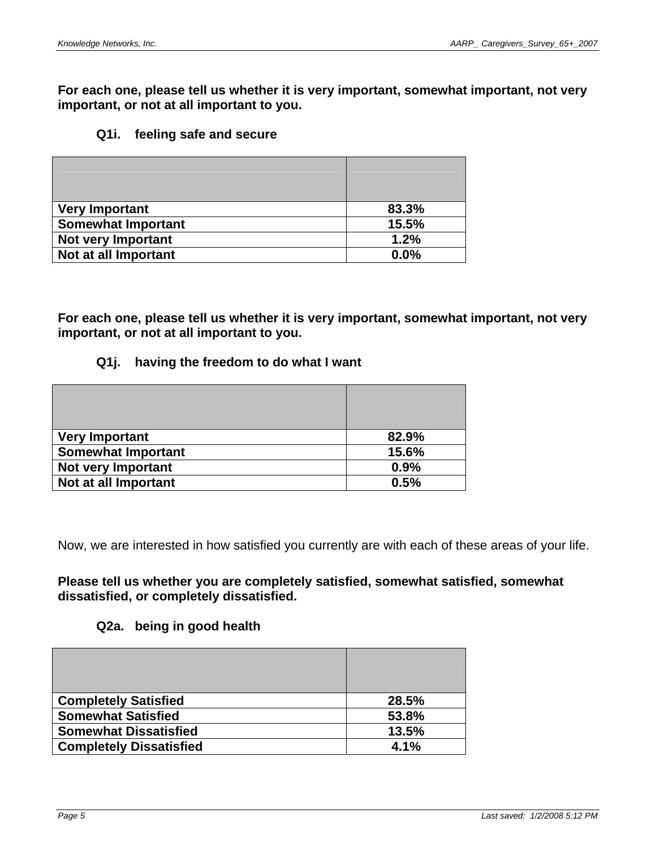**For each one, please tell us whether it is very important, somewhat important, not very important, or not at all important to you.** 

#### **Q1i. feeling safe and secure**

| <b>Very Important</b>     | 83.3% |
|---------------------------|-------|
| <b>Somewhat Important</b> | 15.5% |
| <b>Not very Important</b> | 1.2%  |
| Not at all Important      | 0.0%  |

**For each one, please tell us whether it is very important, somewhat important, not very important, or not at all important to you.** 

#### **Q1j. having the freedom to do what I want**

| <b>Very Important</b>     | 82.9% |
|---------------------------|-------|
| <b>Somewhat Important</b> | 15.6% |
| <b>Not very Important</b> | 0.9%  |
| Not at all Important      | 0.5%  |

Now, we are interested in how satisfied you currently are with each of these areas of your life.

#### **Please tell us whether you are completely satisfied, somewhat satisfied, somewhat dissatisfied, or completely dissatisfied.**

#### **Q2a. being in good health**

| <b>Completely Satisfied</b>    | 28.5% |
|--------------------------------|-------|
| <b>Somewhat Satisfied</b>      | 53.8% |
| <b>Somewhat Dissatisfied</b>   | 13.5% |
| <b>Completely Dissatisfied</b> | 4.1%  |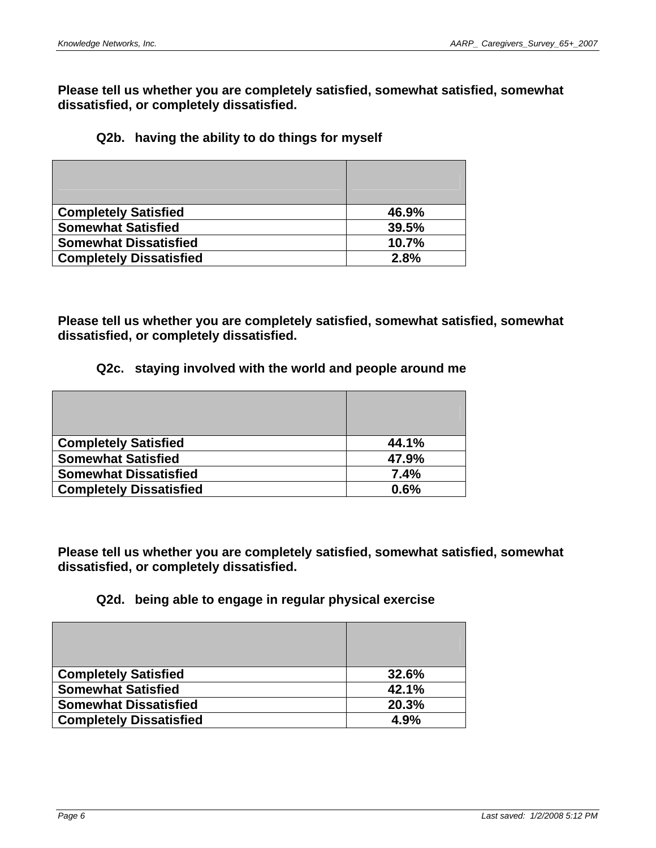**Please tell us whether you are completely satisfied, somewhat satisfied, somewhat dissatisfied, or completely dissatisfied.** 

### **Q2b. having the ability to do things for myself**

| <b>Completely Satisfied</b>    | 46.9% |
|--------------------------------|-------|
| <b>Somewhat Satisfied</b>      | 39.5% |
| <b>Somewhat Dissatisfied</b>   | 10.7% |
| <b>Completely Dissatisfied</b> | 2.8%  |

**Please tell us whether you are completely satisfied, somewhat satisfied, somewhat dissatisfied, or completely dissatisfied.** 

# **Q2c. staying involved with the world and people around me**

| <b>Completely Satisfied</b>    | 44.1% |
|--------------------------------|-------|
| <b>Somewhat Satisfied</b>      | 47.9% |
| <b>Somewhat Dissatisfied</b>   | 7.4%  |
| <b>Completely Dissatisfied</b> | 0.6%  |

**Please tell us whether you are completely satisfied, somewhat satisfied, somewhat dissatisfied, or completely dissatisfied.** 

# **Q2d. being able to engage in regular physical exercise**

| <b>Completely Satisfied</b>    | 32.6% |
|--------------------------------|-------|
| <b>Somewhat Satisfied</b>      | 42.1% |
| <b>Somewhat Dissatisfied</b>   | 20.3% |
| <b>Completely Dissatisfied</b> | 4.9%  |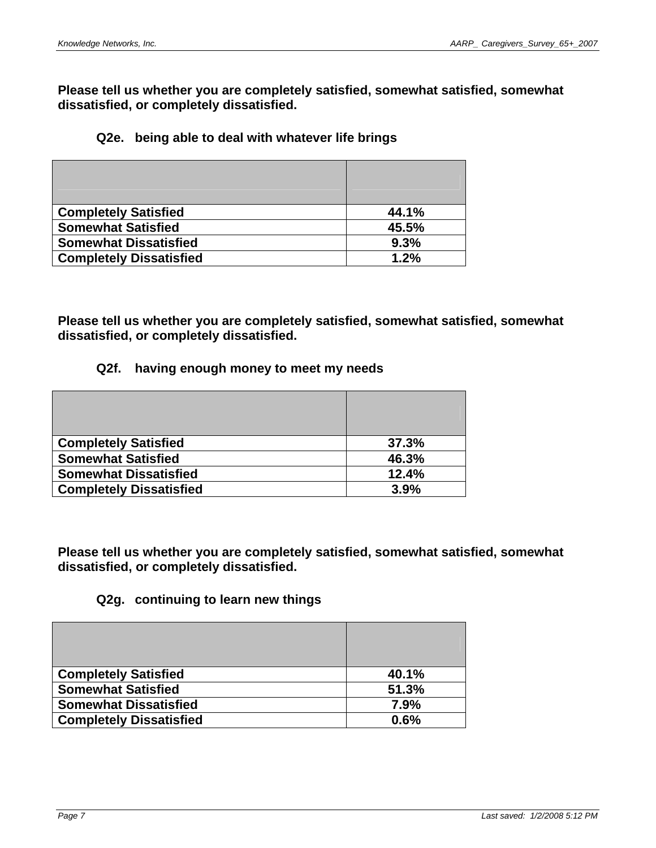**Please tell us whether you are completely satisfied, somewhat satisfied, somewhat dissatisfied, or completely dissatisfied.** 

#### **Q2e. being able to deal with whatever life brings**

| <b>Completely Satisfied</b>    | 44.1% |
|--------------------------------|-------|
| <b>Somewhat Satisfied</b>      | 45.5% |
| <b>Somewhat Dissatisfied</b>   | 9.3%  |
| <b>Completely Dissatisfied</b> | 1.2%  |

**Please tell us whether you are completely satisfied, somewhat satisfied, somewhat dissatisfied, or completely dissatisfied.** 

#### **Q2f. having enough money to meet my needs**

| <b>Completely Satisfied</b>    | 37.3% |
|--------------------------------|-------|
| <b>Somewhat Satisfied</b>      | 46.3% |
| <b>Somewhat Dissatisfied</b>   | 12.4% |
| <b>Completely Dissatisfied</b> | 3.9%  |

**Please tell us whether you are completely satisfied, somewhat satisfied, somewhat dissatisfied, or completely dissatisfied.** 

# **Q2g. continuing to learn new things**

| <b>Completely Satisfied</b>    | 40.1% |
|--------------------------------|-------|
| <b>Somewhat Satisfied</b>      | 51.3% |
| <b>Somewhat Dissatisfied</b>   | 7.9%  |
| <b>Completely Dissatisfied</b> | 0.6%  |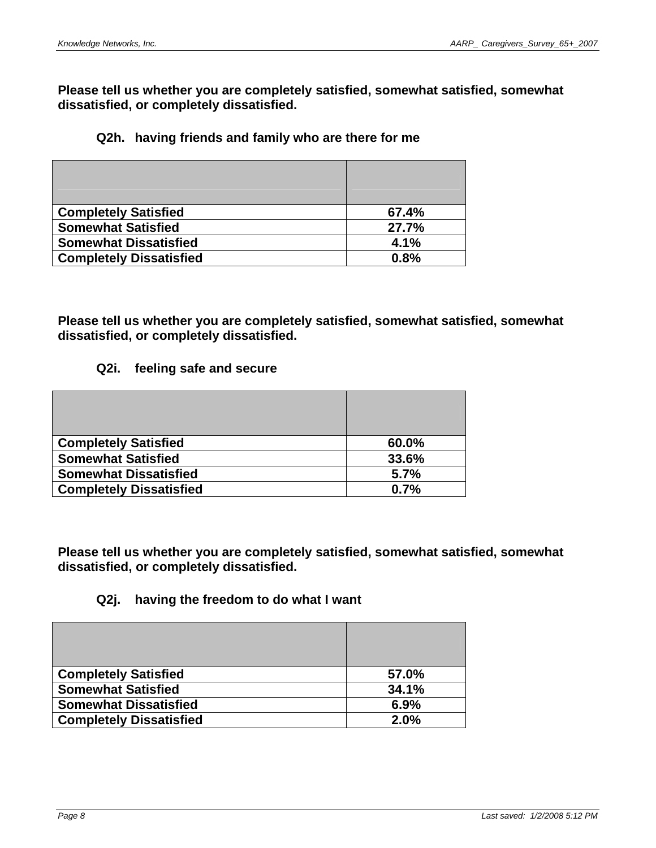**Please tell us whether you are completely satisfied, somewhat satisfied, somewhat dissatisfied, or completely dissatisfied.** 

# **Q2h. having friends and family who are there for me**

| <b>Completely Satisfied</b>    | 67.4% |
|--------------------------------|-------|
| <b>Somewhat Satisfied</b>      | 27.7% |
| <b>Somewhat Dissatisfied</b>   | 4.1%  |
| <b>Completely Dissatisfied</b> | 0.8%  |

**Please tell us whether you are completely satisfied, somewhat satisfied, somewhat dissatisfied, or completely dissatisfied.** 

#### **Q2i. feeling safe and secure**

| <b>Completely Satisfied</b>    | 60.0% |
|--------------------------------|-------|
| <b>Somewhat Satisfied</b>      | 33.6% |
| <b>Somewhat Dissatisfied</b>   | 5.7%  |
| <b>Completely Dissatisfied</b> | 0.7%  |

**Please tell us whether you are completely satisfied, somewhat satisfied, somewhat dissatisfied, or completely dissatisfied.** 

# **Q2j. having the freedom to do what I want**

| <b>Completely Satisfied</b>    | 57.0% |
|--------------------------------|-------|
| <b>Somewhat Satisfied</b>      | 34.1% |
| <b>Somewhat Dissatisfied</b>   | 6.9%  |
| <b>Completely Dissatisfied</b> | 2.0%  |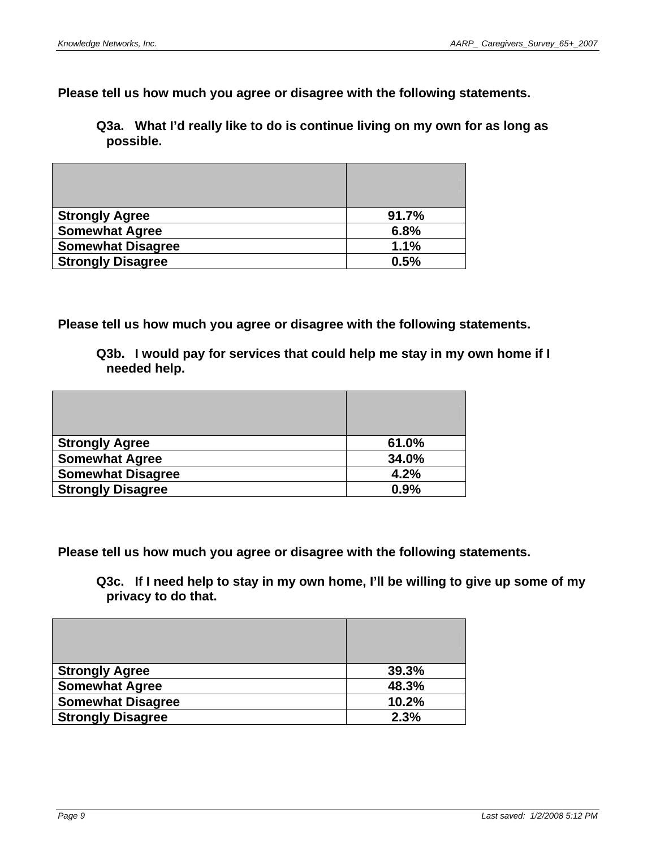**Please tell us how much you agree or disagree with the following statements.** 

**Q3a. What I'd really like to do is continue living on my own for as long as possible.** 

| <b>Strongly Agree</b>    | 91.7% |
|--------------------------|-------|
| <b>Somewhat Agree</b>    | 6.8%  |
| <b>Somewhat Disagree</b> | 1.1%  |
| <b>Strongly Disagree</b> | 0.5%  |

**Please tell us how much you agree or disagree with the following statements.** 

**Q3b. I would pay for services that could help me stay in my own home if I needed help.** 

| <b>Strongly Agree</b>    | 61.0% |
|--------------------------|-------|
| <b>Somewhat Agree</b>    | 34.0% |
| <b>Somewhat Disagree</b> | 4.2%  |
| <b>Strongly Disagree</b> | 0.9%  |

**Please tell us how much you agree or disagree with the following statements.** 

**Q3c. If I need help to stay in my own home, I'll be willing to give up some of my privacy to do that.** 

| <b>Strongly Agree</b>    | 39.3% |
|--------------------------|-------|
| <b>Somewhat Agree</b>    | 48.3% |
| <b>Somewhat Disagree</b> | 10.2% |
| <b>Strongly Disagree</b> | 2.3%  |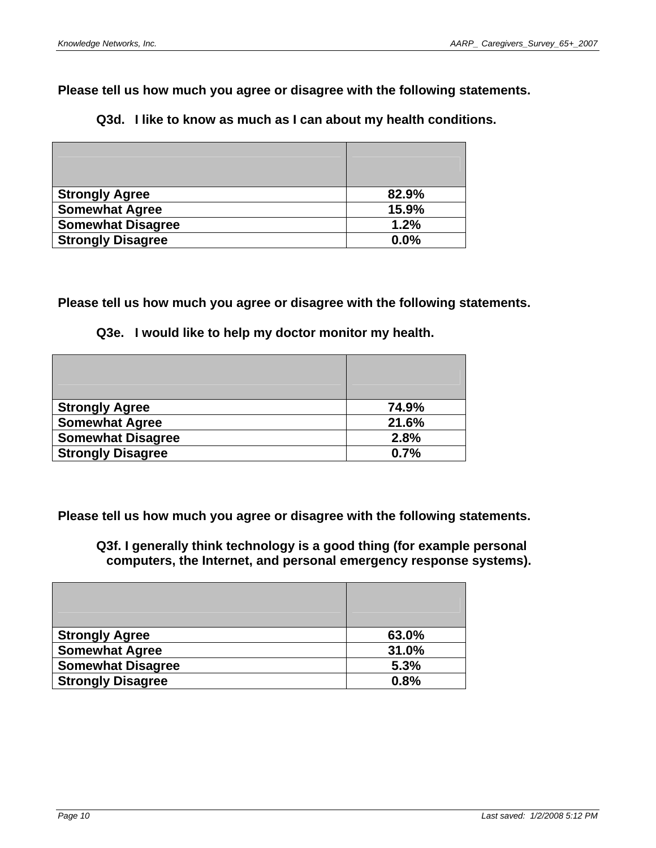**Please tell us how much you agree or disagree with the following statements.** 

| Q3d. I like to know as much as I can about my health conditions. |
|------------------------------------------------------------------|
|------------------------------------------------------------------|

| <b>Strongly Agree</b>    | 82.9% |
|--------------------------|-------|
| <b>Somewhat Agree</b>    | 15.9% |
| <b>Somewhat Disagree</b> | 1.2%  |
| <b>Strongly Disagree</b> | 0.0%  |

**Please tell us how much you agree or disagree with the following statements.** 

|  | Q3e. I would like to help my doctor monitor my health. |  |  |  |  |
|--|--------------------------------------------------------|--|--|--|--|
|--|--------------------------------------------------------|--|--|--|--|

| <b>Strongly Agree</b>    | 74.9% |
|--------------------------|-------|
| <b>Somewhat Agree</b>    | 21.6% |
| <b>Somewhat Disagree</b> | 2.8%  |
| <b>Strongly Disagree</b> | 0.7%  |

**Please tell us how much you agree or disagree with the following statements.** 

**Q3f. I generally think technology is a good thing (for example personal computers, the Internet, and personal emergency response systems).** 

| <b>Strongly Agree</b>    | 63.0% |
|--------------------------|-------|
| <b>Somewhat Agree</b>    | 31.0% |
| <b>Somewhat Disagree</b> | 5.3%  |
| <b>Strongly Disagree</b> | 0.8%  |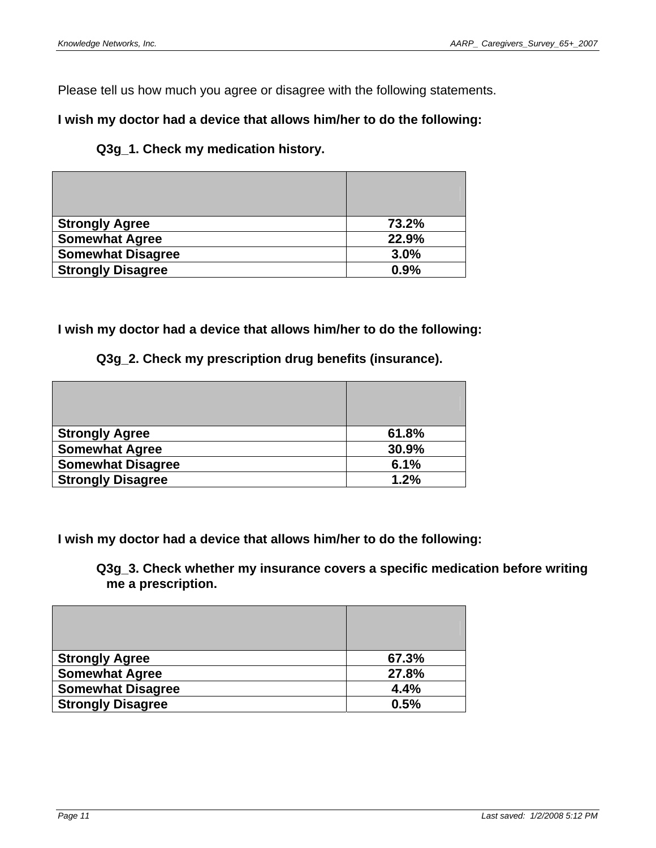Please tell us how much you agree or disagree with the following statements.

# **I wish my doctor had a device that allows him/her to do the following:**

### **Q3g\_1. Check my medication history.**

| <b>Strongly Agree</b>    | 73.2% |
|--------------------------|-------|
| <b>Somewhat Agree</b>    | 22.9% |
| <b>Somewhat Disagree</b> | 3.0%  |
| <b>Strongly Disagree</b> | 0.9%  |

### **I wish my doctor had a device that allows him/her to do the following:**

#### **Q3g\_2. Check my prescription drug benefits (insurance).**

| <b>Strongly Agree</b>    | 61.8% |
|--------------------------|-------|
| <b>Somewhat Agree</b>    | 30.9% |
| <b>Somewhat Disagree</b> | 6.1%  |
| <b>Strongly Disagree</b> | 1.2%  |

**I wish my doctor had a device that allows him/her to do the following:** 

**Q3g\_3. Check whether my insurance covers a specific medication before writing me a prescription.** 

| <b>Strongly Agree</b>    | 67.3% |
|--------------------------|-------|
| <b>Somewhat Agree</b>    | 27.8% |
| <b>Somewhat Disagree</b> | 4.4%  |
| <b>Strongly Disagree</b> | 0.5%  |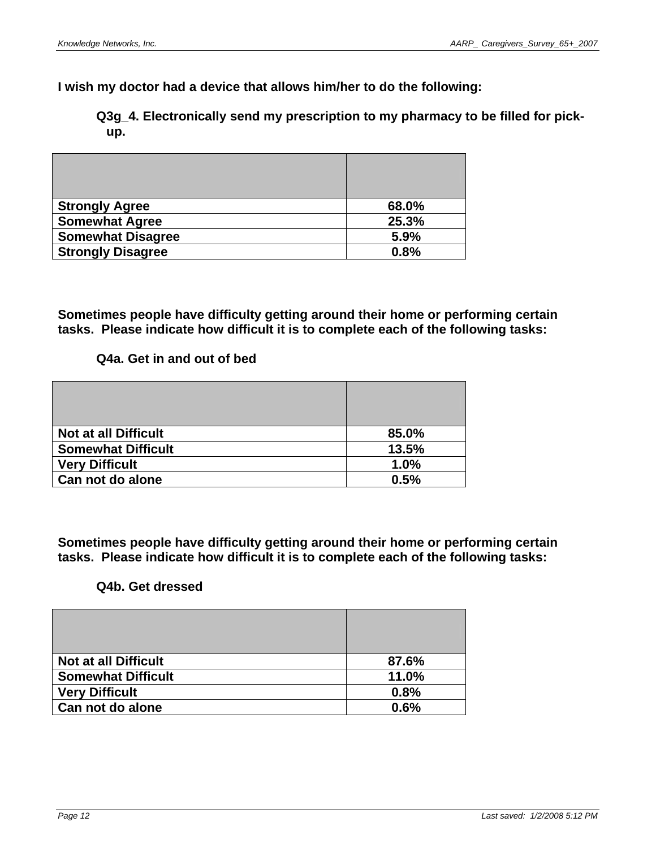**I wish my doctor had a device that allows him/her to do the following:** 

**Q3g\_4. Electronically send my prescription to my pharmacy to be filled for pickup.** 

| <b>Strongly Agree</b>    | 68.0% |
|--------------------------|-------|
| <b>Somewhat Agree</b>    | 25.3% |
| <b>Somewhat Disagree</b> | 5.9%  |
| <b>Strongly Disagree</b> | 0.8%  |

**Sometimes people have difficulty getting around their home or performing certain tasks. Please indicate how difficult it is to complete each of the following tasks:** 

#### **Q4a. Get in and out of bed**

| <b>Not at all Difficult</b> | 85.0% |
|-----------------------------|-------|
| <b>Somewhat Difficult</b>   | 13.5% |
| <b>Very Difficult</b>       | 1.0%  |
| Can not do alone            | 0.5%  |

**Sometimes people have difficulty getting around their home or performing certain tasks. Please indicate how difficult it is to complete each of the following tasks:** 

#### **Q4b. Get dressed**

| <b>Not at all Difficult</b> | 87.6% |
|-----------------------------|-------|
| <b>Somewhat Difficult</b>   | 11.0% |
| <b>Very Difficult</b>       | 0.8%  |
| Can not do alone            | 0.6%  |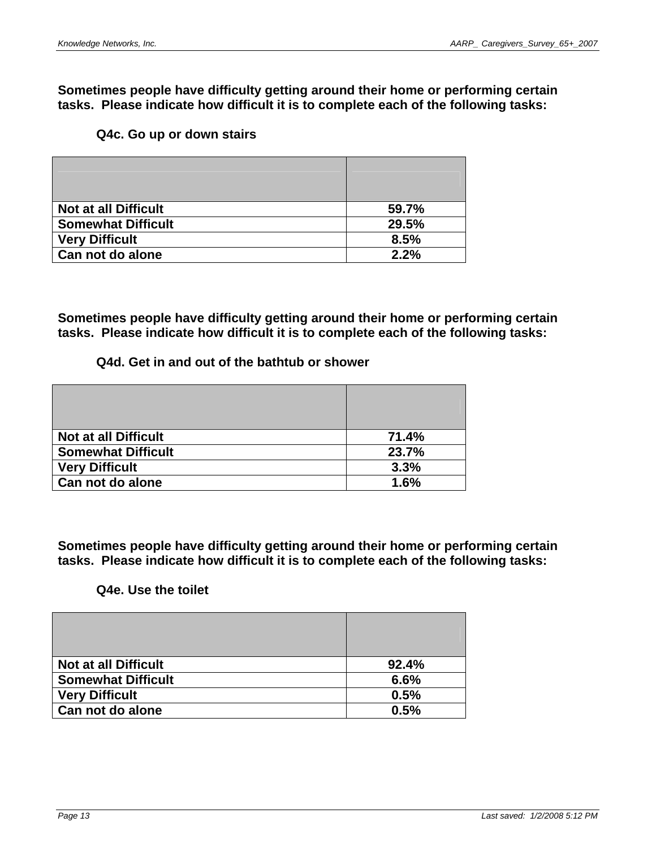**Sometimes people have difficulty getting around their home or performing certain tasks. Please indicate how difficult it is to complete each of the following tasks:** 

### **Q4c. Go up or down stairs**

| <b>Not at all Difficult</b> | 59.7% |
|-----------------------------|-------|
| <b>Somewhat Difficult</b>   | 29.5% |
| <b>Very Difficult</b>       | 8.5%  |
| Can not do alone            | 2.2%  |

**Sometimes people have difficulty getting around their home or performing certain tasks. Please indicate how difficult it is to complete each of the following tasks:** 

#### **Q4d. Get in and out of the bathtub or shower**

| <b>Not at all Difficult</b> | 71.4% |
|-----------------------------|-------|
| <b>Somewhat Difficult</b>   | 23.7% |
| <b>Very Difficult</b>       | 3.3%  |
| Can not do alone            | 1.6%  |

**Sometimes people have difficulty getting around their home or performing certain tasks. Please indicate how difficult it is to complete each of the following tasks:** 

# **Q4e. Use the toilet**

| <b>Not at all Difficult</b> | 92.4% |
|-----------------------------|-------|
| <b>Somewhat Difficult</b>   | 6.6%  |
| <b>Very Difficult</b>       | 0.5%  |
| Can not do alone            | 0.5%  |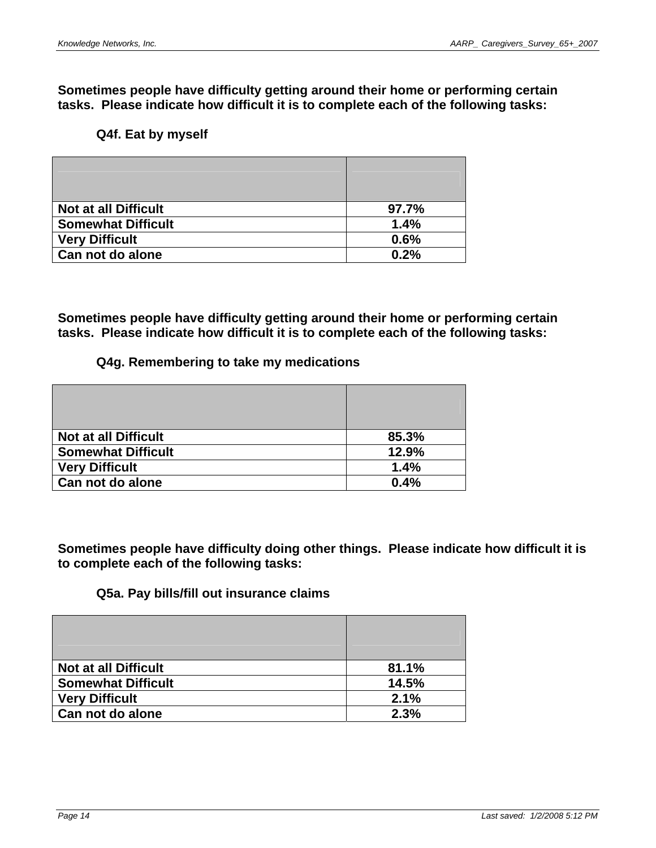**Sometimes people have difficulty getting around their home or performing certain tasks. Please indicate how difficult it is to complete each of the following tasks:** 

# **Q4f. Eat by myself**

| <b>Not at all Difficult</b> | 97.7% |
|-----------------------------|-------|
| <b>Somewhat Difficult</b>   | 1.4%  |
| <b>Very Difficult</b>       | 0.6%  |
| Can not do alone            | 0.2%  |

**Sometimes people have difficulty getting around their home or performing certain tasks. Please indicate how difficult it is to complete each of the following tasks:** 

#### **Q4g. Remembering to take my medications**

| <b>Not at all Difficult</b> | 85.3% |
|-----------------------------|-------|
| <b>Somewhat Difficult</b>   | 12.9% |
| <b>Very Difficult</b>       | 1.4%  |
| Can not do alone            | 0.4%  |

**Sometimes people have difficulty doing other things. Please indicate how difficult it is to complete each of the following tasks:** 

#### **Q5a. Pay bills/fill out insurance claims**

| <b>Not at all Difficult</b> | 81.1% |
|-----------------------------|-------|
| <b>Somewhat Difficult</b>   | 14.5% |
| <b>Very Difficult</b>       | 2.1%  |
| Can not do alone            | 2.3%  |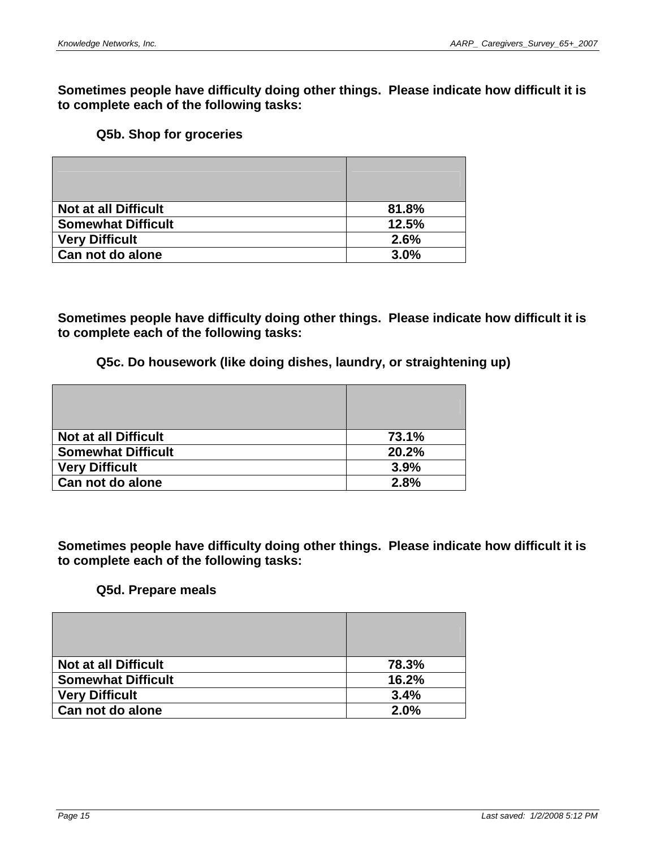**Sometimes people have difficulty doing other things. Please indicate how difficult it is to complete each of the following tasks:** 

#### **Q5b. Shop for groceries**

| <b>Not at all Difficult</b> | 81.8% |
|-----------------------------|-------|
| <b>Somewhat Difficult</b>   | 12.5% |
| <b>Very Difficult</b>       | 2.6%  |
| Can not do alone            | 3.0%  |

**Sometimes people have difficulty doing other things. Please indicate how difficult it is to complete each of the following tasks:** 

#### **Q5c. Do housework (like doing dishes, laundry, or straightening up)**

| <b>Not at all Difficult</b> | 73.1% |
|-----------------------------|-------|
| <b>Somewhat Difficult</b>   | 20.2% |
| <b>Very Difficult</b>       | 3.9%  |
| Can not do alone            | 2.8%  |

**Sometimes people have difficulty doing other things. Please indicate how difficult it is to complete each of the following tasks:** 

#### **Q5d. Prepare meals**

| <b>Not at all Difficult</b> | 78.3% |
|-----------------------------|-------|
| <b>Somewhat Difficult</b>   | 16.2% |
| <b>Very Difficult</b>       | 3.4%  |
| Can not do alone            | 2.0%  |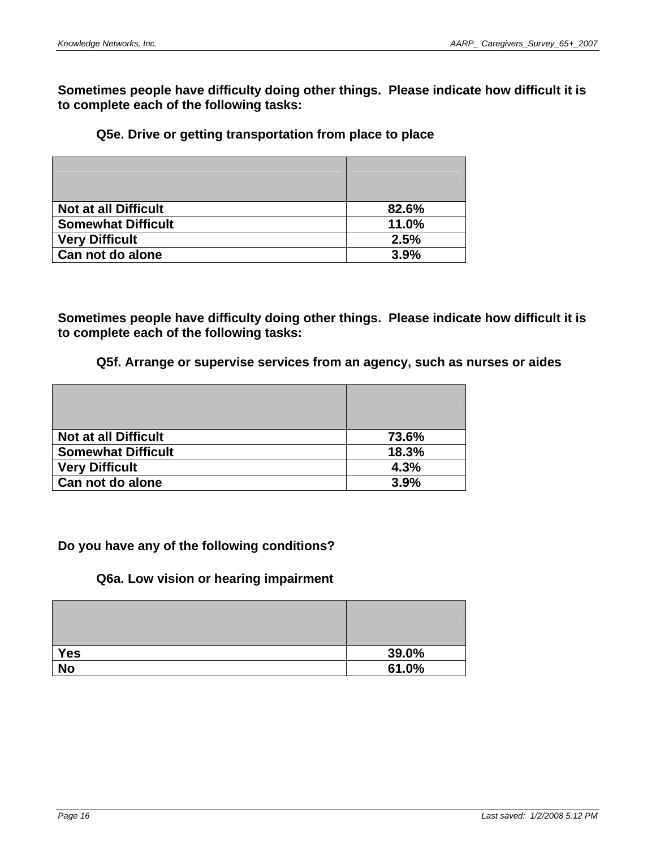**Sometimes people have difficulty doing other things. Please indicate how difficult it is to complete each of the following tasks:** 

### **Q5e. Drive or getting transportation from place to place**

| <b>Not at all Difficult</b> | 82.6% |
|-----------------------------|-------|
| <b>Somewhat Difficult</b>   | 11.0% |
| <b>Very Difficult</b>       | 2.5%  |
| Can not do alone            | 3.9%  |

**Sometimes people have difficulty doing other things. Please indicate how difficult it is to complete each of the following tasks:** 

#### **Q5f. Arrange or supervise services from an agency, such as nurses or aides**

| <b>Not at all Difficult</b> | 73.6% |
|-----------------------------|-------|
| <b>Somewhat Difficult</b>   | 18.3% |
| <b>Very Difficult</b>       | 4.3%  |
| Can not do alone            | 3.9%  |

### **Do you have any of the following conditions?**

#### **Q6a. Low vision or hearing impairment**

| <b>Yes</b> | 39.0% |
|------------|-------|
| <b>No</b>  | 61.0% |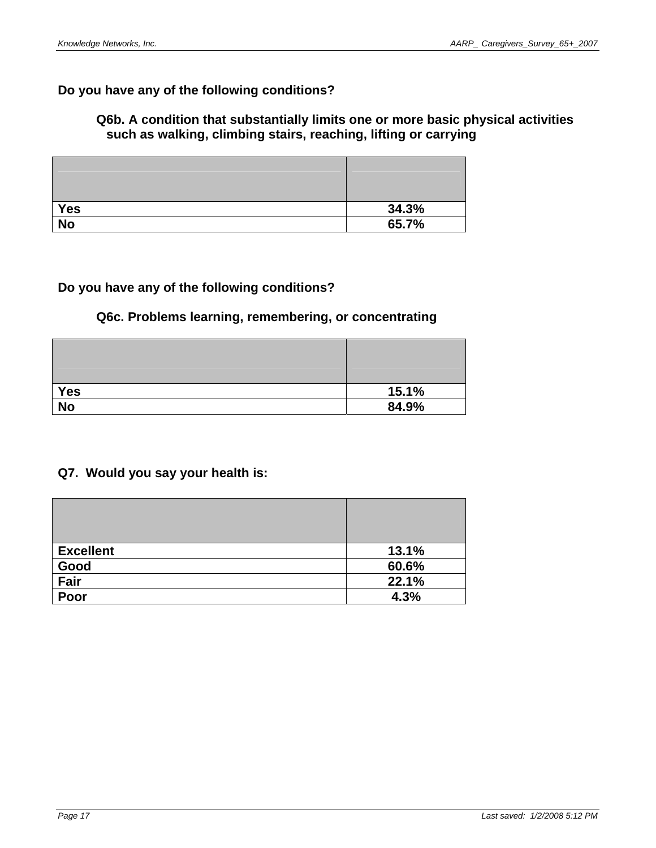# **Do you have any of the following conditions?**

## **Q6b. A condition that substantially limits one or more basic physical activities such as walking, climbing stairs, reaching, lifting or carrying**

| <b>Yes</b>      | 34.3% |
|-----------------|-------|
| $\overline{No}$ | 65.7% |

### **Do you have any of the following conditions?**

## **Q6c. Problems learning, remembering, or concentrating**

| Yes       | 15.1% |
|-----------|-------|
| <b>No</b> | 84.9% |

# **Q7. Would you say your health is:**

| <b>Excellent</b> | 13.1% |
|------------------|-------|
| Good             | 60.6% |
| Fair             | 22.1% |
| Poor             | 4.3%  |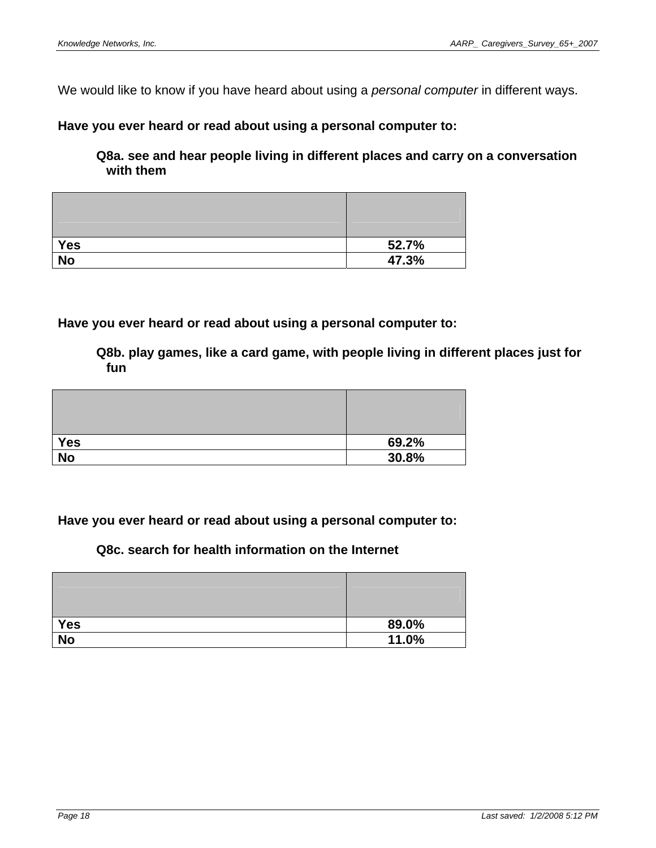We would like to know if you have heard about using a *personal computer* in different ways.

### **Have you ever heard or read about using a personal computer to:**

**Q8a. see and hear people living in different places and carry on a conversation with them** 

| <b>Yes</b>      | 52.7% |
|-----------------|-------|
| $\overline{No}$ | 47.3% |

**Have you ever heard or read about using a personal computer to:** 

**Q8b. play games, like a card game, with people living in different places just for fun** 

| <b>Yes</b> | 69.2% |
|------------|-------|
| <b>No</b>  | 30.8% |

### **Have you ever heard or read about using a personal computer to:**

# **Q8c. search for health information on the Internet**

| Yes             | 89.0% |
|-----------------|-------|
| $\overline{No}$ | 11.0% |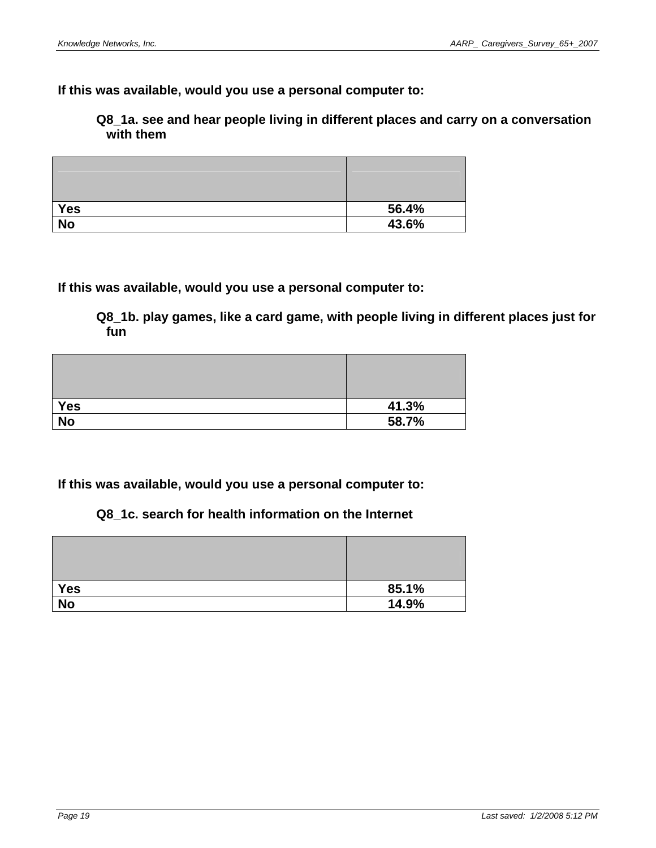**If this was available, would you use a personal computer to:** 

**Q8\_1a. see and hear people living in different places and carry on a conversation with them** 

| <b>Yes</b>      | 56.4% |
|-----------------|-------|
| $\overline{No}$ | 43.6% |

**If this was available, would you use a personal computer to:** 

**Q8\_1b. play games, like a card game, with people living in different places just for fun** 

| <b>Yes</b>      | 41.3% |
|-----------------|-------|
| $\overline{No}$ | 58.7% |

**If this was available, would you use a personal computer to:** 

**Q8\_1c. search for health information on the Internet** 

| Yes       | 85.1% |
|-----------|-------|
| <b>No</b> | 14.9% |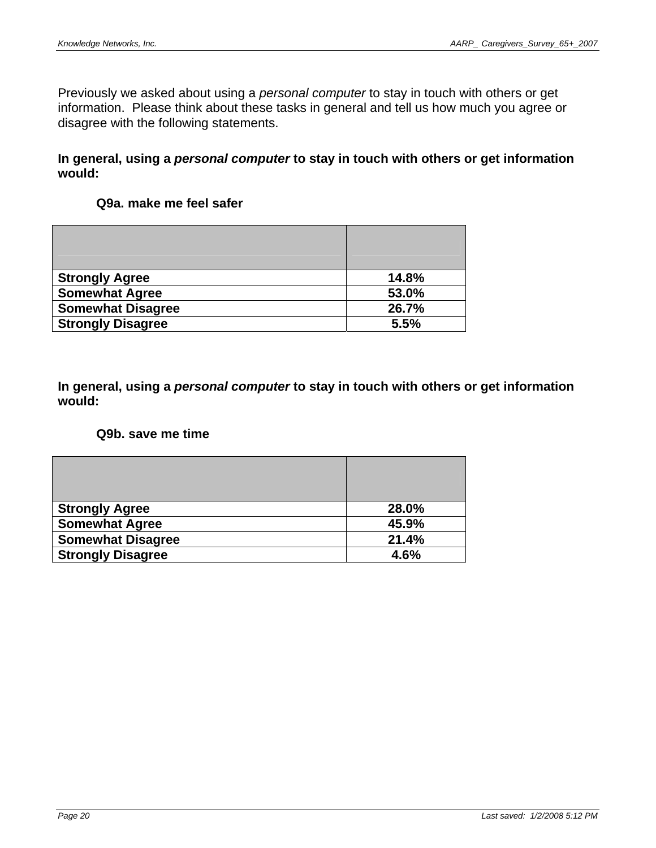Previously we asked about using a *personal computer* to stay in touch with others or get information. Please think about these tasks in general and tell us how much you agree or disagree with the following statements.

### **In general, using a** *personal computer* **to stay in touch with others or get information would:**

## **Q9a. make me feel safer**

| <b>Strongly Agree</b>    | 14.8% |
|--------------------------|-------|
| <b>Somewhat Agree</b>    | 53.0% |
| <b>Somewhat Disagree</b> | 26.7% |
| <b>Strongly Disagree</b> | 5.5%  |

**In general, using a** *personal computer* **to stay in touch with others or get information would:** 

### **Q9b. save me time**

| <b>Strongly Agree</b>    | 28.0% |
|--------------------------|-------|
| <b>Somewhat Agree</b>    | 45.9% |
| <b>Somewhat Disagree</b> | 21.4% |
| <b>Strongly Disagree</b> | 4.6%  |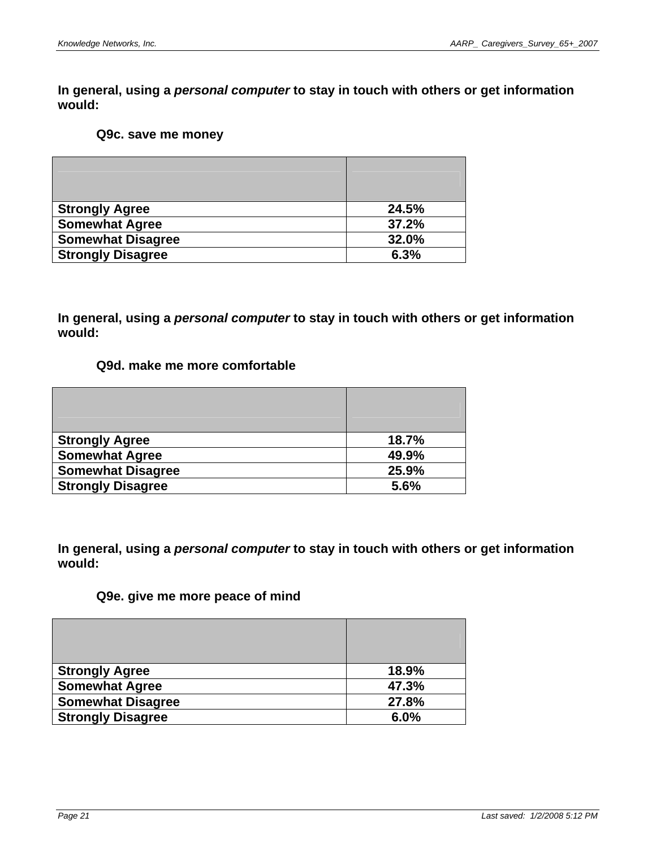#### **Q9c. save me money**

| <b>Strongly Agree</b>    | 24.5% |
|--------------------------|-------|
| <b>Somewhat Agree</b>    | 37.2% |
| <b>Somewhat Disagree</b> | 32.0% |
| <b>Strongly Disagree</b> | 6.3%  |

**In general, using a** *personal computer* **to stay in touch with others or get information would:** 

### **Q9d. make me more comfortable**

| <b>Strongly Agree</b>    | 18.7% |
|--------------------------|-------|
| <b>Somewhat Agree</b>    | 49.9% |
| <b>Somewhat Disagree</b> | 25.9% |
| <b>Strongly Disagree</b> | 5.6%  |

**In general, using a** *personal computer* **to stay in touch with others or get information would:** 

# **Q9e. give me more peace of mind**

| <b>Strongly Agree</b>    | 18.9% |
|--------------------------|-------|
| <b>Somewhat Agree</b>    | 47.3% |
| <b>Somewhat Disagree</b> | 27.8% |
| <b>Strongly Disagree</b> | 6.0%  |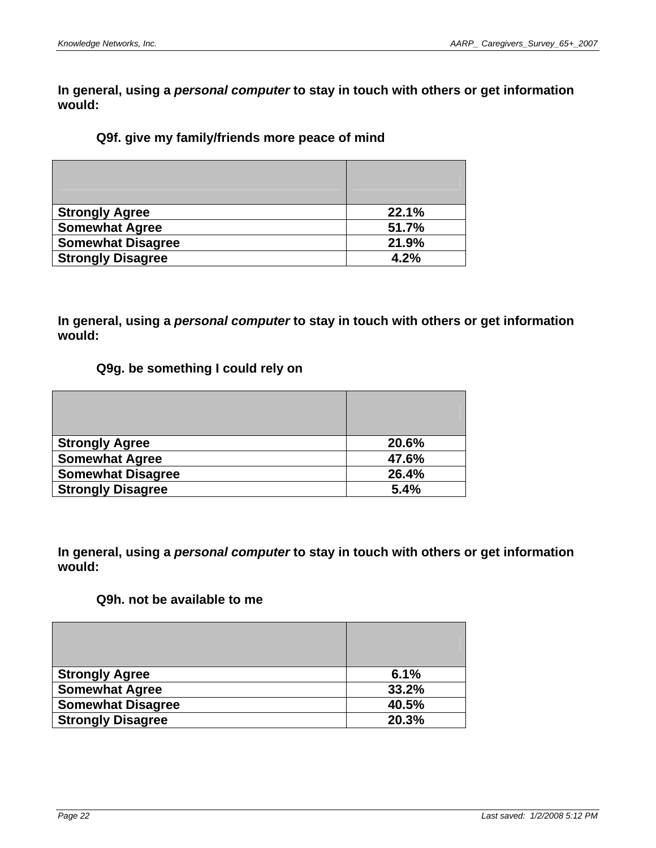## **Q9f. give my family/friends more peace of mind**

| <b>Strongly Agree</b>    | 22.1% |
|--------------------------|-------|
| <b>Somewhat Agree</b>    | 51.7% |
| <b>Somewhat Disagree</b> | 21.9% |
| <b>Strongly Disagree</b> | 4.2%  |

**In general, using a** *personal computer* **to stay in touch with others or get information would:** 

### **Q9g. be something I could rely on**

| <b>Strongly Agree</b>    | 20.6% |
|--------------------------|-------|
| <b>Somewhat Agree</b>    | 47.6% |
| <b>Somewhat Disagree</b> | 26.4% |
| <b>Strongly Disagree</b> | 5.4%  |

**In general, using a** *personal computer* **to stay in touch with others or get information would:** 

### **Q9h. not be available to me**

| <b>Strongly Agree</b>    | 6.1%  |
|--------------------------|-------|
| <b>Somewhat Agree</b>    | 33.2% |
| <b>Somewhat Disagree</b> | 40.5% |
| <b>Strongly Disagree</b> | 20.3% |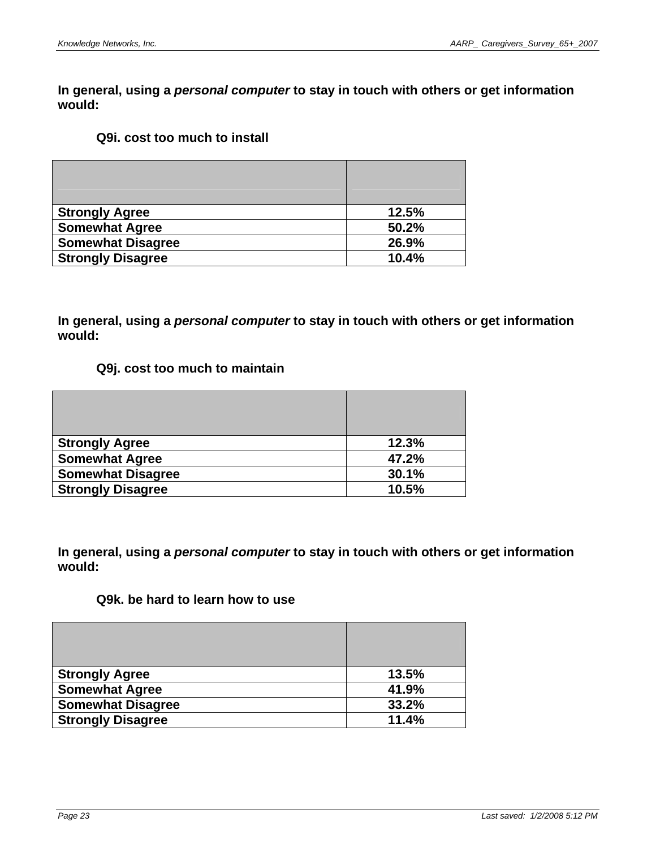### **Q9i. cost too much to install**

| <b>Strongly Agree</b>    | 12.5% |
|--------------------------|-------|
| <b>Somewhat Agree</b>    | 50.2% |
| <b>Somewhat Disagree</b> | 26.9% |
| <b>Strongly Disagree</b> | 10.4% |

**In general, using a** *personal computer* **to stay in touch with others or get information would:** 

### **Q9j. cost too much to maintain**

| <b>Strongly Agree</b>    | 12.3% |
|--------------------------|-------|
| <b>Somewhat Agree</b>    | 47.2% |
| <b>Somewhat Disagree</b> | 30.1% |
| <b>Strongly Disagree</b> | 10.5% |

**In general, using a** *personal computer* **to stay in touch with others or get information would:** 

### **Q9k. be hard to learn how to use**

| <b>Strongly Agree</b>    | 13.5% |
|--------------------------|-------|
| <b>Somewhat Agree</b>    | 41.9% |
| <b>Somewhat Disagree</b> | 33.2% |
| <b>Strongly Disagree</b> | 11.4% |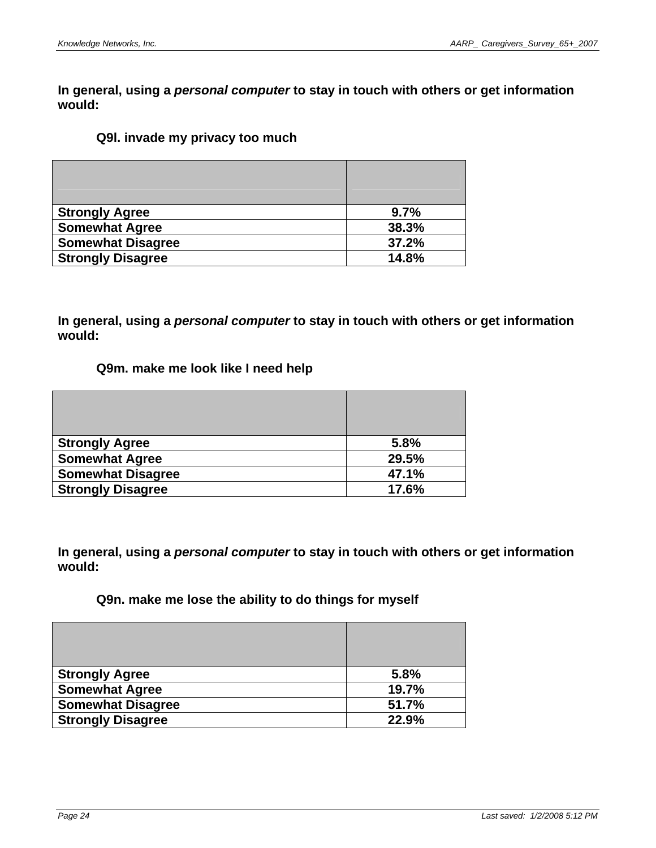### **Q9l. invade my privacy too much**

| <b>Strongly Agree</b>    | 9.7%  |
|--------------------------|-------|
| <b>Somewhat Agree</b>    | 38.3% |
| <b>Somewhat Disagree</b> | 37.2% |
| <b>Strongly Disagree</b> | 14.8% |

**In general, using a** *personal computer* **to stay in touch with others or get information would:** 

### **Q9m. make me look like I need help**

| <b>Strongly Agree</b>    | 5.8%  |
|--------------------------|-------|
| <b>Somewhat Agree</b>    | 29.5% |
| <b>Somewhat Disagree</b> | 47.1% |
| <b>Strongly Disagree</b> | 17.6% |

**In general, using a** *personal computer* **to stay in touch with others or get information would:** 

### **Q9n. make me lose the ability to do things for myself**

| <b>Strongly Agree</b>    | 5.8%  |
|--------------------------|-------|
| <b>Somewhat Agree</b>    | 19.7% |
| <b>Somewhat Disagree</b> | 51.7% |
| <b>Strongly Disagree</b> | 22.9% |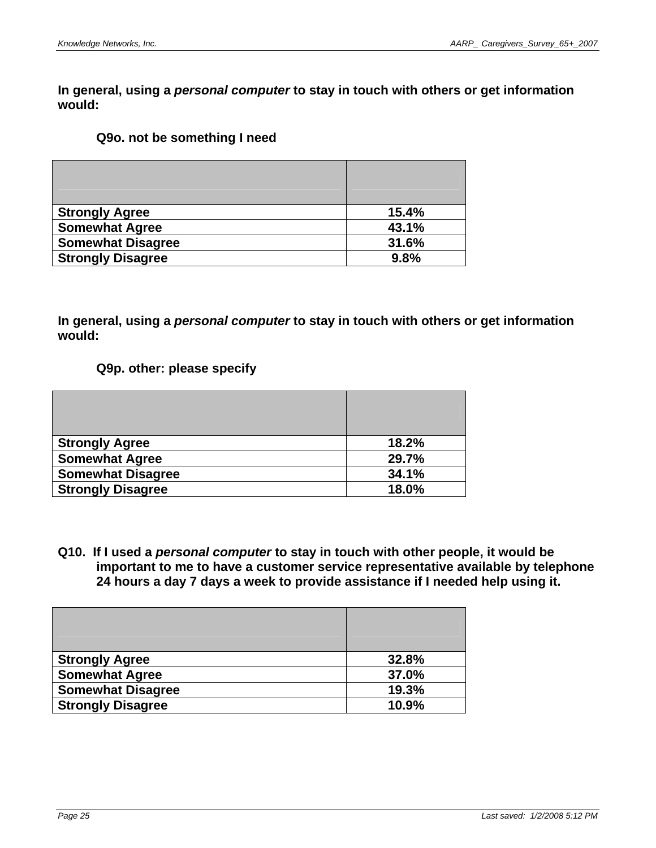### **Q9o. not be something I need**

| <b>Strongly Agree</b>    | 15.4% |
|--------------------------|-------|
| <b>Somewhat Agree</b>    | 43.1% |
| <b>Somewhat Disagree</b> | 31.6% |
| <b>Strongly Disagree</b> | 9.8%  |

**In general, using a** *personal computer* **to stay in touch with others or get information would:** 

### **Q9p. other: please specify**

| <b>Strongly Agree</b>    | 18.2% |
|--------------------------|-------|
| <b>Somewhat Agree</b>    | 29.7% |
| <b>Somewhat Disagree</b> | 34.1% |
| <b>Strongly Disagree</b> | 18.0% |

**Q10. If I used a** *personal computer* **to stay in touch with other people, it would be important to me to have a customer service representative available by telephone 24 hours a day 7 days a week to provide assistance if I needed help using it.** 

| <b>Strongly Agree</b>    | 32.8% |
|--------------------------|-------|
| <b>Somewhat Agree</b>    | 37.0% |
| <b>Somewhat Disagree</b> | 19.3% |
| <b>Strongly Disagree</b> | 10.9% |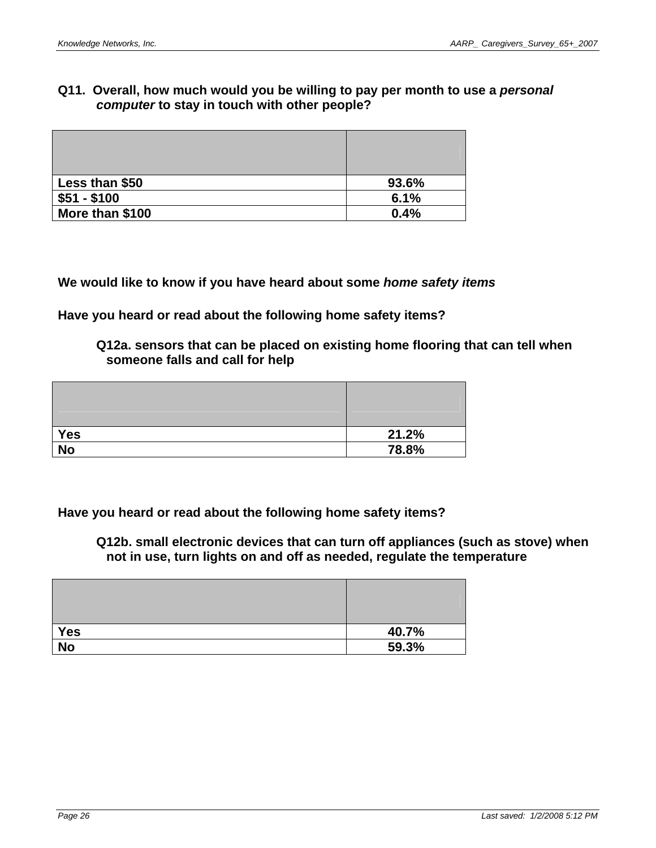## **Q11. Overall, how much would you be willing to pay per month to use a** *personal computer* **to stay in touch with other people?**

| Less than \$50  | 93.6% |
|-----------------|-------|
| $$51 - $100$    | 6.1%  |
| More than \$100 | 0.4%  |

**We would like to know if you have heard about some** *home safety items*

**Have you heard or read about the following home safety items?** 

**Q12a. sensors that can be placed on existing home flooring that can tell when someone falls and call for help** 

| <b>Yes</b> | 21.2% |
|------------|-------|
| <b>No</b>  | 78.8% |

**Have you heard or read about the following home safety items?** 

**Q12b. small electronic devices that can turn off appliances (such as stove) when not in use, turn lights on and off as needed, regulate the temperature** 

| Yes | 40.7% |
|-----|-------|
| No  | 59.3% |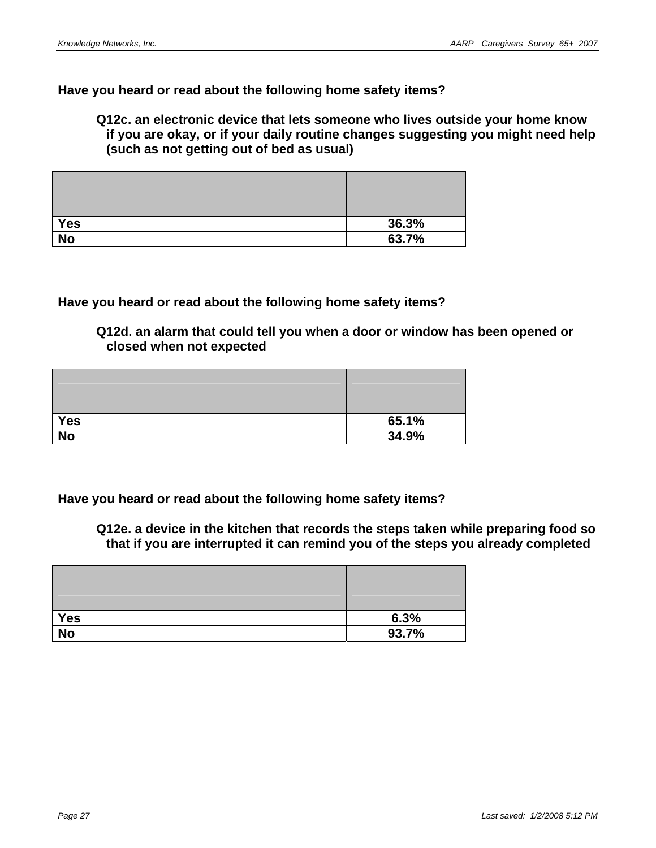### **Have you heard or read about the following home safety items?**

**Q12c. an electronic device that lets someone who lives outside your home know if you are okay, or if your daily routine changes suggesting you might need help (such as not getting out of bed as usual)** 

| Yes             | 36.3% |
|-----------------|-------|
| $\overline{No}$ | 63.7% |

### **Have you heard or read about the following home safety items?**

**Q12d. an alarm that could tell you when a door or window has been opened or closed when not expected** 

| <b>Yes</b> | 65.1% |
|------------|-------|
| <b>No</b>  | 34.9% |

**Have you heard or read about the following home safety items?** 

**Q12e. a device in the kitchen that records the steps taken while preparing food so that if you are interrupted it can remind you of the steps you already completed** 

| <b>Yes</b>      | 6.3%  |
|-----------------|-------|
| $\overline{No}$ | 93.7% |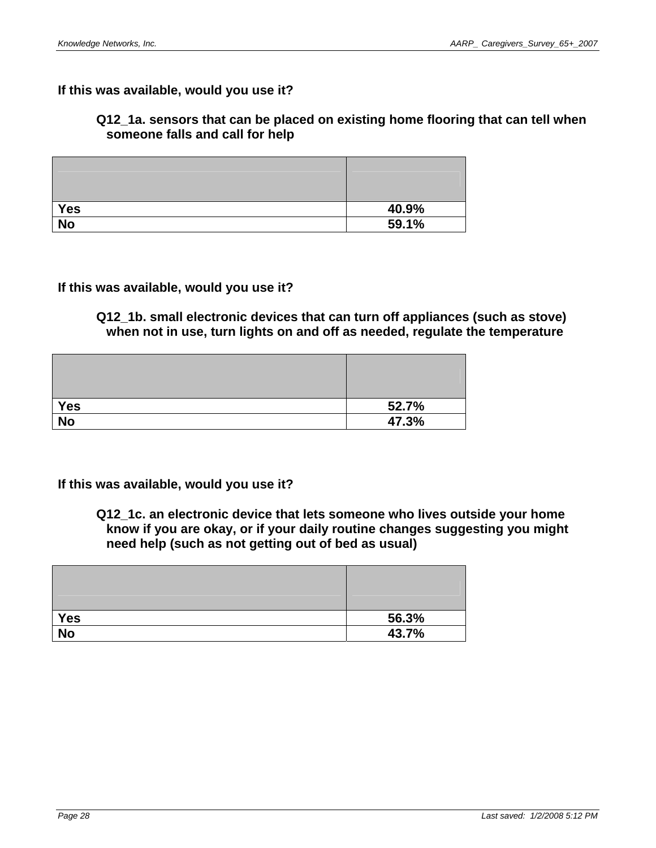### **If this was available, would you use it?**

### **Q12\_1a. sensors that can be placed on existing home flooring that can tell when someone falls and call for help**

| <b>Yes</b> | 40.9% |
|------------|-------|
| <b>No</b>  | 59.1% |

**If this was available, would you use it?** 

**Q12\_1b. small electronic devices that can turn off appliances (such as stove) when not in use, turn lights on and off as needed, regulate the temperature** 

| Yes | 52.7% |
|-----|-------|
| No  | 47.3% |

**If this was available, would you use it?** 

**Q12\_1c. an electronic device that lets someone who lives outside your home know if you are okay, or if your daily routine changes suggesting you might need help (such as not getting out of bed as usual)** 

| <b>Yes</b> | 56.3% |
|------------|-------|
| <b>No</b>  | 43.7% |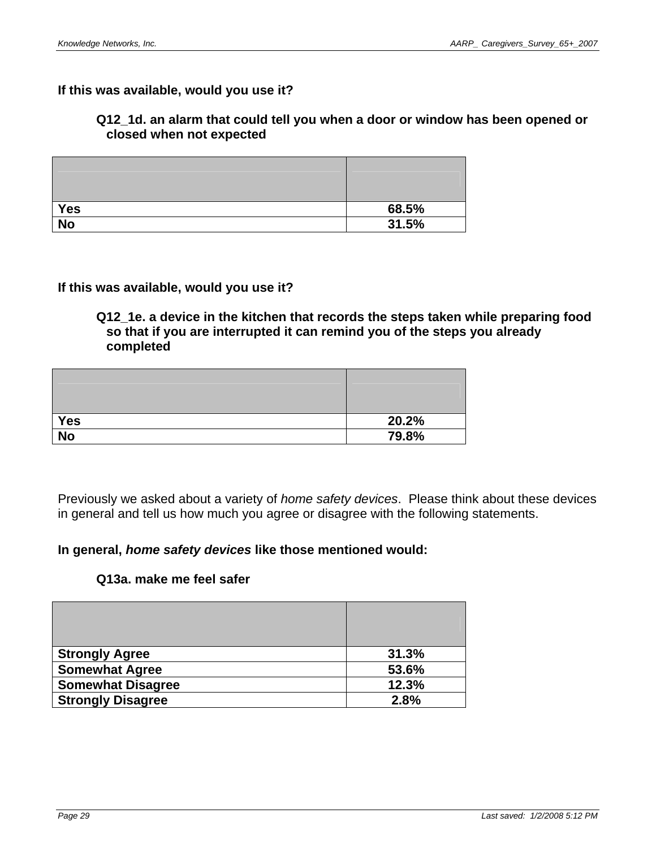### **If this was available, would you use it?**

### **Q12\_1d. an alarm that could tell you when a door or window has been opened or closed when not expected**

| <b>Yes</b>      | 68.5% |
|-----------------|-------|
| $\overline{No}$ | 31.5% |

### **If this was available, would you use it?**

### **Q12\_1e. a device in the kitchen that records the steps taken while preparing food so that if you are interrupted it can remind you of the steps you already completed**

| Yes       | 20.2% |
|-----------|-------|
| <b>No</b> | 79.8% |

Previously we asked about a variety of *home safety devices*. Please think about these devices in general and tell us how much you agree or disagree with the following statements.

### **In general,** *home safety devices* **like those mentioned would:**

### **Q13a. make me feel safer**

| <b>Strongly Agree</b>    | 31.3% |
|--------------------------|-------|
| <b>Somewhat Agree</b>    | 53.6% |
| <b>Somewhat Disagree</b> | 12.3% |
| <b>Strongly Disagree</b> | 2.8%  |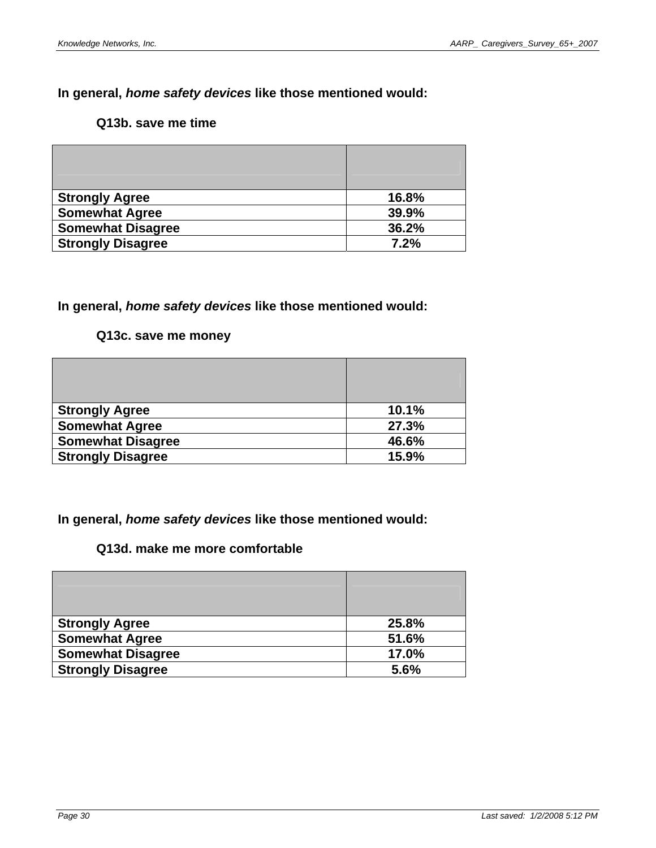## **Q13b. save me time**

| <b>Strongly Agree</b>    | 16.8% |
|--------------------------|-------|
| <b>Somewhat Agree</b>    | 39.9% |
| <b>Somewhat Disagree</b> | 36.2% |
| <b>Strongly Disagree</b> | 7.2%  |

### **In general,** *home safety devices* **like those mentioned would:**

### **Q13c. save me money**

| <b>Strongly Agree</b>    | 10.1% |
|--------------------------|-------|
| <b>Somewhat Agree</b>    | 27.3% |
| <b>Somewhat Disagree</b> | 46.6% |
| <b>Strongly Disagree</b> | 15.9% |

**In general,** *home safety devices* **like those mentioned would:** 

# **Q13d. make me more comfortable**

| <b>Strongly Agree</b>    | 25.8% |
|--------------------------|-------|
| <b>Somewhat Agree</b>    | 51.6% |
| <b>Somewhat Disagree</b> | 17.0% |
| <b>Strongly Disagree</b> | 5.6%  |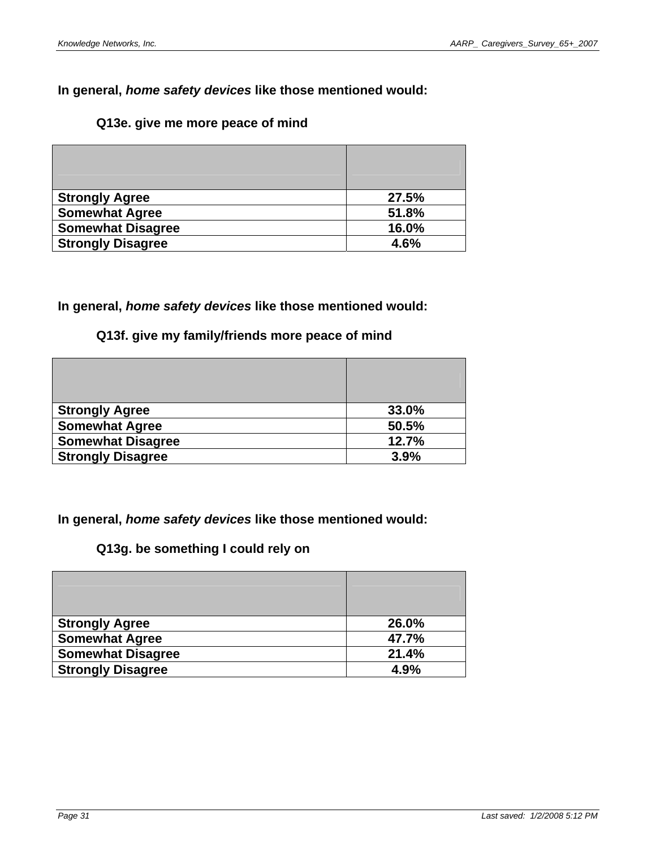### **Q13e. give me more peace of mind**

| <b>Strongly Agree</b>    | 27.5% |
|--------------------------|-------|
| <b>Somewhat Agree</b>    | 51.8% |
| <b>Somewhat Disagree</b> | 16.0% |
| <b>Strongly Disagree</b> | 4.6%  |

### **In general,** *home safety devices* **like those mentioned would:**

## **Q13f. give my family/friends more peace of mind**

| <b>Strongly Agree</b>    | 33.0% |
|--------------------------|-------|
| <b>Somewhat Agree</b>    | 50.5% |
| <b>Somewhat Disagree</b> | 12.7% |
| <b>Strongly Disagree</b> | 3.9%  |

**In general,** *home safety devices* **like those mentioned would:** 

# **Q13g. be something I could rely on**

| <b>Strongly Agree</b>    | 26.0% |
|--------------------------|-------|
| <b>Somewhat Agree</b>    | 47.7% |
| <b>Somewhat Disagree</b> | 21.4% |
| <b>Strongly Disagree</b> | 4.9%  |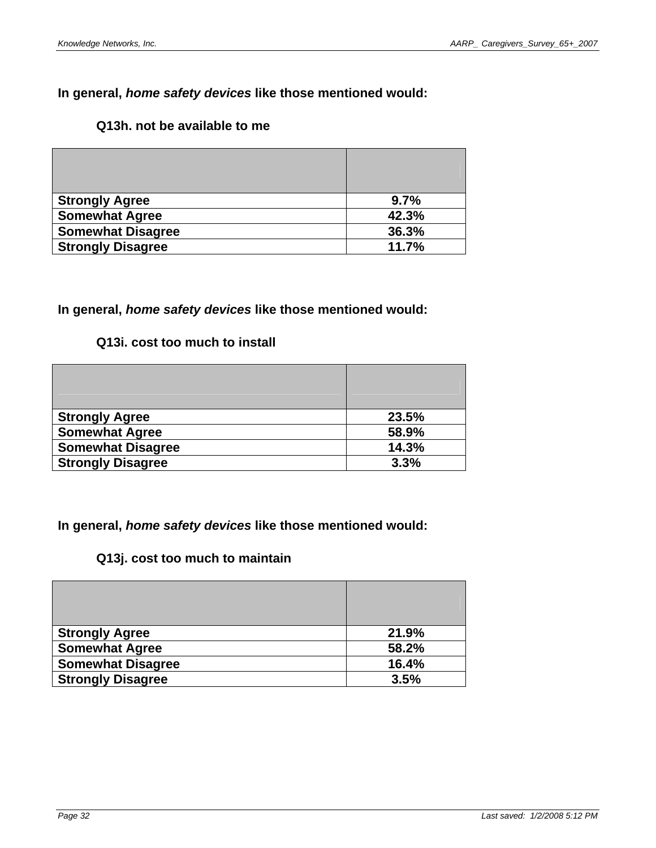## **Q13h. not be available to me**

| <b>Strongly Agree</b>    | 9.7%  |
|--------------------------|-------|
| <b>Somewhat Agree</b>    | 42.3% |
| <b>Somewhat Disagree</b> | 36.3% |
| <b>Strongly Disagree</b> | 11.7% |

# **In general,** *home safety devices* **like those mentioned would:**

## **Q13i. cost too much to install**

| <b>Strongly Agree</b>    | 23.5% |
|--------------------------|-------|
| <b>Somewhat Agree</b>    | 58.9% |
| <b>Somewhat Disagree</b> | 14.3% |
| <b>Strongly Disagree</b> | 3.3%  |

**In general,** *home safety devices* **like those mentioned would:** 

## **Q13j. cost too much to maintain**

| <b>Strongly Agree</b>    | 21.9% |
|--------------------------|-------|
| <b>Somewhat Agree</b>    | 58.2% |
| <b>Somewhat Disagree</b> | 16.4% |
| <b>Strongly Disagree</b> | 3.5%  |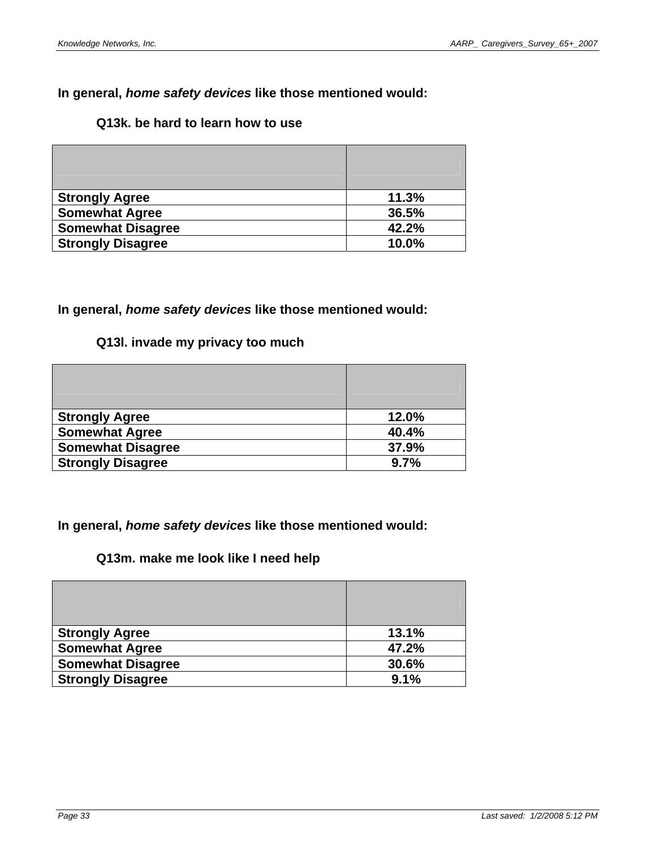## **Q13k. be hard to learn how to use**

| <b>Strongly Agree</b>    | 11.3% |
|--------------------------|-------|
| <b>Somewhat Agree</b>    | 36.5% |
| <b>Somewhat Disagree</b> | 42.2% |
| <b>Strongly Disagree</b> | 10.0% |

# **In general,** *home safety devices* **like those mentioned would:**

## **Q13l. invade my privacy too much**

| <b>Strongly Agree</b>    | 12.0% |
|--------------------------|-------|
| <b>Somewhat Agree</b>    | 40.4% |
| <b>Somewhat Disagree</b> | 37.9% |
| <b>Strongly Disagree</b> | 9.7%  |

**In general,** *home safety devices* **like those mentioned would:** 

## **Q13m. make me look like I need help**

| <b>Strongly Agree</b>    | 13.1% |
|--------------------------|-------|
| <b>Somewhat Agree</b>    | 47.2% |
| <b>Somewhat Disagree</b> | 30.6% |
| <b>Strongly Disagree</b> | 9.1%  |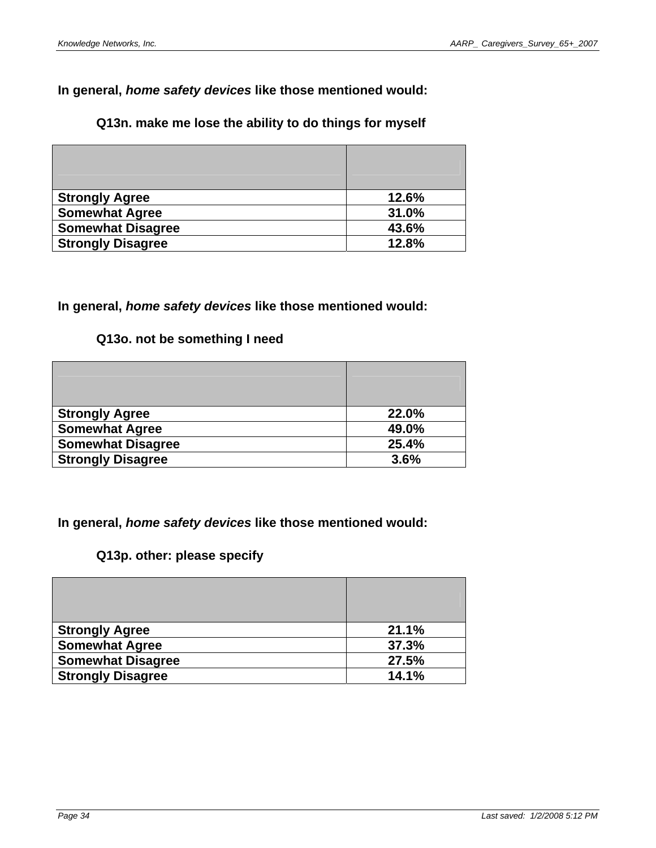# **Q13n. make me lose the ability to do things for myself**

| <b>Strongly Agree</b>    | 12.6% |
|--------------------------|-------|
| <b>Somewhat Agree</b>    | 31.0% |
| <b>Somewhat Disagree</b> | 43.6% |
| <b>Strongly Disagree</b> | 12.8% |

### **In general,** *home safety devices* **like those mentioned would:**

# **Q13o. not be something I need**

| <b>Strongly Agree</b>    | 22.0% |
|--------------------------|-------|
| <b>Somewhat Agree</b>    | 49.0% |
| <b>Somewhat Disagree</b> | 25.4% |
| <b>Strongly Disagree</b> | 3.6%  |

## **In general,** *home safety devices* **like those mentioned would:**

# **Q13p. other: please specify**

| <b>Strongly Agree</b>    | 21.1% |
|--------------------------|-------|
| <b>Somewhat Agree</b>    | 37.3% |
| <b>Somewhat Disagree</b> | 27.5% |
| <b>Strongly Disagree</b> | 14.1% |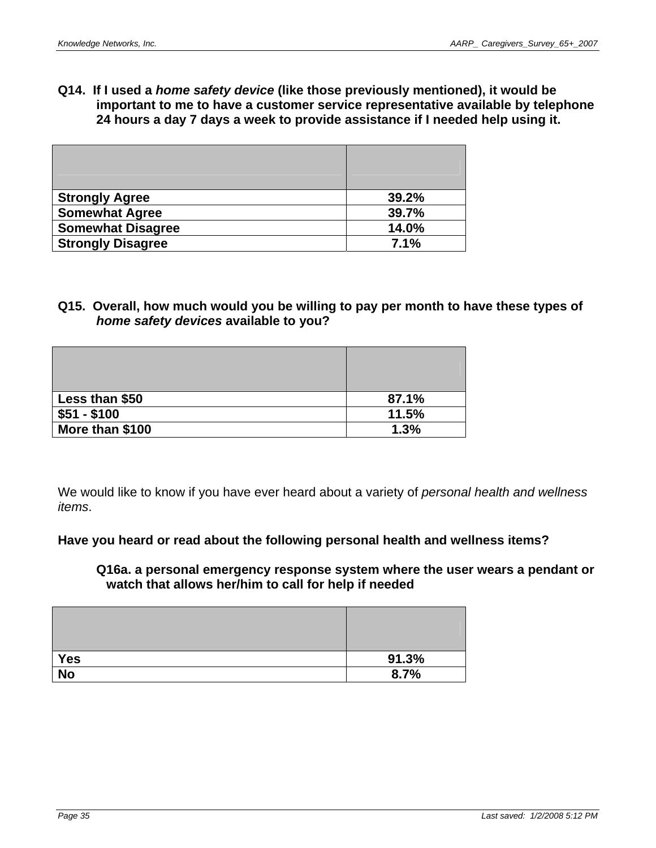**Q14. If I used a** *home safety device* **(like those previously mentioned), it would be important to me to have a customer service representative available by telephone 24 hours a day 7 days a week to provide assistance if I needed help using it.** 

| <b>Strongly Agree</b>    | 39.2% |
|--------------------------|-------|
| <b>Somewhat Agree</b>    | 39.7% |
| <b>Somewhat Disagree</b> | 14.0% |
| <b>Strongly Disagree</b> | 7.1%  |

### **Q15. Overall, how much would you be willing to pay per month to have these types of**  *home safety devices* **available to you?**

| Less than \$50  | 87.1% |
|-----------------|-------|
| $$51 - $100$    | 11.5% |
| More than \$100 | 1.3%  |

We would like to know if you have ever heard about a variety of *personal health and wellness items*.

### **Have you heard or read about the following personal health and wellness items?**

### **Q16a. a personal emergency response system where the user wears a pendant or watch that allows her/him to call for help if needed**

| <b>Yes</b> | 91.3% |
|------------|-------|
| <b>No</b>  | 8.7%  |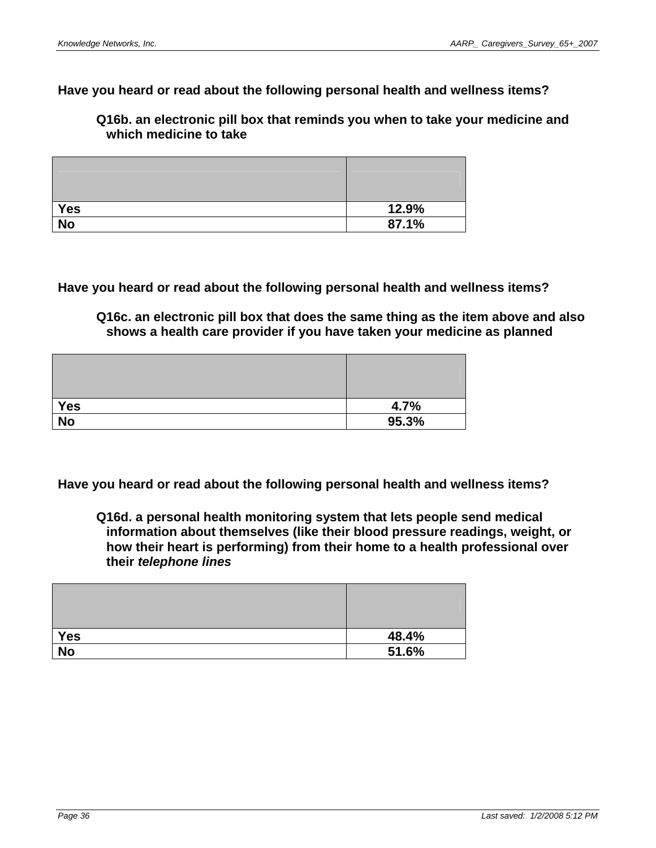### **Have you heard or read about the following personal health and wellness items?**

**Q16b. an electronic pill box that reminds you when to take your medicine and which medicine to take** 

| <b>Yes</b>      | 12.9% |
|-----------------|-------|
| $\overline{No}$ | 87.1% |

**Have you heard or read about the following personal health and wellness items?** 

**Q16c. an electronic pill box that does the same thing as the item above and also shows a health care provider if you have taken your medicine as planned** 

| Yes       | 4.7%  |
|-----------|-------|
| <b>No</b> | 95.3% |

**Have you heard or read about the following personal health and wellness items?** 

**Q16d. a personal health monitoring system that lets people send medical information about themselves (like their blood pressure readings, weight, or how their heart is performing) from their home to a health professional over their** *telephone lines* 

| Yes             | 48.4% |
|-----------------|-------|
| $\overline{No}$ | 51.6% |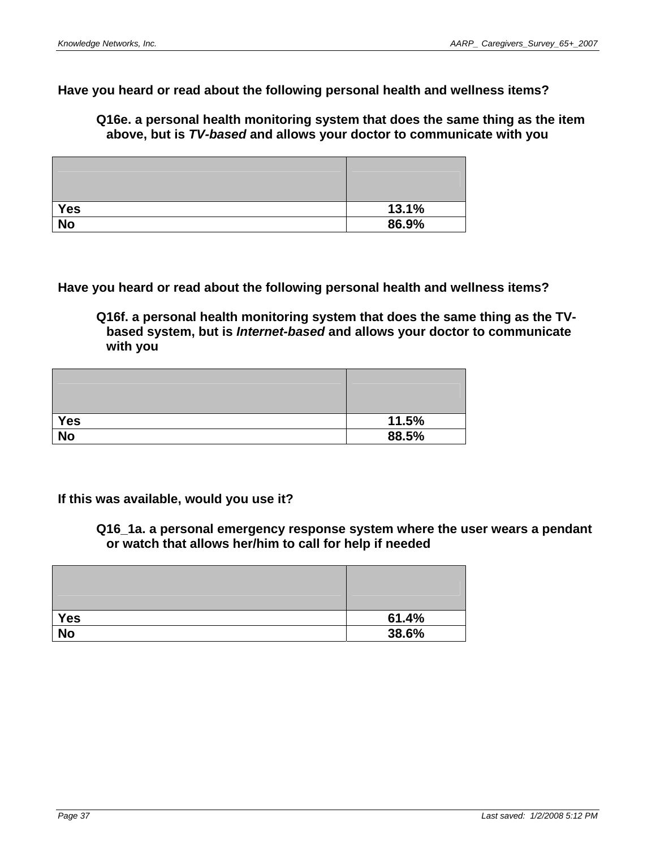**Have you heard or read about the following personal health and wellness items?** 

**Q16e. a personal health monitoring system that does the same thing as the item above, but is** *TV-based* **and allows your doctor to communicate with you** 

| Yes       | 13.1% |
|-----------|-------|
| <b>No</b> | 86.9% |

**Have you heard or read about the following personal health and wellness items?** 

**Q16f. a personal health monitoring system that does the same thing as the TVbased system, but is** *Internet-based* **and allows your doctor to communicate with you** 

| <b>Yes</b> | 11.5% |
|------------|-------|
| <b>No</b>  | 88.5% |

**If this was available, would you use it?** 

**Q16\_1a. a personal emergency response system where the user wears a pendant or watch that allows her/him to call for help if needed** 

| Yes             | 61.4% |
|-----------------|-------|
| $\overline{No}$ | 38.6% |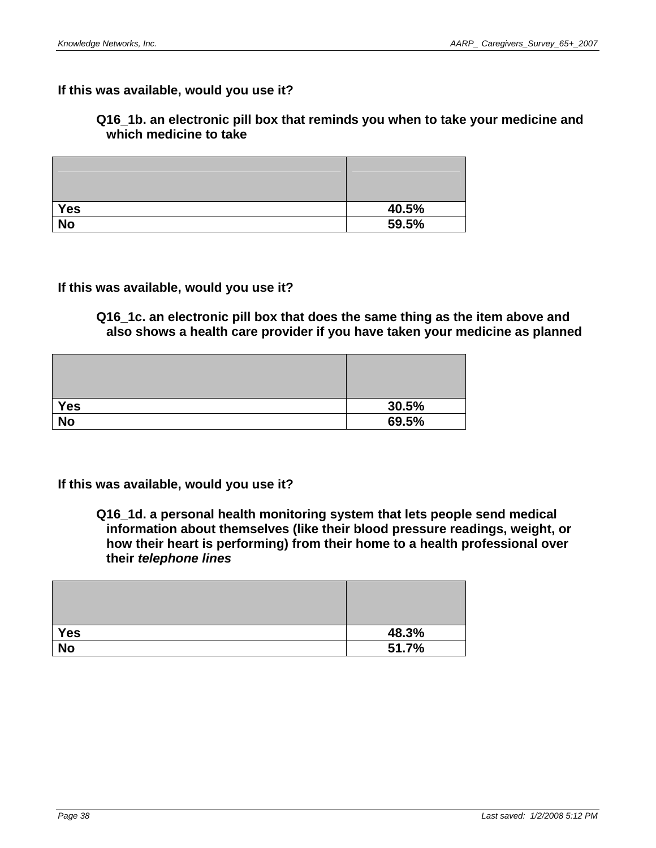# **If this was available, would you use it?**

## **Q16\_1b. an electronic pill box that reminds you when to take your medicine and which medicine to take**

| <b>Yes</b>      | 40.5% |
|-----------------|-------|
| $\overline{No}$ | 59.5% |

## **If this was available, would you use it?**

**Q16\_1c. an electronic pill box that does the same thing as the item above and also shows a health care provider if you have taken your medicine as planned** 

| Yes       | 30.5% |
|-----------|-------|
| <b>No</b> | 69.5% |

### **If this was available, would you use it?**

**Q16\_1d. a personal health monitoring system that lets people send medical information about themselves (like their blood pressure readings, weight, or how their heart is performing) from their home to a health professional over their** *telephone lines* 

| Yes             | 48.3% |
|-----------------|-------|
| $\overline{No}$ | 51.7% |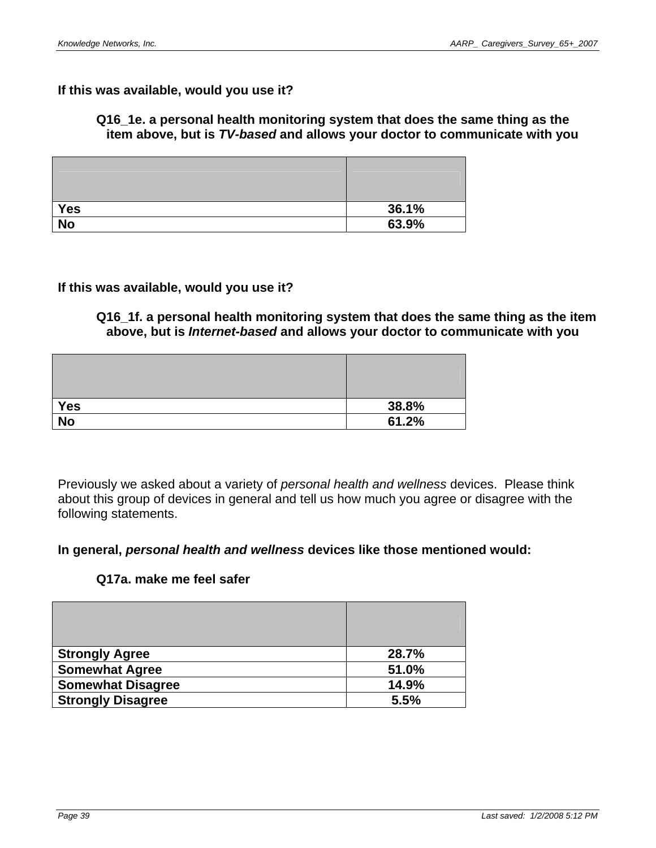### **If this was available, would you use it?**

### **Q16\_1e. a personal health monitoring system that does the same thing as the item above, but is** *TV-based* **and allows your doctor to communicate with you**

| Yes       | 36.1% |
|-----------|-------|
| <b>No</b> | 63.9% |

### **If this was available, would you use it?**

**Q16\_1f. a personal health monitoring system that does the same thing as the item above, but is** *Internet-based* **and allows your doctor to communicate with you** 

| <b>Yes</b> | 38.8% |
|------------|-------|
| <b>No</b>  | 61.2% |

Previously we asked about a variety of *personal health and wellness* devices. Please think about this group of devices in general and tell us how much you agree or disagree with the following statements.

### **In general,** *personal health and wellness* **devices like those mentioned would:**

### **Q17a. make me feel safer**

| <b>Strongly Agree</b>    | 28.7% |
|--------------------------|-------|
| <b>Somewhat Agree</b>    | 51.0% |
| <b>Somewhat Disagree</b> | 14.9% |
| <b>Strongly Disagree</b> | 5.5%  |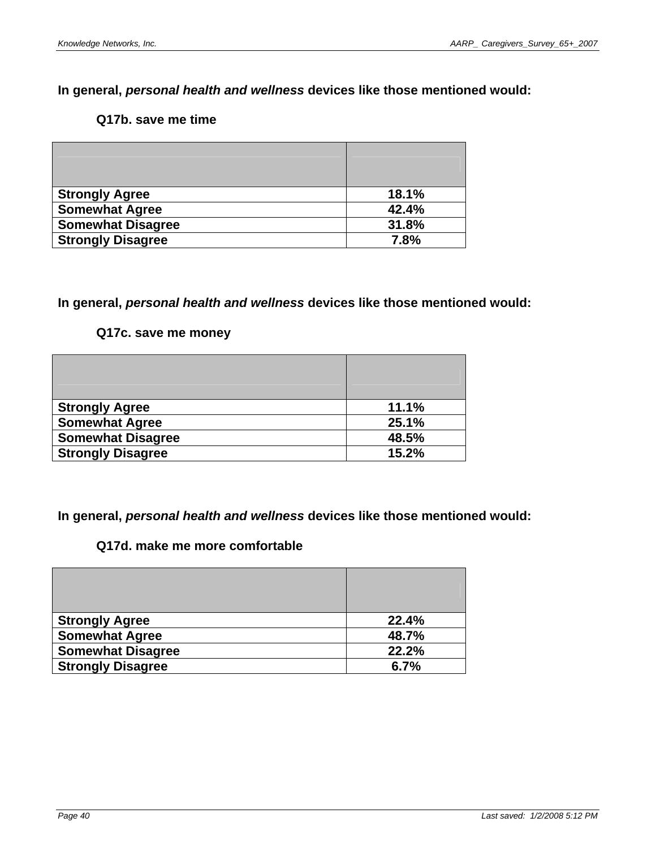### **Q17b. save me time**

| <b>Strongly Agree</b>    | 18.1% |
|--------------------------|-------|
| <b>Somewhat Agree</b>    | 42.4% |
| <b>Somewhat Disagree</b> | 31.8% |
| <b>Strongly Disagree</b> | 7.8%  |

## **In general,** *personal health and wellness* **devices like those mentioned would:**

### **Q17c. save me money**

| <b>Strongly Agree</b>    | 11.1% |
|--------------------------|-------|
| <b>Somewhat Agree</b>    | 25.1% |
| <b>Somewhat Disagree</b> | 48.5% |
| <b>Strongly Disagree</b> | 15.2% |

**In general,** *personal health and wellness* **devices like those mentioned would:** 

## **Q17d. make me more comfortable**

| <b>Strongly Agree</b>    | 22.4% |
|--------------------------|-------|
| <b>Somewhat Agree</b>    | 48.7% |
| <b>Somewhat Disagree</b> | 22.2% |
| <b>Strongly Disagree</b> | 6.7%  |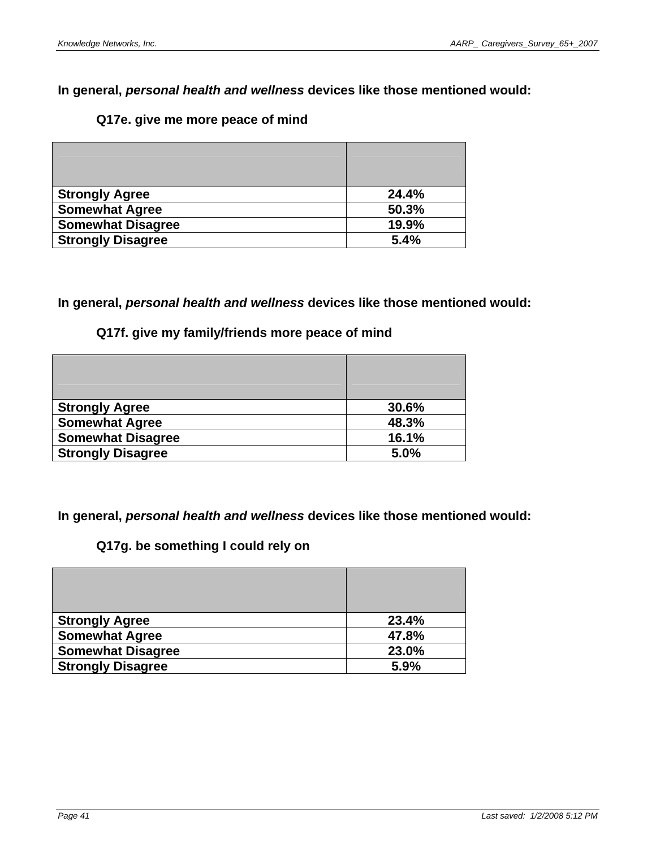# **Q17e. give me more peace of mind**

| <b>Strongly Agree</b>    | 24.4% |
|--------------------------|-------|
| <b>Somewhat Agree</b>    | 50.3% |
| <b>Somewhat Disagree</b> | 19.9% |
| <b>Strongly Disagree</b> | 5.4%  |

**In general,** *personal health and wellness* **devices like those mentioned would:** 

## **Q17f. give my family/friends more peace of mind**

| <b>Strongly Agree</b>    | 30.6% |
|--------------------------|-------|
| <b>Somewhat Agree</b>    | 48.3% |
| <b>Somewhat Disagree</b> | 16.1% |
| <b>Strongly Disagree</b> | 5.0%  |

**In general,** *personal health and wellness* **devices like those mentioned would:** 

# **Q17g. be something I could rely on**

| <b>Strongly Agree</b>    | 23.4% |
|--------------------------|-------|
| <b>Somewhat Agree</b>    | 47.8% |
| <b>Somewhat Disagree</b> | 23.0% |
| <b>Strongly Disagree</b> | 5.9%  |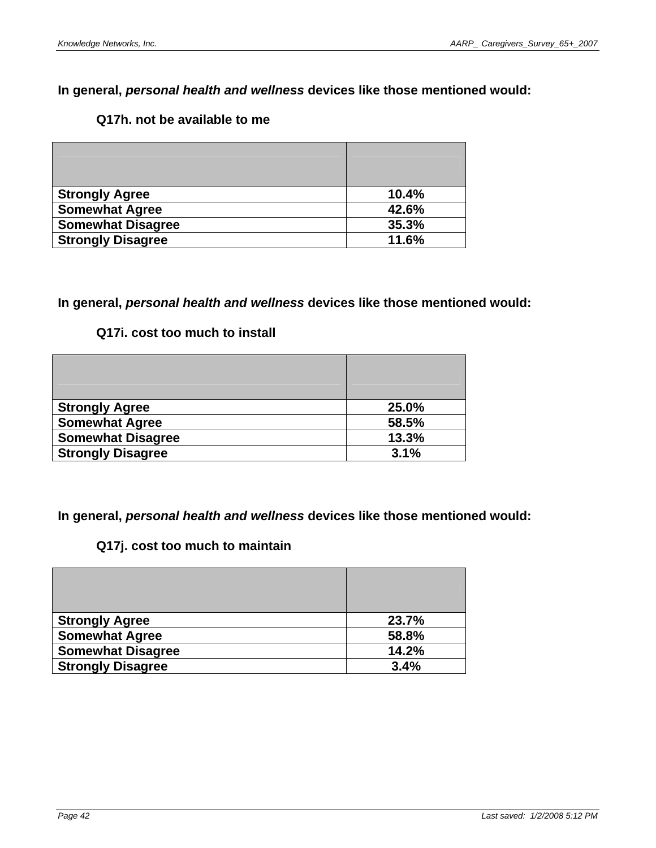# **Q17h. not be available to me**

| <b>Strongly Agree</b>    | 10.4% |
|--------------------------|-------|
| <b>Somewhat Agree</b>    | 42.6% |
| <b>Somewhat Disagree</b> | 35.3% |
| <b>Strongly Disagree</b> | 11.6% |

## **In general,** *personal health and wellness* **devices like those mentioned would:**

## **Q17i. cost too much to install**

| <b>Strongly Agree</b>    | 25.0% |
|--------------------------|-------|
| <b>Somewhat Agree</b>    | 58.5% |
| <b>Somewhat Disagree</b> | 13.3% |
| <b>Strongly Disagree</b> | 3.1%  |

**In general,** *personal health and wellness* **devices like those mentioned would:** 

## **Q17j. cost too much to maintain**

| <b>Strongly Agree</b>    | 23.7% |
|--------------------------|-------|
| <b>Somewhat Agree</b>    | 58.8% |
| <b>Somewhat Disagree</b> | 14.2% |
| <b>Strongly Disagree</b> | 3.4%  |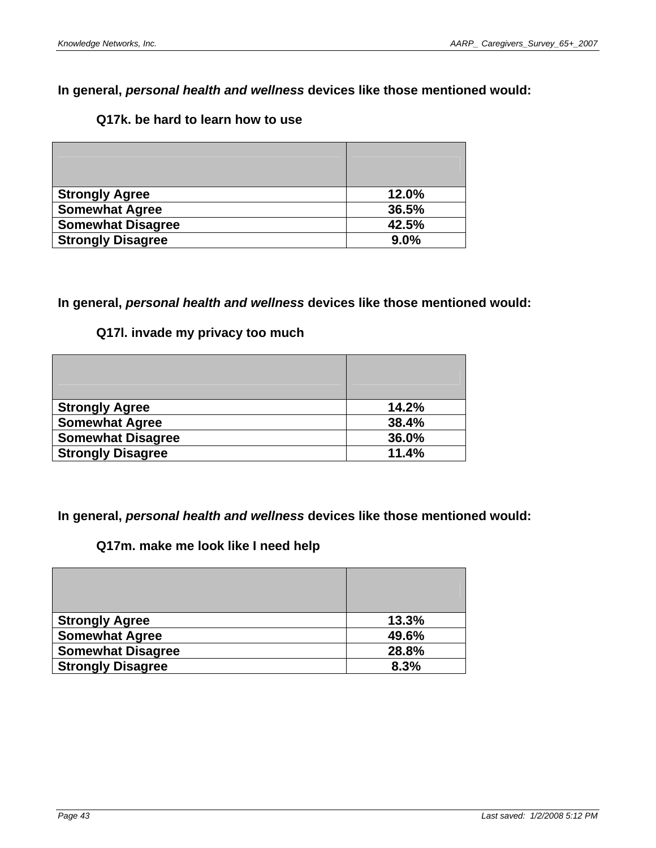# **Q17k. be hard to learn how to use**

| <b>Strongly Agree</b>    | 12.0% |
|--------------------------|-------|
| <b>Somewhat Agree</b>    | 36.5% |
| <b>Somewhat Disagree</b> | 42.5% |
| <b>Strongly Disagree</b> | 9.0%  |

## **In general,** *personal health and wellness* **devices like those mentioned would:**

## **Q17l. invade my privacy too much**

| <b>Strongly Agree</b>    | 14.2% |
|--------------------------|-------|
| <b>Somewhat Agree</b>    | 38.4% |
| <b>Somewhat Disagree</b> | 36.0% |
| <b>Strongly Disagree</b> | 11.4% |

**In general,** *personal health and wellness* **devices like those mentioned would:** 

## **Q17m. make me look like I need help**

| <b>Strongly Agree</b>    | 13.3% |
|--------------------------|-------|
| <b>Somewhat Agree</b>    | 49.6% |
| <b>Somewhat Disagree</b> | 28.8% |
| <b>Strongly Disagree</b> | 8.3%  |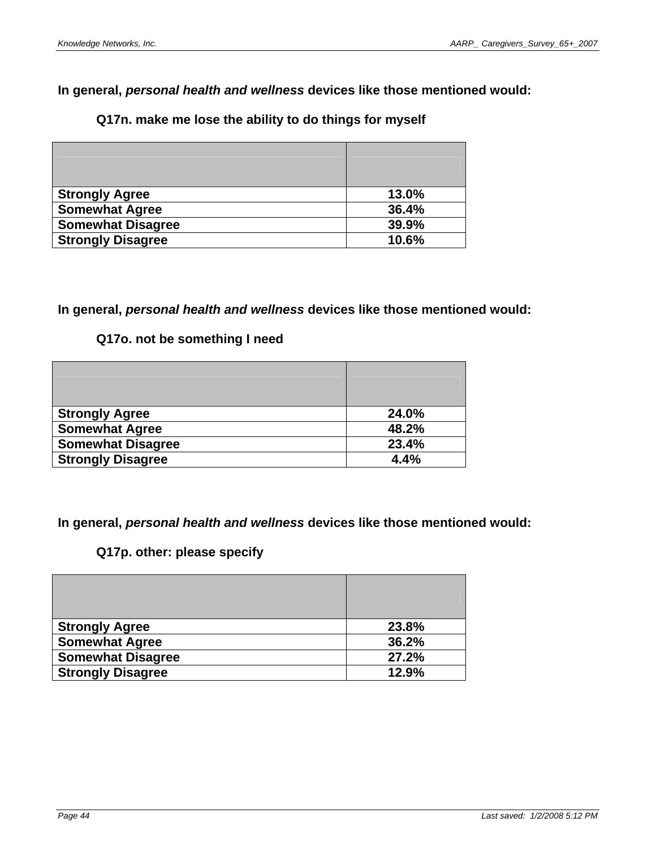# **Q17n. make me lose the ability to do things for myself**

| <b>Strongly Agree</b>    | 13.0% |
|--------------------------|-------|
| <b>Somewhat Agree</b>    | 36.4% |
| <b>Somewhat Disagree</b> | 39.9% |
| <b>Strongly Disagree</b> | 10.6% |

### **In general,** *personal health and wellness* **devices like those mentioned would:**

# **Q17o. not be something I need**

| <b>Strongly Agree</b>    | 24.0% |
|--------------------------|-------|
| <b>Somewhat Agree</b>    | 48.2% |
| <b>Somewhat Disagree</b> | 23.4% |
| <b>Strongly Disagree</b> | 4.4%  |

**In general,** *personal health and wellness* **devices like those mentioned would:** 

# **Q17p. other: please specify**

| <b>Strongly Agree</b>    | 23.8% |
|--------------------------|-------|
| <b>Somewhat Agree</b>    | 36.2% |
| <b>Somewhat Disagree</b> | 27.2% |
| <b>Strongly Disagree</b> | 12.9% |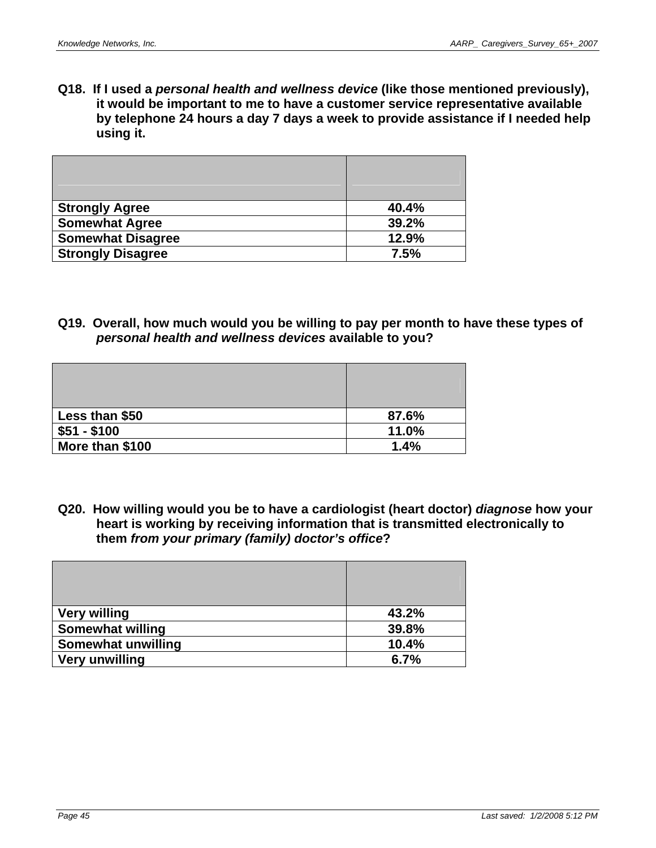**Q18. If I used a** *personal health and wellness device* **(like those mentioned previously), it would be important to me to have a customer service representative available by telephone 24 hours a day 7 days a week to provide assistance if I needed help using it.** 

| <b>Strongly Agree</b>    | 40.4% |
|--------------------------|-------|
| <b>Somewhat Agree</b>    | 39.2% |
| <b>Somewhat Disagree</b> | 12.9% |
| <b>Strongly Disagree</b> | 7.5%  |

**Q19. Overall, how much would you be willing to pay per month to have these types of**  *personal health and wellness devices* **available to you?** 

| Less than \$50  | 87.6% |
|-----------------|-------|
| $$51 - $100$    | 11.0% |
| More than \$100 | 1.4%  |

**Q20. How willing would you be to have a cardiologist (heart doctor)** *diagnose* **how your heart is working by receiving information that is transmitted electronically to them** *from your primary (family) doctor's office***?** 

| <b>Very willing</b>     | 43.2% |
|-------------------------|-------|
| <b>Somewhat willing</b> | 39.8% |
| Somewhat unwilling      | 10.4% |
| <b>Very unwilling</b>   | 6.7%  |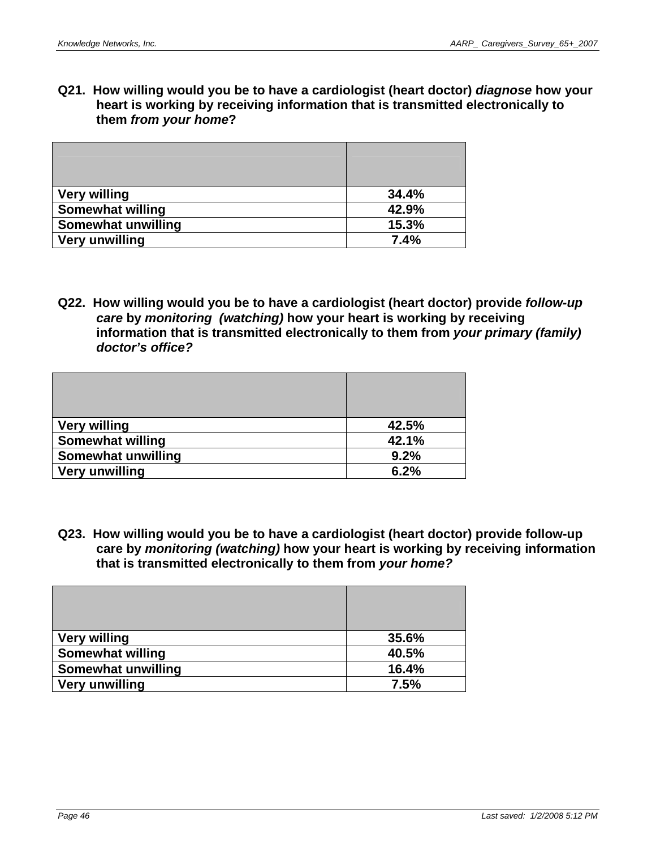**Q21. How willing would you be to have a cardiologist (heart doctor)** *diagnose* **how your heart is working by receiving information that is transmitted electronically to them** *from your home***?** 

| <b>Very willing</b>       | 34.4% |
|---------------------------|-------|
| <b>Somewhat willing</b>   | 42.9% |
| <b>Somewhat unwilling</b> | 15.3% |
| Very unwilling            | 7.4%  |

**Q22. How willing would you be to have a cardiologist (heart doctor) provide** *follow-up care* **by** *monitoring (watching)* **how your heart is working by receiving information that is transmitted electronically to them from** *your primary (family) doctor's office?* 

| <b>Very willing</b>     | 42.5% |
|-------------------------|-------|
| <b>Somewhat willing</b> | 42.1% |
| Somewhat unwilling      | 9.2%  |
| <b>Very unwilling</b>   | 6.2%  |

**Q23. How willing would you be to have a cardiologist (heart doctor) provide follow-up care by** *monitoring (watching)* **how your heart is working by receiving information that is transmitted electronically to them from** *your home?* 

| <b>Very willing</b>       | 35.6% |
|---------------------------|-------|
| <b>Somewhat willing</b>   | 40.5% |
| <b>Somewhat unwilling</b> | 16.4% |
| <b>Very unwilling</b>     | 7.5%  |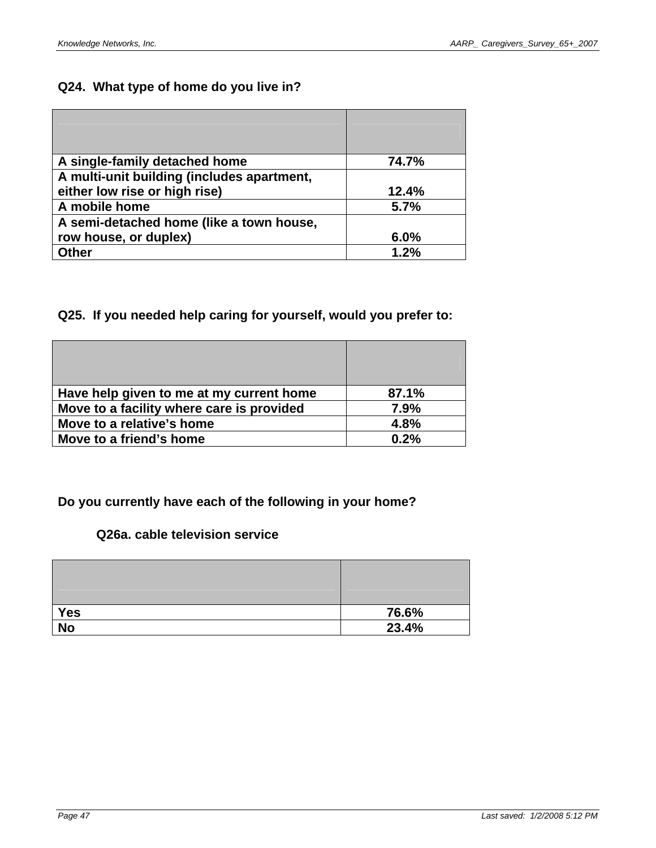# **Q24. What type of home do you live in?**

| A single-family detached home              | 74.7% |
|--------------------------------------------|-------|
| A multi-unit building (includes apartment, |       |
| either low rise or high rise)              | 12.4% |
| A mobile home                              | 5.7%  |
| A semi-detached home (like a town house,   |       |
| row house, or duplex)                      | 6.0%  |
| <b>Other</b>                               | 1.2%  |

# **Q25. If you needed help caring for yourself, would you prefer to:**

| Have help given to me at my current home  | 87.1% |
|-------------------------------------------|-------|
| Move to a facility where care is provided | 7.9%  |
| Move to a relative's home                 | 4.8%  |
| Move to a friend's home                   | 0.2%  |

# **Do you currently have each of the following in your home?**

### **Q26a. cable television service**

| <b>Yes</b> | 76.6% |
|------------|-------|
| <b>No</b>  | 23.4% |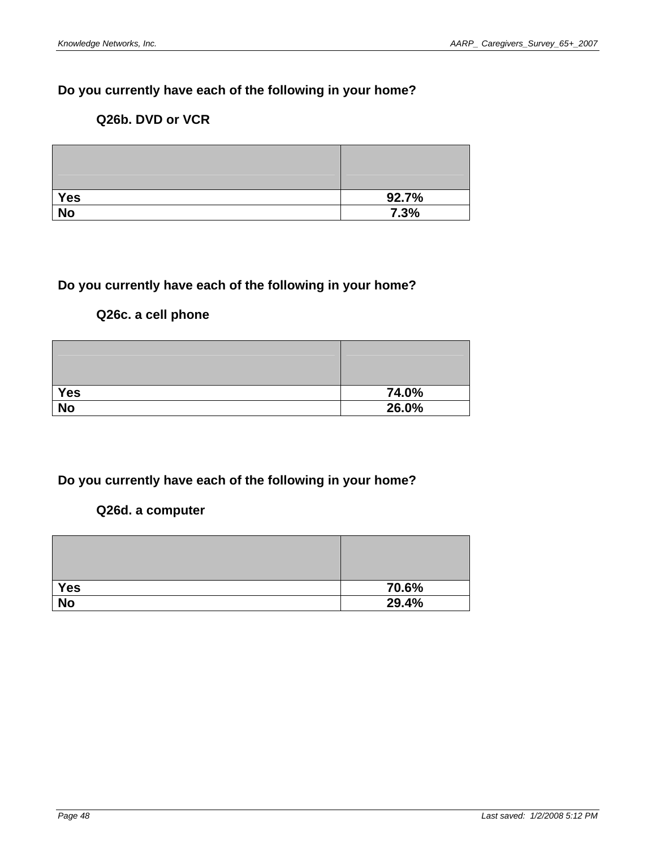# **Do you currently have each of the following in your home?**

## **Q26b. DVD or VCR**

| <b>Yes</b>      | 92.7% |
|-----------------|-------|
| $\overline{No}$ | 7.3%  |

# **Do you currently have each of the following in your home?**

# **Q26c. a cell phone**

| <b>Yes</b> | 74.0% |
|------------|-------|
| <b>No</b>  | 26.0% |

# **Do you currently have each of the following in your home?**

### **Q26d. a computer**

| <b>Yes</b> | 70.6% |
|------------|-------|
| <b>No</b>  | 29.4% |